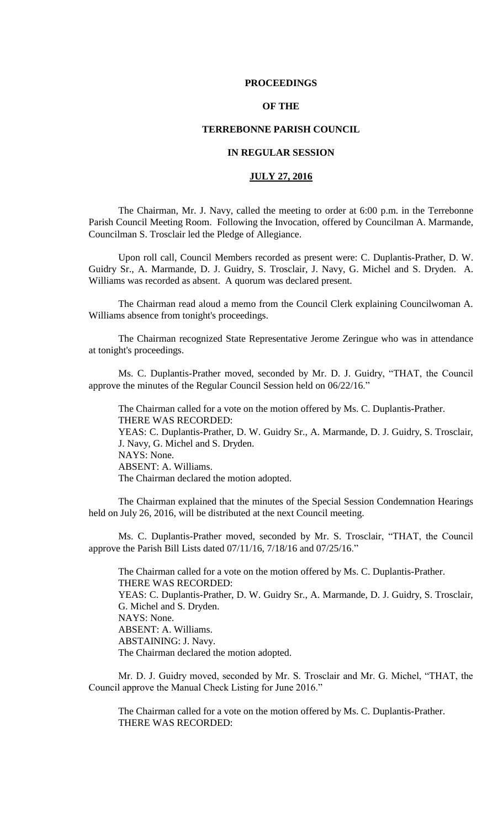## **PROCEEDINGS**

## **OF THE**

## **TERREBONNE PARISH COUNCIL**

## **IN REGULAR SESSION**

## **JULY 27, 2016**

The Chairman, Mr. J. Navy, called the meeting to order at 6:00 p.m. in the Terrebonne Parish Council Meeting Room. Following the Invocation, offered by Councilman A. Marmande, Councilman S. Trosclair led the Pledge of Allegiance.

Upon roll call, Council Members recorded as present were: C. Duplantis-Prather, D. W. Guidry Sr., A. Marmande, D. J. Guidry, S. Trosclair, J. Navy, G. Michel and S. Dryden. A. Williams was recorded as absent. A quorum was declared present.

The Chairman read aloud a memo from the Council Clerk explaining Councilwoman A. Williams absence from tonight's proceedings.

The Chairman recognized State Representative Jerome Zeringue who was in attendance at tonight's proceedings.

Ms. C. Duplantis-Prather moved, seconded by Mr. D. J. Guidry, "THAT, the Council approve the minutes of the Regular Council Session held on 06/22/16."

The Chairman called for a vote on the motion offered by Ms. C. Duplantis-Prather. THERE WAS RECORDED: YEAS: C. Duplantis-Prather, D. W. Guidry Sr., A. Marmande, D. J. Guidry, S. Trosclair, J. Navy, G. Michel and S. Dryden. NAYS: None. ABSENT: A. Williams. The Chairman declared the motion adopted.

The Chairman explained that the minutes of the Special Session Condemnation Hearings held on July 26, 2016, will be distributed at the next Council meeting.

Ms. C. Duplantis-Prather moved, seconded by Mr. S. Trosclair, "THAT, the Council approve the Parish Bill Lists dated 07/11/16, 7/18/16 and 07/25/16."

The Chairman called for a vote on the motion offered by Ms. C. Duplantis-Prather. THERE WAS RECORDED: YEAS: C. Duplantis-Prather, D. W. Guidry Sr., A. Marmande, D. J. Guidry, S. Trosclair, G. Michel and S. Dryden. NAYS: None. ABSENT: A. Williams. ABSTAINING: J. Navy. The Chairman declared the motion adopted.

Mr. D. J. Guidry moved, seconded by Mr. S. Trosclair and Mr. G. Michel, "THAT, the Council approve the Manual Check Listing for June 2016."

The Chairman called for a vote on the motion offered by Ms. C. Duplantis-Prather. THERE WAS RECORDED: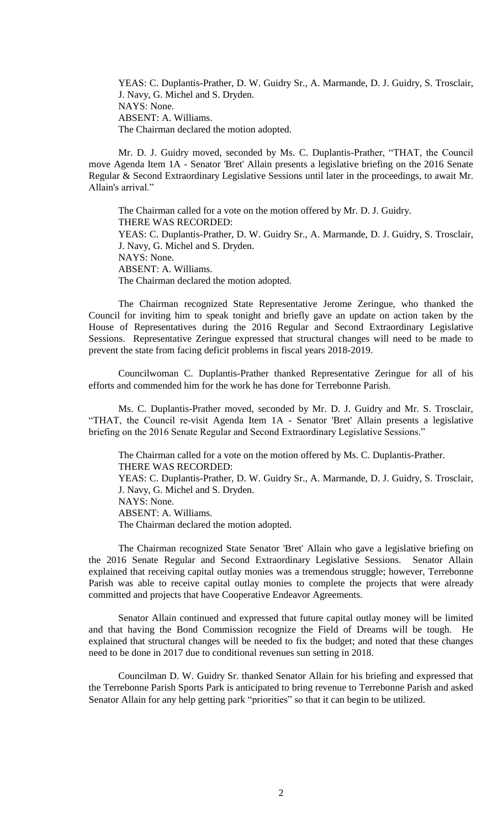YEAS: C. Duplantis-Prather, D. W. Guidry Sr., A. Marmande, D. J. Guidry, S. Trosclair, J. Navy, G. Michel and S. Dryden. NAYS: None. ABSENT: A. Williams. The Chairman declared the motion adopted.

Mr. D. J. Guidry moved, seconded by Ms. C. Duplantis-Prather, "THAT, the Council move Agenda Item 1A - Senator 'Bret' Allain presents a legislative briefing on the 2016 Senate Regular & Second Extraordinary Legislative Sessions until later in the proceedings, to await Mr. Allain's arrival."

The Chairman called for a vote on the motion offered by Mr. D. J. Guidry. THERE WAS RECORDED: YEAS: C. Duplantis-Prather, D. W. Guidry Sr., A. Marmande, D. J. Guidry, S. Trosclair, J. Navy, G. Michel and S. Dryden. NAYS: None. ABSENT: A. Williams. The Chairman declared the motion adopted.

The Chairman recognized State Representative Jerome Zeringue, who thanked the Council for inviting him to speak tonight and briefly gave an update on action taken by the House of Representatives during the 2016 Regular and Second Extraordinary Legislative Sessions. Representative Zeringue expressed that structural changes will need to be made to prevent the state from facing deficit problems in fiscal years 2018-2019.

Councilwoman C. Duplantis-Prather thanked Representative Zeringue for all of his efforts and commended him for the work he has done for Terrebonne Parish.

Ms. C. Duplantis-Prather moved, seconded by Mr. D. J. Guidry and Mr. S. Trosclair, "THAT, the Council re-visit Agenda Item 1A - Senator 'Bret' Allain presents a legislative briefing on the 2016 Senate Regular and Second Extraordinary Legislative Sessions."

The Chairman called for a vote on the motion offered by Ms. C. Duplantis-Prather. THERE WAS RECORDED: YEAS: C. Duplantis-Prather, D. W. Guidry Sr., A. Marmande, D. J. Guidry, S. Trosclair, J. Navy, G. Michel and S. Dryden. NAYS: None. ABSENT: A. Williams. The Chairman declared the motion adopted.

The Chairman recognized State Senator 'Bret' Allain who gave a legislative briefing on the 2016 Senate Regular and Second Extraordinary Legislative Sessions. Senator Allain explained that receiving capital outlay monies was a tremendous struggle; however, Terrebonne Parish was able to receive capital outlay monies to complete the projects that were already committed and projects that have Cooperative Endeavor Agreements.

Senator Allain continued and expressed that future capital outlay money will be limited and that having the Bond Commission recognize the Field of Dreams will be tough. He explained that structural changes will be needed to fix the budget; and noted that these changes need to be done in 2017 due to conditional revenues sun setting in 2018.

Councilman D. W. Guidry Sr. thanked Senator Allain for his briefing and expressed that the Terrebonne Parish Sports Park is anticipated to bring revenue to Terrebonne Parish and asked Senator Allain for any help getting park "priorities" so that it can begin to be utilized.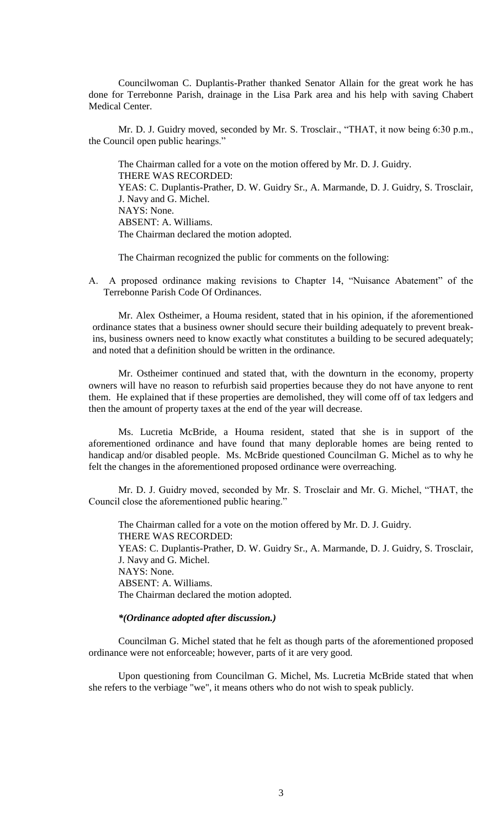Councilwoman C. Duplantis-Prather thanked Senator Allain for the great work he has done for Terrebonne Parish, drainage in the Lisa Park area and his help with saving Chabert Medical Center.

Mr. D. J. Guidry moved, seconded by Mr. S. Trosclair., "THAT, it now being 6:30 p.m., the Council open public hearings."

The Chairman called for a vote on the motion offered by Mr. D. J. Guidry. THERE WAS RECORDED: YEAS: C. Duplantis-Prather, D. W. Guidry Sr., A. Marmande, D. J. Guidry, S. Trosclair, J. Navy and G. Michel. NAYS: None. ABSENT: A. Williams. The Chairman declared the motion adopted.

The Chairman recognized the public for comments on the following:

A. A proposed ordinance making revisions to Chapter 14, "Nuisance Abatement" of the Terrebonne Parish Code Of Ordinances.

Mr. Alex Ostheimer, a Houma resident, stated that in his opinion, if the aforementioned ordinance states that a business owner should secure their building adequately to prevent breakins, business owners need to know exactly what constitutes a building to be secured adequately; and noted that a definition should be written in the ordinance.

Mr. Ostheimer continued and stated that, with the downturn in the economy, property owners will have no reason to refurbish said properties because they do not have anyone to rent them. He explained that if these properties are demolished, they will come off of tax ledgers and then the amount of property taxes at the end of the year will decrease.

Ms. Lucretia McBride, a Houma resident, stated that she is in support of the aforementioned ordinance and have found that many deplorable homes are being rented to handicap and/or disabled people. Ms. McBride questioned Councilman G. Michel as to why he felt the changes in the aforementioned proposed ordinance were overreaching.

Mr. D. J. Guidry moved, seconded by Mr. S. Trosclair and Mr. G. Michel, "THAT, the Council close the aforementioned public hearing."

The Chairman called for a vote on the motion offered by Mr. D. J. Guidry. THERE WAS RECORDED: YEAS: C. Duplantis-Prather, D. W. Guidry Sr., A. Marmande, D. J. Guidry, S. Trosclair, J. Navy and G. Michel. NAYS: None. ABSENT: A. Williams. The Chairman declared the motion adopted.

#### *\*(Ordinance adopted after discussion.)*

Councilman G. Michel stated that he felt as though parts of the aforementioned proposed ordinance were not enforceable; however, parts of it are very good.

Upon questioning from Councilman G. Michel, Ms. Lucretia McBride stated that when she refers to the verbiage "we", it means others who do not wish to speak publicly.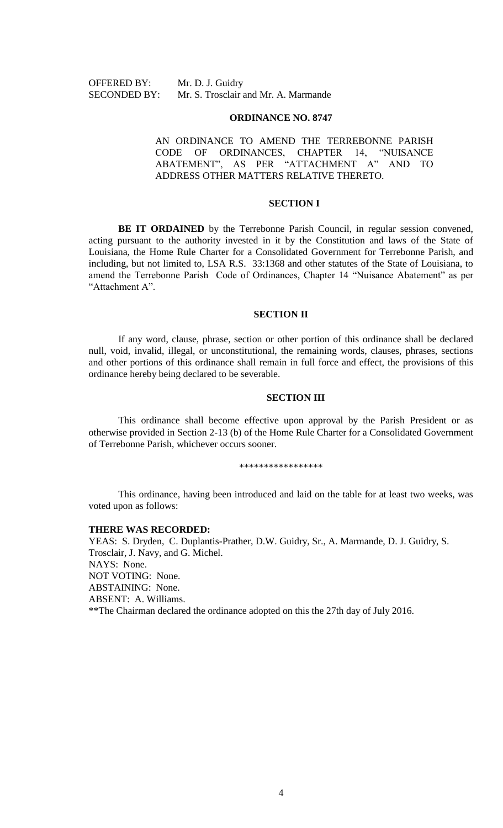OFFERED BY: Mr. D. J. Guidry

SECONDED BY: Mr. S. Trosclair and Mr. A. Marmande

#### **ORDINANCE NO. 8747**

AN ORDINANCE TO AMEND THE TERREBONNE PARISH CODE OF ORDINANCES, CHAPTER 14, "NUISANCE ABATEMENT", AS PER "ATTACHMENT A" AND TO ADDRESS OTHER MATTERS RELATIVE THERETO.

## **SECTION I**

**BE IT ORDAINED** by the Terrebonne Parish Council, in regular session convened, acting pursuant to the authority invested in it by the Constitution and laws of the State of Louisiana, the Home Rule Charter for a Consolidated Government for Terrebonne Parish, and including, but not limited to, LSA R.S. 33:1368 and other statutes of the State of Louisiana, to amend the Terrebonne Parish Code of Ordinances, Chapter 14 "Nuisance Abatement" as per "Attachment A".

#### **SECTION II**

If any word, clause, phrase, section or other portion of this ordinance shall be declared null, void, invalid, illegal, or unconstitutional, the remaining words, clauses, phrases, sections and other portions of this ordinance shall remain in full force and effect, the provisions of this ordinance hereby being declared to be severable.

## **SECTION III**

This ordinance shall become effective upon approval by the Parish President or as otherwise provided in Section 2-13 (b) of the Home Rule Charter for a Consolidated Government of Terrebonne Parish, whichever occurs sooner.

\*\*\*\*\*\*\*\*\*\*\*\*\*\*\*\*\*

This ordinance, having been introduced and laid on the table for at least two weeks, was voted upon as follows:

#### **THERE WAS RECORDED:**

YEAS: S. Dryden, C. Duplantis-Prather, D.W. Guidry, Sr., A. Marmande, D. J. Guidry, S. Trosclair, J. Navy, and G. Michel. NAYS: None. NOT VOTING: None. ABSTAINING: None. ABSENT: A. Williams. \*\*The Chairman declared the ordinance adopted on this the 27th day of July 2016.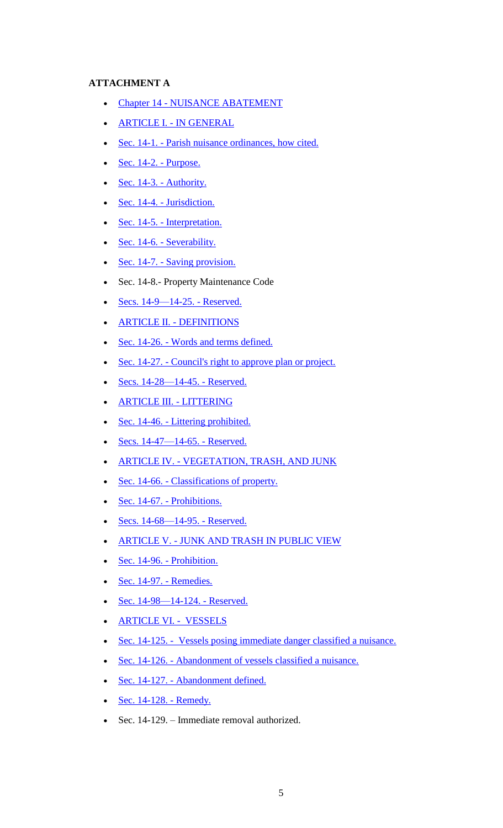## **ATTACHMENT A**

- Chapter 14 [NUISANCE ABATEMENT](https://www.municode.com/library/la/terrebonne_parish/codes/code_of_ordinances?nodeId=PTIIPACO_CH14NUAB)
- ARTICLE I. [IN GENERAL](https://www.municode.com/library/la/terrebonne_parish/codes/code_of_ordinances?nodeId=PTIIPACO_CH14NUAB_ARTIINGE)
- Sec. 14-1. [Parish nuisance ordinances, how cited.](https://www.municode.com/library/la/terrebonne_parish/codes/code_of_ordinances?nodeId=PTIIPACO_CH14NUAB_ARTIINGE_S14-1PANUABREHOCI)
- $Sec. 14-2.$  Purpose.
- $\bullet$  [Sec. 14-3. -](https://www.municode.com/library/la/terrebonne_parish/codes/code_of_ordinances?nodeId=PTIIPACO_CH14NUAB_ARTIINGE_S14-3AU) Authority.
- $Sec. 14-4.$  [Jurisdiction.](https://www.municode.com/library/la/terrebonne_parish/codes/code_of_ordinances?nodeId=PTIIPACO_CH14NUAB_ARTIINGE_S14-4JU)
- Sec. 14-5. [Interpretation.](https://www.municode.com/library/la/terrebonne_parish/codes/code_of_ordinances?nodeId=PTIIPACO_CH14NUAB_ARTIINGE_S14-5IN)
- Sec. 14-6. [Severability.](https://www.municode.com/library/la/terrebonne_parish/codes/code_of_ordinances?nodeId=PTIIPACO_CH14NUAB_ARTIINGE_S14-6SE)
- $Sec. 14-7. Saving provision.$  $Sec. 14-7. Saving provision.$
- Sec. 14-8.- Property Maintenance Code
- $Secs. 14-9-14-25.$  Reserved.
- ARTICLE II. [DEFINITIONS](https://www.municode.com/library/)
- Sec. 14-26. [Words and terms defined.](https://www.municode.com/library/la/terrebonne_parish/codes/code_of_ordinances?nodeId=PTIIPACO_CH14NUAB_ARTIIDE_S14-26WOTEDE)
- Sec. 14-27. [Council's right to approve plan or project.](https://www.municode.com/library/la/terrebonne_parish/codes/code_of_ordinances?nodeId=PTIIPACO_CH14NUAB_ARTIIDE_S14-27CORIAPPLPR)
- $Secs. 14-28-14-45.$  Reserved.
- [ARTICLE III. -](https://www.municode.com/library/) LITTERING
- Sec. 14-46. [Littering prohibited.](https://www.municode.com/library/)
- $Secs. 14-47-14-65.$  Reserved.
- **ARTICLE IV. [VEGETATION, TRASH, AND JUNK](https://www.municode.com/library/la/terrebonne_parish/codes/code_of_ordinances?nodeId=PTIIPACO_CH14NUAB_ARTIVVETRJU)**
- Sec. 14-66. [Classifications of property.](https://www.municode.com/library/la/terrebonne_parish/codes/code_of_ordinances?nodeId=PTIIPACO_CH14NUAB_ARTIVVETRJU_S14-66CLPR)
- Sec. 14-67. [Prohibitions.](https://www.municode.com/library/)
- [Secs. 14-68—14-95. -](https://www.municode.com/library/) Reserved.
- ARTICLE V. [JUNK AND TRASH IN PUBLIC VIEW](https://www.municode.com/library/la/terrebonne_parish/codes/code_of_ordinances?nodeId=PTIIPACO_CH14NUAB_ARTVJUTRPUVI)
- $Sec. 14-96.$  Prohibition.
- $Sec. 14-97.$  Remedies.
- $Sec. 14-98-14-124.$  Reserved.
- [ARTICLE VI. VESSELS](https://www.municode.com/library/)
- [Sec. 14-125. Vessels posing immediate danger classified a nuisance.](https://www.municode.com/library/)
- Sec. 14-126. [Abandonment of vessels classified a nuisance.](https://www.municode.com/library/)
- Sec. 14-127. [Abandonment defined.](https://www.municode.com/library/la/terrebonne_parish/codes/code_of_ordinances?nodeId=PTIIPACO_CH14NUAB_ARTVISUVE_S14-127ABDE)
- $Sec. 14-128.$  Remedy.
- Sec. 14-129. Immediate removal authorized.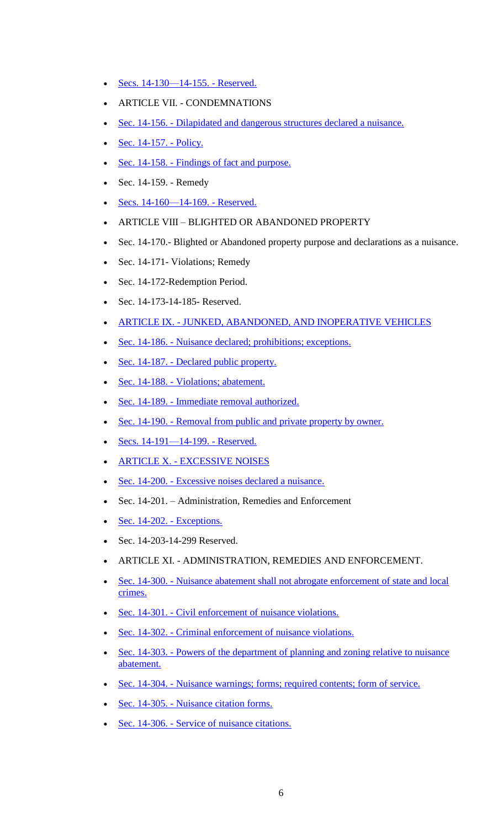- $Secs. 14-130-14-155.$  Reserved.
- ARTICLE VII. CONDEMNATIONS
- Sec. 14-156. [Dilapidated and dangerous structures declared a nuisance.](https://www.municode.com/library/la/terrebonne_parish/codes/code_of_ordinances?nodeId=PTIIPACO_CH14NUAB_ARTVIIDIDAST_S14-156DIDASTDENU)
- [Sec. 14-157. -](https://www.municode.com/library/) Policy.
- Sec. 14-158. [Findings of fact and purpose.](https://www.municode.com/library/la/terrebonne_parish/codes/code_of_ordinances?nodeId=PTIIPACO_CH14NUAB_ARTVIIDIDAST_S14-158FIFAPU)
- Sec. 14-159. Remedy
- $Secs. 14-160-14-169.$  Reserved.
- ARTICLE VIII BLIGHTED OR ABANDONED PROPERTY
- Sec. 14-170.- Blighted or Abandoned property purpose and declarations as a nuisance.
- Sec. 14-171- Violations; Remedy
- Sec. 14-172-Redemption Period.
- Sec. 14-173-14-185- Reserved.
- ARTICLE IX. [JUNKED, ABANDONED, AND INOPERATIVE VEHICLES](https://www.municode.com/library/la/terrebonne_parish/codes/code_of_ordinances?nodeId=PTIIPACO_CH14NUAB_ARTVIIIJUABINVE)
- Sec. 14-186. [Nuisance declared; prohibitions; exceptions.](https://www.municode.com/library/la/terrebonne_parish/codes/code_of_ordinances?nodeId=PTIIPACO_CH14NUAB_ARTVIIIJUABINVE_S14-186NUDEPREX)
- Sec. 14-187. [Declared public property.](https://www.municode.com/library/)
- Sec. 14-188. [Violations; abatement.](https://www.municode.com/library/)
- Sec. 14-189. [Immediate removal authorized.](https://www.municode.com/library/la/terrebonne_parish/codes/code_of_ordinances?nodeId=PTIIPACO_CH14NUAB_ARTVIIIJUABINVE_S14-189IMREAU)
- Sec. 14-190. [Removal from public and private property by owner.](https://www.municode.com/library/la/terrebonne_parish/codes/code_of_ordinances?nodeId=PTIIPACO_CH14NUAB_ARTVIIIJUABINVE_S14-190REPUPRPROW)
- [Secs. 14-191—14-199. -](https://www.municode.com/library/) Reserved.
- ARTICLE X. [EXCESSIVE NOISES](https://www.municode.com/library/)
- Sec. 14-200. [Excessive noises declared a nuisance.](https://www.municode.com/library/la/terrebonne_parish/codes/code_of_ordinances?nodeId=PTIIPACO_CH14NUAB_ARTIXEXNO_S14-200EXNODENU)
- Sec. 14-201. Administration, Remedies and Enforcement
- [Sec. 14-202. -](https://www.municode.com/library/) Exceptions.
- Sec. 14-203-14-299 Reserved.
- ARTICLE XI. ADMINISTRATION, REMEDIES AND ENFORCEMENT.
- Sec. 14-300. [Nuisance abatement shall not abrogate enforcement of state and local](https://www.municode.com/library/la/terrebonne_parish/codes/code_of_ordinances?nodeId=PTIIPACO_CH14NUAB_ARTXADEN_S14-203NUABSHNOABENSTLOCR)  [crimes.](https://www.municode.com/library/la/terrebonne_parish/codes/code_of_ordinances?nodeId=PTIIPACO_CH14NUAB_ARTXADEN_S14-203NUABSHNOABENSTLOCR)
- Sec. 14-301. [Civil enforcement of nuisance violations.](https://www.municode.com/library/la/terrebonne_parish/codes/code_of_ordinances?nodeId=PTIIPACO_CH14NUAB_ARTXADEN_S14-204CIENNUVI)
- Sec. 14-302. [Criminal enforcement of nuisance violations.](https://www.municode.com/library/la/terrebonne_parish/codes/code_of_ordinances?nodeId=PTIIPACO_CH14NUAB_ARTXADEN_S14-205CRENNUVI)
- Sec. 14-303. Powers of the department of planning and zoning relative to nuisance [abatement.](https://www.municode.com/library/la/terrebonne_parish/codes/code_of_ordinances?nodeId=PTIIPACO_CH14NUAB_ARTXADEN_S14-207PODEPLZORENUAB)
- Sec. 14-304. [Nuisance warnings; forms; required contents; form of service.](https://www.municode.com/library/la/terrebonne_parish/codes/code_of_ordinances?nodeId=PTIIPACO_CH14NUAB_ARTXADEN_S14-208NUWAFORECOFOSE)
- Sec. 14-305. [Nuisance citation forms.](https://www.municode.com/library/)
- Sec. 14-306. [Service of nuisance citations.](https://www.municode.com/library/)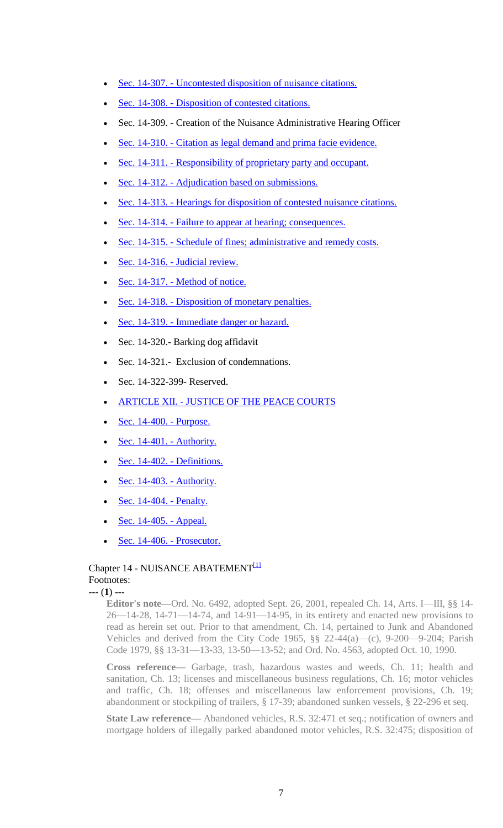- Sec. 14-307. [Uncontested disposition of nuisance citations.](https://www.municode.com/library/la/terrebonne_parish/codes/code_of_ordinances?nodeId=PTIIPACO_CH14NUAB_ARTXADEN_S14-211UNDINUCI)
- Sec. 14-308. [Disposition of contested citations.](https://www.municode.com/library/)
- Sec. 14-309. Creation of the Nuisance Administrative Hearing Officer
- Sec. 14-310. [Citation as legal demand and prima facie evidence.](https://www.municode.com/library/la/terrebonne_parish/codes/code_of_ordinances?nodeId=PTIIPACO_CH14NUAB_ARTXADEN_S14-214CILEDEPRFAEV)
- Sec. 14-311. [Responsibility of proprietary party and occupant.](https://www.municode.com/library/)
- Sec. 14-312. [Adjudication based on submissions.](https://www.municode.com/library/)
- Sec. 14-313. [Hearings for disposition of contested nuisance citations.](https://www.municode.com/library/la/terrebonne_parish/codes/code_of_ordinances?nodeId=PTIIPACO_CH14NUAB_ARTXADEN_S14-217HEDICONUCI)
- Sec. 14-314. [Failure to appear at hearing; consequences.](https://www.municode.com/library/)
- Sec. 14-315. [Schedule of fines; administrative and remedy costs.](https://www.municode.com/library/la/terrebonne_parish/codes/code_of_ordinances?nodeId=PTIIPACO_CH14NUAB_ARTXADEN_S14-219SCFIADABCO)
- Sec. 14-316. [Judicial review.](https://www.municode.com/library/)
- Sec. 14-317. [Method of notice.](https://www.municode.com/library/)
- Sec. 14-318. [Disposition of monetary penalties.](https://www.municode.com/library/)
- Sec. 14-319. [Immediate danger or hazard.](https://www.municode.com/library/)
- Sec. 14-320.- Barking dog affidavit
- Sec. 14-321.- Exclusion of condemnations.
- Sec. 14-322-399- Reserved.
- ARTICLE XII. [JUSTICE OF THE PEACE COURTS](https://www.municode.com/library/)
- [Sec. 14-400. -](https://www.municode.com/library/) Purpose.
- [Sec. 14-401. -](https://www.municode.com/library/) Authority.
- [Sec. 14-402. -](https://www.municode.com/library/la/terrebonne_parish/codes/code_of_ordinances?nodeId=PTIIPACO_CH14NUAB_ARTXIJUPECO_S14-232DE) Definitions.
- $Sec. 14-403. Authority.$  $Sec. 14-403. Authority.$
- [Sec. 14-404. -](https://www.municode.com/library/) Penalty.
- [Sec. 14-405. -](https://www.municode.com/library/) Appeal.
- [Sec. 14-406. -](https://www.municode.com/library/) Prosecutor.

## Chapter 14 - NUISANCE ABATEMENT<sup>[1]</sup> Footnotes:

--- (**1**) ---

**Editor's note—**Ord. No. 6492, adopted Sept. 26, 2001, repealed Ch. 14, Arts. I—III, §§ 14- 26—14-28, 14-71—14-74, and 14-91—14-95, in its entirety and enacted new provisions to read as herein set out. Prior to that amendment, Ch. 14, pertained to Junk and Abandoned Vehicles and derived from the City Code 1965, §§ 22-44(a)—(c), 9-200—9-204; Parish Code 1979, §§ 13-31—13-33, 13-50—13-52; and Ord. No. 4563, adopted Oct. 10, 1990.

**Cross reference—** Garbage, trash, hazardous wastes and weeds, Ch. 11; health and sanitation, Ch. 13; licenses and miscellaneous business regulations, Ch. 16; motor vehicles and traffic, Ch. 18; offenses and miscellaneous law enforcement provisions, Ch. 19; abandonment or stockpiling of trailers, § 17-39; abandoned sunken vessels, § 22-296 et seq.

**State Law reference—** Abandoned vehicles, R.S. 32:471 et seq.; notification of owners and mortgage holders of illegally parked abandoned motor vehicles, R.S. 32:475; disposition of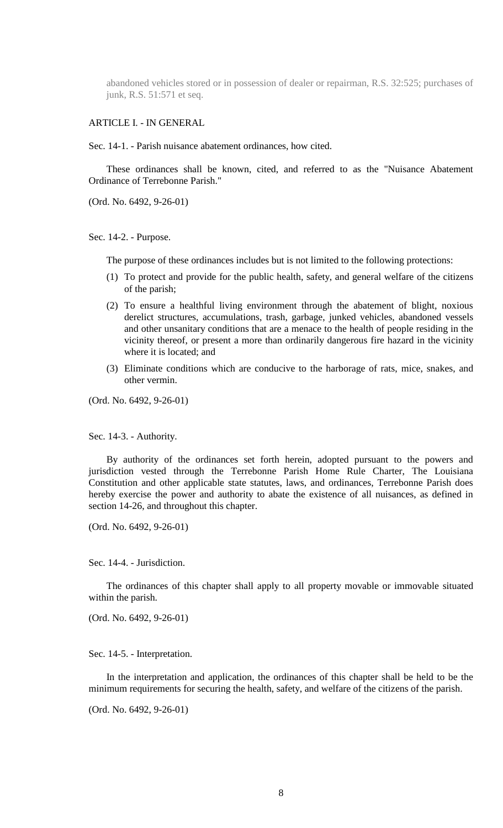abandoned vehicles stored or in possession of dealer or repairman, R.S. 32:525; purchases of junk, R.S. 51:571 et seq.

## ARTICLE I. - IN GENERAL

Sec. 14-1. - Parish nuisance abatement ordinances, how cited.

These ordinances shall be known, cited, and referred to as the "Nuisance Abatement Ordinance of Terrebonne Parish."

(Ord. No. 6492, 9-26-01)

Sec. 14-2. - Purpose.

The purpose of these ordinances includes but is not limited to the following protections:

- (1) To protect and provide for the public health, safety, and general welfare of the citizens of the parish;
- (2) To ensure a healthful living environment through the abatement of blight, noxious derelict structures, accumulations, trash, garbage, junked vehicles, abandoned vessels and other unsanitary conditions that are a menace to the health of people residing in the vicinity thereof, or present a more than ordinarily dangerous fire hazard in the vicinity where it is located; and
- (3) Eliminate conditions which are conducive to the harborage of rats, mice, snakes, and other vermin.

(Ord. No. 6492, 9-26-01)

Sec. 14-3. - Authority.

By authority of the ordinances set forth herein, adopted pursuant to the powers and jurisdiction vested through the Terrebonne Parish Home Rule Charter, The Louisiana Constitution and other applicable state statutes, laws, and ordinances, Terrebonne Parish does hereby exercise the power and authority to abate the existence of all nuisances, as defined in section 14-26, and throughout this chapter.

(Ord. No. 6492, 9-26-01)

Sec. 14-4. - Jurisdiction.

The ordinances of this chapter shall apply to all property movable or immovable situated within the parish.

(Ord. No. 6492, 9-26-01)

Sec. 14-5. - Interpretation.

In the interpretation and application, the ordinances of this chapter shall be held to be the minimum requirements for securing the health, safety, and welfare of the citizens of the parish.

(Ord. No. 6492, 9-26-01)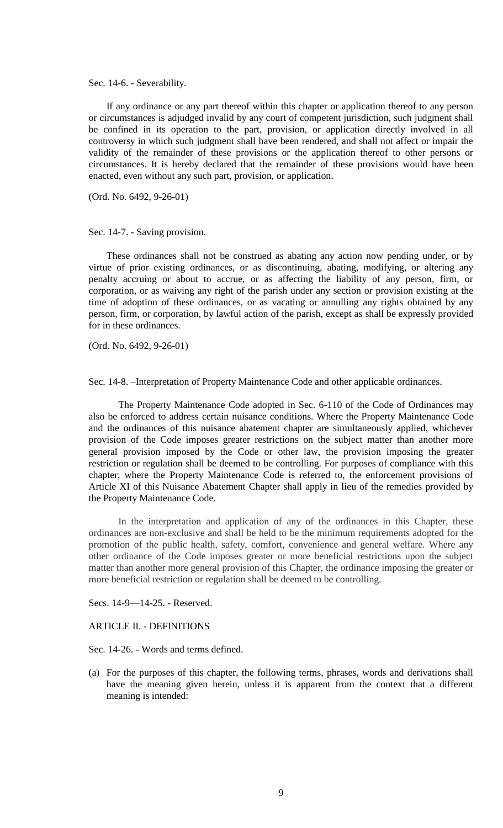Sec. 14-6. - Severability.

If any ordinance or any part thereof within this chapter or application thereof to any person or circumstances is adjudged invalid by any court of competent jurisdiction, such judgment shall be confined in its operation to the part, provision, or application directly involved in all controversy in which such judgment shall have been rendered, and shall not affect or impair the validity of the remainder of these provisions or the application thereof to other persons or circumstances. It is hereby declared that the remainder of these provisions would have been enacted, even without any such part, provision, or application.

(Ord. No. 6492, 9-26-01)

#### Sec. 14-7. - Saving provision.

These ordinances shall not be construed as abating any action now pending under, or by virtue of prior existing ordinances, or as discontinuing, abating, modifying, or altering any penalty accruing or about to accrue, or as affecting the liability of any person, firm, or corporation, or as waiving any right of the parish under any section or provision existing at the time of adoption of these ordinances, or as vacating or annulling any rights obtained by any person, firm, or corporation, by lawful action of the parish, except as shall be expressly provided for in these ordinances.

(Ord. No. 6492, 9-26-01)

Sec. 14-8. –Interpretation of Property Maintenance Code and other applicable ordinances.

The Property Maintenance Code adopted in Sec. 6-110 of the Code of Ordinances may also be enforced to address certain nuisance conditions. Where the Property Maintenance Code and the ordinances of this nuisance abatement chapter are simultaneously applied, whichever provision of the Code imposes greater restrictions on the subject matter than another more general provision imposed by the Code or other law, the provision imposing the greater restriction or regulation shall be deemed to be controlling. For purposes of compliance with this chapter, where the Property Maintenance Code is referred to, the enforcement provisions of Article XI of this Nuisance Abatement Chapter shall apply in lieu of the remedies provided by the Property Maintenance Code.

In the interpretation and application of any of the ordinances in this Chapter, these ordinances are non-exclusive and shall be held to be the minimum requirements adopted for the promotion of the public health, safety, comfort, convenience and general welfare. Where any other ordinance of the Code imposes greater or more beneficial restrictions upon the subject matter than another more general provision of this Chapter, the ordinance imposing the greater or more beneficial restriction or regulation shall be deemed to be controlling.

Secs. 14-9—14-25. - Reserved.

#### ARTICLE II. - DEFINITIONS

Sec. 14-26. - Words and terms defined.

(a) For the purposes of this chapter, the following terms, phrases, words and derivations shall have the meaning given herein, unless it is apparent from the context that a different meaning is intended: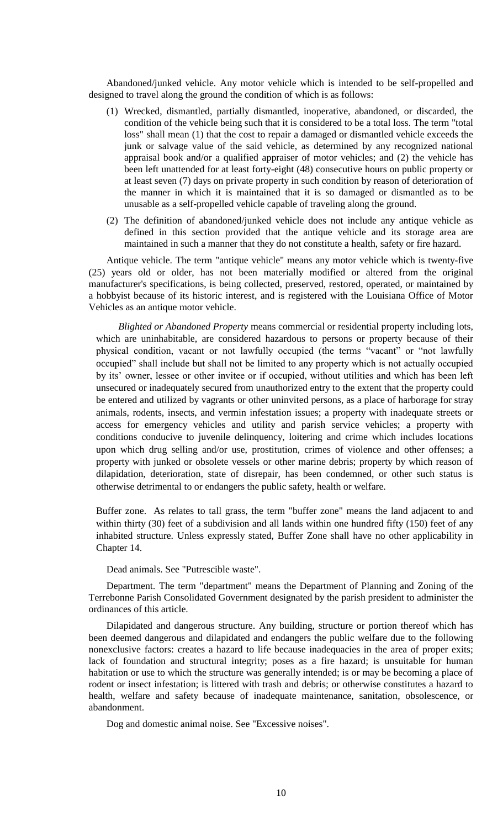Abandoned/junked vehicle. Any motor vehicle which is intended to be self-propelled and designed to travel along the ground the condition of which is as follows:

- (1) Wrecked, dismantled, partially dismantled, inoperative, abandoned, or discarded, the condition of the vehicle being such that it is considered to be a total loss. The term "total loss" shall mean (1) that the cost to repair a damaged or dismantled vehicle exceeds the junk or salvage value of the said vehicle, as determined by any recognized national appraisal book and/or a qualified appraiser of motor vehicles; and (2) the vehicle has been left unattended for at least forty-eight (48) consecutive hours on public property or at least seven (7) days on private property in such condition by reason of deterioration of the manner in which it is maintained that it is so damaged or dismantled as to be unusable as a self-propelled vehicle capable of traveling along the ground.
- (2) The definition of abandoned/junked vehicle does not include any antique vehicle as defined in this section provided that the antique vehicle and its storage area are maintained in such a manner that they do not constitute a health, safety or fire hazard.

Antique vehicle. The term "antique vehicle" means any motor vehicle which is twenty-five (25) years old or older, has not been materially modified or altered from the original manufacturer's specifications, is being collected, preserved, restored, operated, or maintained by a hobbyist because of its historic interest, and is registered with the Louisiana Office of Motor Vehicles as an antique motor vehicle.

*Blighted or Abandoned Property* means commercial or residential property including lots, which are uninhabitable, are considered hazardous to persons or property because of their physical condition, vacant or not lawfully occupied (the terms "vacant" or "not lawfully occupied" shall include but shall not be limited to any property which is not actually occupied by its' owner, lessee or other invitee or if occupied, without utilities and which has been left unsecured or inadequately secured from unauthorized entry to the extent that the property could be entered and utilized by vagrants or other uninvited persons, as a place of harborage for stray animals, rodents, insects, and vermin infestation issues; a property with inadequate streets or access for emergency vehicles and utility and parish service vehicles; a property with conditions conducive to juvenile delinquency, loitering and crime which includes locations upon which drug selling and/or use, prostitution, crimes of violence and other offenses; a property with junked or obsolete vessels or other marine debris; property by which reason of dilapidation, deterioration, state of disrepair, has been condemned, or other such status is otherwise detrimental to or endangers the public safety, health or welfare.

Buffer zone. As relates to tall grass, the term "buffer zone" means the land adjacent to and within thirty (30) feet of a subdivision and all lands within one hundred fifty (150) feet of any inhabited structure. Unless expressly stated, Buffer Zone shall have no other applicability in Chapter 14.

Dead animals. See "Putrescible waste".

Department. The term "department" means the Department of Planning and Zoning of the Terrebonne Parish Consolidated Government designated by the parish president to administer the ordinances of this article.

Dilapidated and dangerous structure. Any building, structure or portion thereof which has been deemed dangerous and dilapidated and endangers the public welfare due to the following nonexclusive factors: creates a hazard to life because inadequacies in the area of proper exits; lack of foundation and structural integrity; poses as a fire hazard; is unsuitable for human habitation or use to which the structure was generally intended; is or may be becoming a place of rodent or insect infestation; is littered with trash and debris; or otherwise constitutes a hazard to health, welfare and safety because of inadequate maintenance, sanitation, obsolescence, or abandonment.

Dog and domestic animal noise. See "Excessive noises".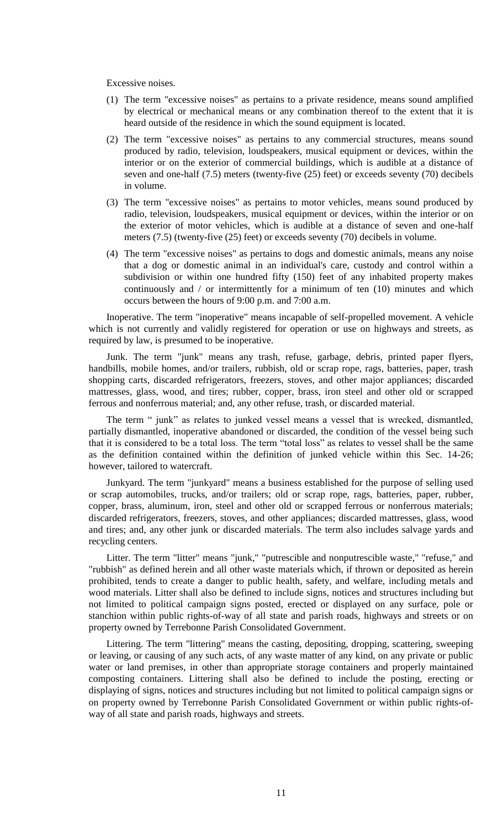Excessive noises.

- (1) The term "excessive noises" as pertains to a private residence, means sound amplified by electrical or mechanical means or any combination thereof to the extent that it is heard outside of the residence in which the sound equipment is located.
- (2) The term "excessive noises" as pertains to any commercial structures, means sound produced by radio, television, loudspeakers, musical equipment or devices, within the interior or on the exterior of commercial buildings, which is audible at a distance of seven and one-half (7.5) meters (twenty-five (25) feet) or exceeds seventy (70) decibels in volume.
- (3) The term "excessive noises" as pertains to motor vehicles, means sound produced by radio, television, loudspeakers, musical equipment or devices, within the interior or on the exterior of motor vehicles, which is audible at a distance of seven and one-half meters (7.5) (twenty-five (25) feet) or exceeds seventy (70) decibels in volume.
- (4) The term "excessive noises" as pertains to dogs and domestic animals, means any noise that a dog or domestic animal in an individual's care, custody and control within a subdivision or within one hundred fifty (150) feet of any inhabited property makes continuously and / or intermittently for a minimum of ten (10) minutes and which occurs between the hours of 9:00 p.m. and 7:00 a.m.

Inoperative. The term "inoperative" means incapable of self-propelled movement. A vehicle which is not currently and validly registered for operation or use on highways and streets, as required by law, is presumed to be inoperative.

Junk. The term "junk" means any trash, refuse, garbage, debris, printed paper flyers, handbills, mobile homes, and/or trailers, rubbish, old or scrap rope, rags, batteries, paper, trash shopping carts, discarded refrigerators, freezers, stoves, and other major appliances; discarded mattresses, glass, wood, and tires; rubber, copper, brass, iron steel and other old or scrapped ferrous and nonferrous material; and, any other refuse, trash, or discarded material.

The term " junk" as relates to junked vessel means a vessel that is wrecked, dismantled, partially dismantled, inoperative abandoned or discarded, the condition of the vessel being such that it is considered to be a total loss. The term "total loss" as relates to vessel shall be the same as the definition contained within the definition of junked vehicle within this Sec. 14-26; however, tailored to watercraft.

Junkyard. The term "junkyard" means a business established for the purpose of selling used or scrap automobiles, trucks, and/or trailers; old or scrap rope, rags, batteries, paper, rubber, copper, brass, aluminum, iron, steel and other old or scrapped ferrous or nonferrous materials; discarded refrigerators, freezers, stoves, and other appliances; discarded mattresses, glass, wood and tires; and, any other junk or discarded materials. The term also includes salvage yards and recycling centers.

Litter. The term "litter" means "junk," "putrescible and nonputrescible waste," "refuse," and "rubbish" as defined herein and all other waste materials which, if thrown or deposited as herein prohibited, tends to create a danger to public health, safety, and welfare, including metals and wood materials. Litter shall also be defined to include signs, notices and structures including but not limited to political campaign signs posted, erected or displayed on any surface, pole or stanchion within public rights-of-way of all state and parish roads, highways and streets or on property owned by Terrebonne Parish Consolidated Government.

Littering. The term "littering" means the casting, depositing, dropping, scattering, sweeping or leaving, or causing of any such acts, of any waste matter of any kind, on any private or public water or land premises, in other than appropriate storage containers and properly maintained composting containers. Littering shall also be defined to include the posting, erecting or displaying of signs, notices and structures including but not limited to political campaign signs or on property owned by Terrebonne Parish Consolidated Government or within public rights-ofway of all state and parish roads, highways and streets.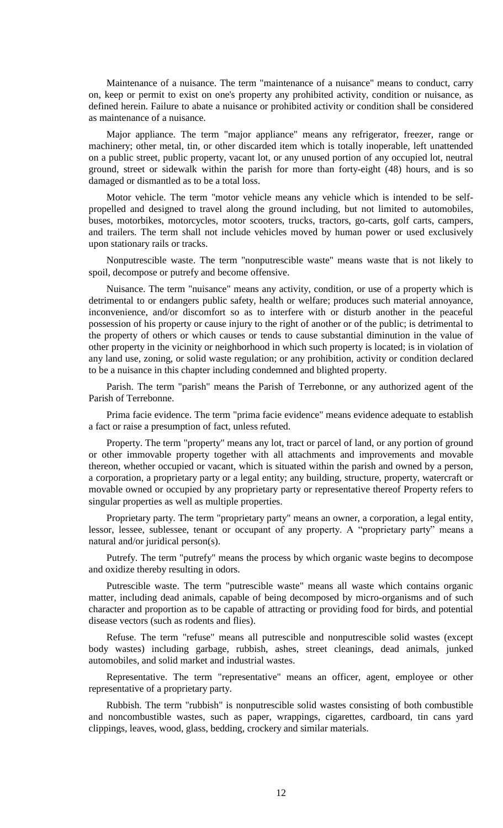Maintenance of a nuisance. The term "maintenance of a nuisance" means to conduct, carry on, keep or permit to exist on one's property any prohibited activity, condition or nuisance, as defined herein. Failure to abate a nuisance or prohibited activity or condition shall be considered as maintenance of a nuisance.

Major appliance. The term "major appliance" means any refrigerator, freezer, range or machinery; other metal, tin, or other discarded item which is totally inoperable, left unattended on a public street, public property, vacant lot, or any unused portion of any occupied lot, neutral ground, street or sidewalk within the parish for more than forty-eight (48) hours, and is so damaged or dismantled as to be a total loss.

Motor vehicle. The term "motor vehicle means any vehicle which is intended to be selfpropelled and designed to travel along the ground including, but not limited to automobiles, buses, motorbikes, motorcycles, motor scooters, trucks, tractors, go-carts, golf carts, campers, and trailers. The term shall not include vehicles moved by human power or used exclusively upon stationary rails or tracks.

Nonputrescible waste. The term "nonputrescible waste" means waste that is not likely to spoil, decompose or putrefy and become offensive.

Nuisance. The term "nuisance" means any activity, condition, or use of a property which is detrimental to or endangers public safety, health or welfare; produces such material annoyance, inconvenience, and/or discomfort so as to interfere with or disturb another in the peaceful possession of his property or cause injury to the right of another or of the public; is detrimental to the property of others or which causes or tends to cause substantial diminution in the value of other property in the vicinity or neighborhood in which such property is located; is in violation of any land use, zoning, or solid waste regulation; or any prohibition, activity or condition declared to be a nuisance in this chapter including condemned and blighted property.

Parish. The term "parish" means the Parish of Terrebonne, or any authorized agent of the Parish of Terrebonne.

Prima facie evidence. The term "prima facie evidence" means evidence adequate to establish a fact or raise a presumption of fact, unless refuted.

Property. The term "property" means any lot, tract or parcel of land, or any portion of ground or other immovable property together with all attachments and improvements and movable thereon, whether occupied or vacant, which is situated within the parish and owned by a person, a corporation, a proprietary party or a legal entity; any building, structure, property, watercraft or movable owned or occupied by any proprietary party or representative thereof Property refers to singular properties as well as multiple properties.

Proprietary party. The term "proprietary party" means an owner, a corporation, a legal entity, lessor, lessee, sublessee, tenant or occupant of any property. A "proprietary party" means a natural and/or juridical person(s).

Putrefy. The term "putrefy" means the process by which organic waste begins to decompose and oxidize thereby resulting in odors.

Putrescible waste. The term "putrescible waste" means all waste which contains organic matter, including dead animals, capable of being decomposed by micro-organisms and of such character and proportion as to be capable of attracting or providing food for birds, and potential disease vectors (such as rodents and flies).

Refuse. The term "refuse" means all putrescible and nonputrescible solid wastes (except body wastes) including garbage, rubbish, ashes, street cleanings, dead animals, junked automobiles, and solid market and industrial wastes.

Representative. The term "representative" means an officer, agent, employee or other representative of a proprietary party.

Rubbish. The term "rubbish" is nonputrescible solid wastes consisting of both combustible and noncombustible wastes, such as paper, wrappings, cigarettes, cardboard, tin cans yard clippings, leaves, wood, glass, bedding, crockery and similar materials.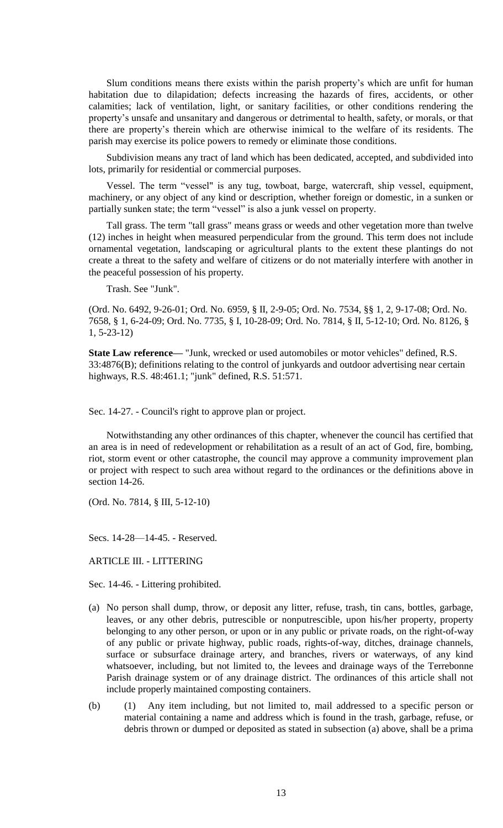Slum conditions means there exists within the parish property's which are unfit for human habitation due to dilapidation; defects increasing the hazards of fires, accidents, or other calamities; lack of ventilation, light, or sanitary facilities, or other conditions rendering the property's unsafe and unsanitary and dangerous or detrimental to health, safety, or morals, or that there are property's therein which are otherwise inimical to the welfare of its residents. The parish may exercise its police powers to remedy or eliminate those conditions.

Subdivision means any tract of land which has been dedicated, accepted, and subdivided into lots, primarily for residential or commercial purposes.

Vessel. The term "vessel" is any tug, towboat, barge, watercraft, ship vessel, equipment, machinery, or any object of any kind or description, whether foreign or domestic, in a sunken or partially sunken state; the term "vessel" is also a junk vessel on property.

Tall grass. The term "tall grass" means grass or weeds and other vegetation more than twelve (12) inches in height when measured perpendicular from the ground. This term does not include ornamental vegetation, landscaping or agricultural plants to the extent these plantings do not create a threat to the safety and welfare of citizens or do not materially interfere with another in the peaceful possession of his property.

Trash. See "Junk".

(Ord. No. 6492, 9-26-01; Ord. No. 6959, § II, 2-9-05; Ord. No. 7534, §§ 1, 2, 9-17-08; Ord. No. 7658, § 1, 6-24-09; Ord. No. 7735, § I, 10-28-09; Ord. No. 7814, § II, 5-12-10; Ord. No. 8126, § 1, 5-23-12)

**State Law reference—** "Junk, wrecked or used automobiles or motor vehicles" defined, R.S. 33:4876(B); definitions relating to the control of junkyards and outdoor advertising near certain highways, R.S. 48:461.1; "junk" defined, R.S. 51:571.

Sec. 14-27. - Council's right to approve plan or project.

Notwithstanding any other ordinances of this chapter, whenever the council has certified that an area is in need of redevelopment or rehabilitation as a result of an act of God, fire, bombing, riot, storm event or other catastrophe, the council may approve a community improvement plan or project with respect to such area without regard to the ordinances or the definitions above in section 14-26.

(Ord. No. 7814, § III, 5-12-10)

Secs. 14-28—14-45. - Reserved.

ARTICLE III. - LITTERING

Sec. 14-46. - Littering prohibited.

- (a) No person shall dump, throw, or deposit any litter, refuse, trash, tin cans, bottles, garbage, leaves, or any other debris, putrescible or nonputrescible, upon his/her property, property belonging to any other person, or upon or in any public or private roads, on the right-of-way of any public or private highway, public roads, rights-of-way, ditches, drainage channels, surface or subsurface drainage artery, and branches, rivers or waterways, of any kind whatsoever, including, but not limited to, the levees and drainage ways of the Terrebonne Parish drainage system or of any drainage district. The ordinances of this article shall not include properly maintained composting containers.
- (b) (1) Any item including, but not limited to, mail addressed to a specific person or material containing a name and address which is found in the trash, garbage, refuse, or debris thrown or dumped or deposited as stated in subsection (a) above, shall be a prima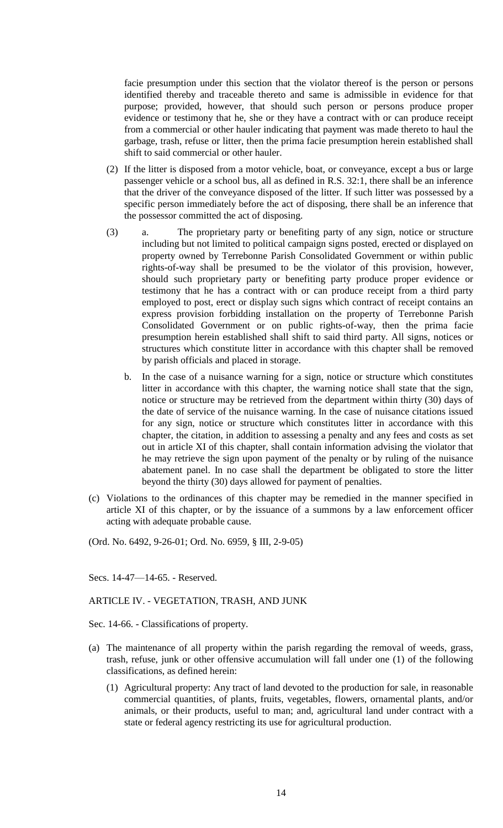facie presumption under this section that the violator thereof is the person or persons identified thereby and traceable thereto and same is admissible in evidence for that purpose; provided, however, that should such person or persons produce proper evidence or testimony that he, she or they have a contract with or can produce receipt from a commercial or other hauler indicating that payment was made thereto to haul the garbage, trash, refuse or litter, then the prima facie presumption herein established shall shift to said commercial or other hauler.

- (2) If the litter is disposed from a motor vehicle, boat, or conveyance, except a bus or large passenger vehicle or a school bus, all as defined in R.S. 32:1, there shall be an inference that the driver of the conveyance disposed of the litter. If such litter was possessed by a specific person immediately before the act of disposing, there shall be an inference that the possessor committed the act of disposing.
- (3) a. The proprietary party or benefiting party of any sign, notice or structure including but not limited to political campaign signs posted, erected or displayed on property owned by Terrebonne Parish Consolidated Government or within public rights-of-way shall be presumed to be the violator of this provision, however, should such proprietary party or benefiting party produce proper evidence or testimony that he has a contract with or can produce receipt from a third party employed to post, erect or display such signs which contract of receipt contains an express provision forbidding installation on the property of Terrebonne Parish Consolidated Government or on public rights-of-way, then the prima facie presumption herein established shall shift to said third party. All signs, notices or structures which constitute litter in accordance with this chapter shall be removed by parish officials and placed in storage.
	- b. In the case of a nuisance warning for a sign, notice or structure which constitutes litter in accordance with this chapter, the warning notice shall state that the sign, notice or structure may be retrieved from the department within thirty (30) days of the date of service of the nuisance warning. In the case of nuisance citations issued for any sign, notice or structure which constitutes litter in accordance with this chapter, the citation, in addition to assessing a penalty and any fees and costs as set out in article XI of this chapter, shall contain information advising the violator that he may retrieve the sign upon payment of the penalty or by ruling of the nuisance abatement panel. In no case shall the department be obligated to store the litter beyond the thirty (30) days allowed for payment of penalties.
- (c) Violations to the ordinances of this chapter may be remedied in the manner specified in article XI of this chapter, or by the issuance of a summons by a law enforcement officer acting with adequate probable cause.

(Ord. No. 6492, 9-26-01; Ord. No. 6959, § III, 2-9-05)

## Secs. 14-47—14-65. - Reserved.

## ARTICLE IV. - VEGETATION, TRASH, AND JUNK

Sec. 14-66. - Classifications of property.

- (a) The maintenance of all property within the parish regarding the removal of weeds, grass, trash, refuse, junk or other offensive accumulation will fall under one (1) of the following classifications, as defined herein:
	- (1) Agricultural property: Any tract of land devoted to the production for sale, in reasonable commercial quantities, of plants, fruits, vegetables, flowers, ornamental plants, and/or animals, or their products, useful to man; and, agricultural land under contract with a state or federal agency restricting its use for agricultural production.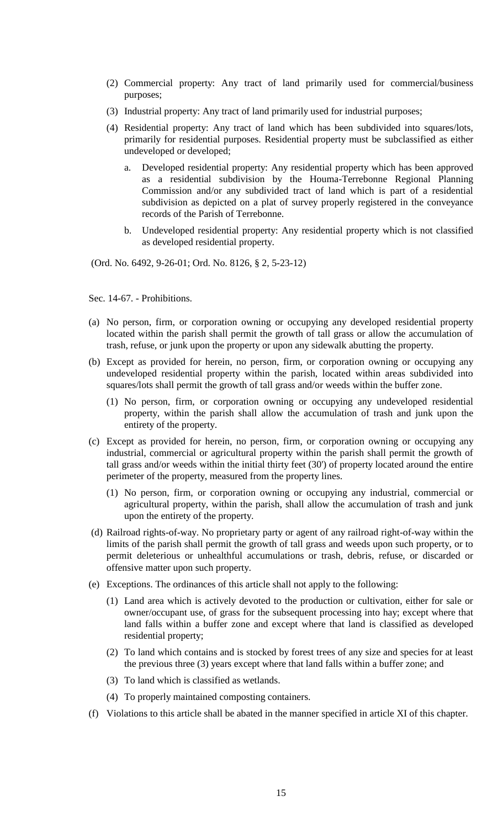- (2) Commercial property: Any tract of land primarily used for commercial/business purposes;
- (3) Industrial property: Any tract of land primarily used for industrial purposes;
- (4) Residential property: Any tract of land which has been subdivided into squares/lots, primarily for residential purposes. Residential property must be subclassified as either undeveloped or developed;
	- a. Developed residential property: Any residential property which has been approved as a residential subdivision by the Houma-Terrebonne Regional Planning Commission and/or any subdivided tract of land which is part of a residential subdivision as depicted on a plat of survey properly registered in the conveyance records of the Parish of Terrebonne.
	- b. Undeveloped residential property: Any residential property which is not classified as developed residential property.

(Ord. No. 6492, 9-26-01; Ord. No. 8126, § 2, 5-23-12)

Sec. 14-67. - Prohibitions.

- (a) No person, firm, or corporation owning or occupying any developed residential property located within the parish shall permit the growth of tall grass or allow the accumulation of trash, refuse, or junk upon the property or upon any sidewalk abutting the property.
- (b) Except as provided for herein, no person, firm, or corporation owning or occupying any undeveloped residential property within the parish, located within areas subdivided into squares/lots shall permit the growth of tall grass and/or weeds within the buffer zone.
	- (1) No person, firm, or corporation owning or occupying any undeveloped residential property, within the parish shall allow the accumulation of trash and junk upon the entirety of the property.
- (c) Except as provided for herein, no person, firm, or corporation owning or occupying any industrial, commercial or agricultural property within the parish shall permit the growth of tall grass and/or weeds within the initial thirty feet (30') of property located around the entire perimeter of the property, measured from the property lines.
	- (1) No person, firm, or corporation owning or occupying any industrial, commercial or agricultural property, within the parish, shall allow the accumulation of trash and junk upon the entirety of the property.
- (d) Railroad rights-of-way. No proprietary party or agent of any railroad right-of-way within the limits of the parish shall permit the growth of tall grass and weeds upon such property, or to permit deleterious or unhealthful accumulations or trash, debris, refuse, or discarded or offensive matter upon such property.
- (e) Exceptions. The ordinances of this article shall not apply to the following:
	- (1) Land area which is actively devoted to the production or cultivation, either for sale or owner/occupant use, of grass for the subsequent processing into hay; except where that land falls within a buffer zone and except where that land is classified as developed residential property;
	- (2) To land which contains and is stocked by forest trees of any size and species for at least the previous three (3) years except where that land falls within a buffer zone; and
	- (3) To land which is classified as wetlands.
	- (4) To properly maintained composting containers.
- (f) Violations to this article shall be abated in the manner specified in article XI of this chapter.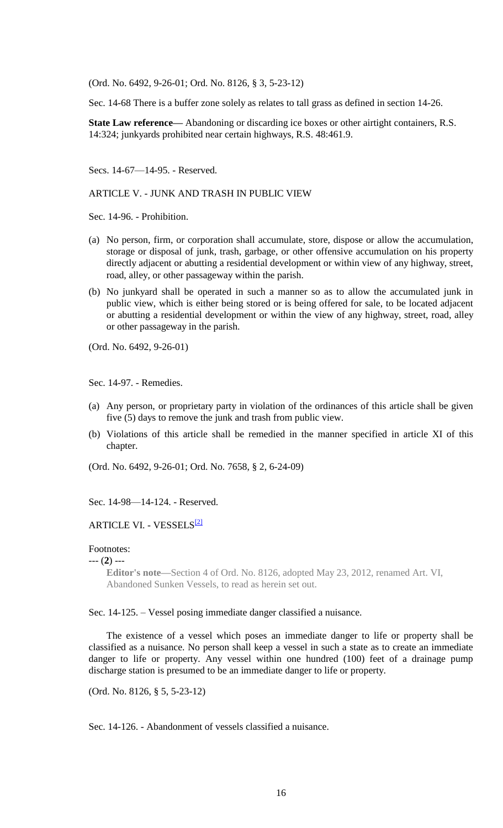(Ord. No. 6492, 9-26-01; Ord. No. 8126, § 3, 5-23-12)

Sec. 14-68 There is a buffer zone solely as relates to tall grass as defined in section 14-26.

**State Law reference—** Abandoning or discarding ice boxes or other airtight containers, R.S. 14:324; junkyards prohibited near certain highways, R.S. 48:461.9.

Secs. 14-67—14-95. - Reserved.

ARTICLE V. - JUNK AND TRASH IN PUBLIC VIEW

Sec. 14-96. - Prohibition.

- (a) No person, firm, or corporation shall accumulate, store, dispose or allow the accumulation, storage or disposal of junk, trash, garbage, or other offensive accumulation on his property directly adjacent or abutting a residential development or within view of any highway, street, road, alley, or other passageway within the parish.
- (b) No junkyard shall be operated in such a manner so as to allow the accumulated junk in public view, which is either being stored or is being offered for sale, to be located adjacent or abutting a residential development or within the view of any highway, street, road, alley or other passageway in the parish.

(Ord. No. 6492, 9-26-01)

Sec. 14-97. - Remedies.

- (a) Any person, or proprietary party in violation of the ordinances of this article shall be given five (5) days to remove the junk and trash from public view.
- (b) Violations of this article shall be remedied in the manner specified in article XI of this chapter.

(Ord. No. 6492, 9-26-01; Ord. No. 7658, § 2, 6-24-09)

Sec. 14-98—14-124. - Reserved.

## ARTICLE VI. - VESSELS<sup>[2]</sup>

### Footnotes:

--- (**2**) ---

**Editor's note—**Section 4 of Ord. No. 8126, adopted May 23, 2012, renamed Art. VI, Abandoned Sunken Vessels, to read as herein set out.

Sec. 14-125. – Vessel posing immediate danger classified a nuisance.

The existence of a vessel which poses an immediate danger to life or property shall be classified as a nuisance. No person shall keep a vessel in such a state as to create an immediate danger to life or property. Any vessel within one hundred (100) feet of a drainage pump discharge station is presumed to be an immediate danger to life or property.

(Ord. No. 8126, § 5, 5-23-12)

Sec. 14-126. - Abandonment of vessels classified a nuisance.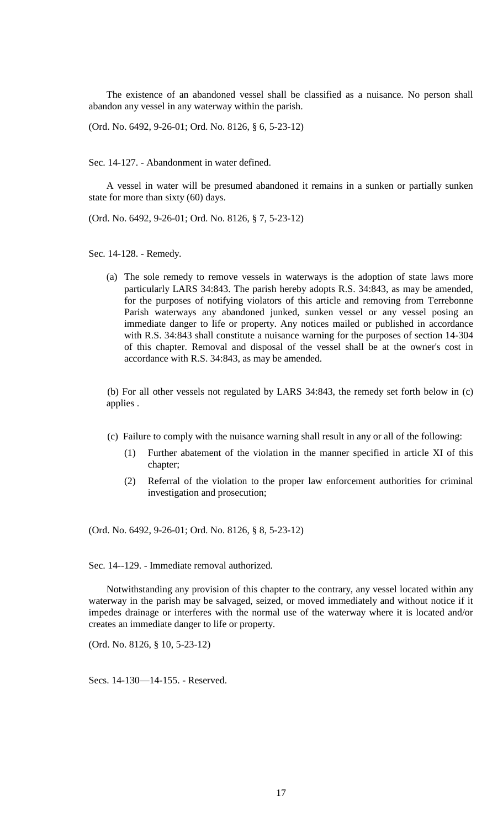The existence of an abandoned vessel shall be classified as a nuisance. No person shall abandon any vessel in any waterway within the parish.

(Ord. No. 6492, 9-26-01; Ord. No. 8126, § 6, 5-23-12)

Sec. 14-127. - Abandonment in water defined.

A vessel in water will be presumed abandoned it remains in a sunken or partially sunken state for more than sixty (60) days.

(Ord. No. 6492, 9-26-01; Ord. No. 8126, § 7, 5-23-12)

Sec. 14-128. - Remedy.

(a) The sole remedy to remove vessels in waterways is the adoption of state laws more particularly LARS 34:843. The parish hereby adopts R.S. 34:843, as may be amended, for the purposes of notifying violators of this article and removing from Terrebonne Parish waterways any abandoned junked, sunken vessel or any vessel posing an immediate danger to life or property. Any notices mailed or published in accordance with R.S. 34:843 shall constitute a nuisance warning for the purposes of section 14-304 of this chapter. Removal and disposal of the vessel shall be at the owner's cost in accordance with R.S. 34:843, as may be amended.

(b) For all other vessels not regulated by LARS 34:843, the remedy set forth below in (c) applies .

- (c) Failure to comply with the nuisance warning shall result in any or all of the following:
	- (1) Further abatement of the violation in the manner specified in article XI of this chapter;
	- (2) Referral of the violation to the proper law enforcement authorities for criminal investigation and prosecution;

(Ord. No. 6492, 9-26-01; Ord. No. 8126, § 8, 5-23-12)

Sec. 14--129. - Immediate removal authorized.

Notwithstanding any provision of this chapter to the contrary, any vessel located within any waterway in the parish may be salvaged, seized, or moved immediately and without notice if it impedes drainage or interferes with the normal use of the waterway where it is located and/or creates an immediate danger to life or property.

(Ord. No. 8126, § 10, 5-23-12)

Secs. 14-130—14-155. - Reserved.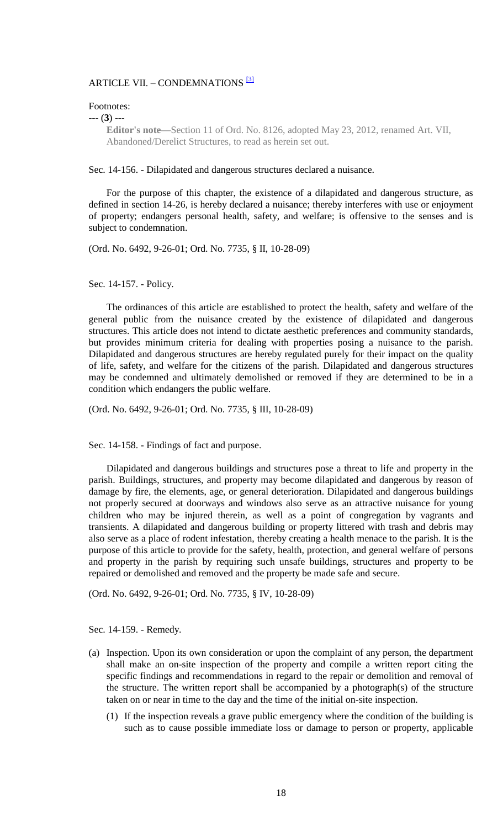## ARTICLE VII. - CONDEMNATIONS<sup>[3]</sup>

#### Footnotes:

--- (**3**) ---

**Editor's note—**Section 11 of Ord. No. 8126, adopted May 23, 2012, renamed Art. VII, Abandoned/Derelict Structures, to read as herein set out.

Sec. 14-156. - Dilapidated and dangerous structures declared a nuisance.

For the purpose of this chapter, the existence of a dilapidated and dangerous structure, as defined in section 14-26, is hereby declared a nuisance; thereby interferes with use or enjoyment of property; endangers personal health, safety, and welfare; is offensive to the senses and is subject to condemnation.

(Ord. No. 6492, 9-26-01; Ord. No. 7735, § II, 10-28-09)

Sec. 14-157. - Policy.

The ordinances of this article are established to protect the health, safety and welfare of the general public from the nuisance created by the existence of dilapidated and dangerous structures. This article does not intend to dictate aesthetic preferences and community standards, but provides minimum criteria for dealing with properties posing a nuisance to the parish. Dilapidated and dangerous structures are hereby regulated purely for their impact on the quality of life, safety, and welfare for the citizens of the parish. Dilapidated and dangerous structures may be condemned and ultimately demolished or removed if they are determined to be in a condition which endangers the public welfare.

(Ord. No. 6492, 9-26-01; Ord. No. 7735, § III, 10-28-09)

Sec. 14-158. - Findings of fact and purpose.

Dilapidated and dangerous buildings and structures pose a threat to life and property in the parish. Buildings, structures, and property may become dilapidated and dangerous by reason of damage by fire, the elements, age, or general deterioration. Dilapidated and dangerous buildings not properly secured at doorways and windows also serve as an attractive nuisance for young children who may be injured therein, as well as a point of congregation by vagrants and transients. A dilapidated and dangerous building or property littered with trash and debris may also serve as a place of rodent infestation, thereby creating a health menace to the parish. It is the purpose of this article to provide for the safety, health, protection, and general welfare of persons and property in the parish by requiring such unsafe buildings, structures and property to be repaired or demolished and removed and the property be made safe and secure.

(Ord. No. 6492, 9-26-01; Ord. No. 7735, § IV, 10-28-09)

Sec. 14-159. - Remedy.

- (a) Inspection. Upon its own consideration or upon the complaint of any person, the department shall make an on-site inspection of the property and compile a written report citing the specific findings and recommendations in regard to the repair or demolition and removal of the structure. The written report shall be accompanied by a photograph(s) of the structure taken on or near in time to the day and the time of the initial on-site inspection.
	- (1) If the inspection reveals a grave public emergency where the condition of the building is such as to cause possible immediate loss or damage to person or property, applicable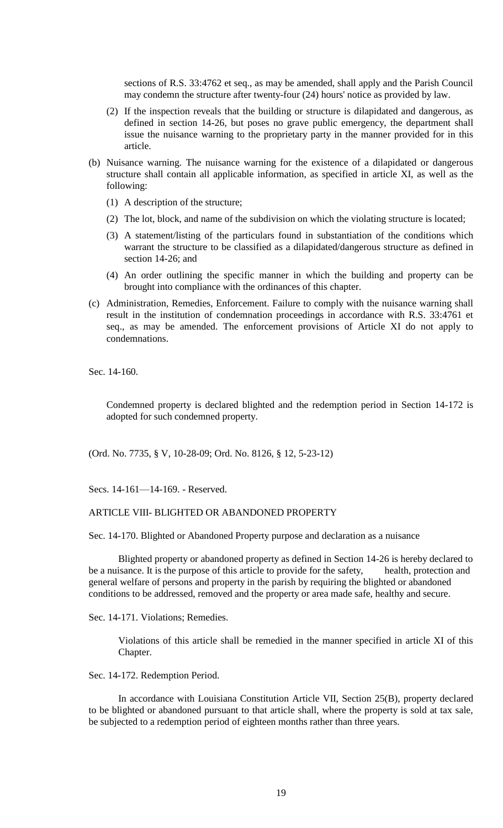sections of R.S. 33:4762 et seq., as may be amended, shall apply and the Parish Council may condemn the structure after twenty-four (24) hours' notice as provided by law.

- (2) If the inspection reveals that the building or structure is dilapidated and dangerous, as defined in section 14-26, but poses no grave public emergency, the department shall issue the nuisance warning to the proprietary party in the manner provided for in this article.
- (b) Nuisance warning. The nuisance warning for the existence of a dilapidated or dangerous structure shall contain all applicable information, as specified in article XI, as well as the following:
	- (1) A description of the structure;
	- (2) The lot, block, and name of the subdivision on which the violating structure is located;
	- (3) A statement/listing of the particulars found in substantiation of the conditions which warrant the structure to be classified as a dilapidated/dangerous structure as defined in section 14-26; and
	- (4) An order outlining the specific manner in which the building and property can be brought into compliance with the ordinances of this chapter.
- (c) Administration, Remedies, Enforcement. Failure to comply with the nuisance warning shall result in the institution of condemnation proceedings in accordance with R.S. 33:4761 et seq., as may be amended. The enforcement provisions of Article XI do not apply to condemnations.

Sec. 14-160.

Condemned property is declared blighted and the redemption period in Section 14-172 is adopted for such condemned property.

(Ord. No. 7735, § V, 10-28-09; Ord. No. 8126, § 12, 5-23-12)

Secs. 14-161—14-169. - Reserved.

## ARTICLE VIII- BLIGHTED OR ABANDONED PROPERTY

Sec. 14-170. Blighted or Abandoned Property purpose and declaration as a nuisance

Blighted property or abandoned property as defined in Section 14-26 is hereby declared to be a nuisance. It is the purpose of this article to provide for the safety, health, protection and general welfare of persons and property in the parish by requiring the blighted or abandoned conditions to be addressed, removed and the property or area made safe, healthy and secure.

Sec. 14-171. Violations; Remedies.

Violations of this article shall be remedied in the manner specified in article XI of this Chapter.

Sec. 14-172. Redemption Period.

In accordance with Louisiana Constitution Article VII, Section 25(B), property declared to be blighted or abandoned pursuant to that article shall, where the property is sold at tax sale, be subjected to a redemption period of eighteen months rather than three years.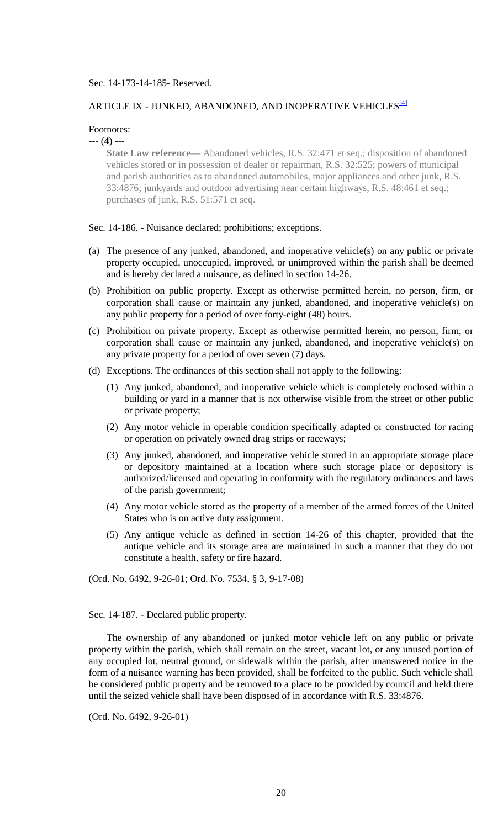### Sec. 14-173-14-185- Reserved.

# ARTICLE IX - JUNKED, ABANDONED, AND INOPERATIVE VEHICLES  $^{[4]}$

## Footnotes:

--- (**4**) ---

**State Law reference—** Abandoned vehicles, R.S. 32:471 et seq.; disposition of abandoned vehicles stored or in possession of dealer or repairman, R.S. 32:525; powers of municipal and parish authorities as to abandoned automobiles, major appliances and other junk, R.S. 33:4876; junkyards and outdoor advertising near certain highways, R.S. 48:461 et seq.; purchases of junk, R.S. 51:571 et seq.

Sec. 14-186. - Nuisance declared; prohibitions; exceptions.

- (a) The presence of any junked, abandoned, and inoperative vehicle(s) on any public or private property occupied, unoccupied, improved, or unimproved within the parish shall be deemed and is hereby declared a nuisance, as defined in section 14-26.
- (b) Prohibition on public property. Except as otherwise permitted herein, no person, firm, or corporation shall cause or maintain any junked, abandoned, and inoperative vehicle(s) on any public property for a period of over forty-eight (48) hours.
- (c) Prohibition on private property. Except as otherwise permitted herein, no person, firm, or corporation shall cause or maintain any junked, abandoned, and inoperative vehicle(s) on any private property for a period of over seven (7) days.
- (d) Exceptions. The ordinances of this section shall not apply to the following:
	- (1) Any junked, abandoned, and inoperative vehicle which is completely enclosed within a building or yard in a manner that is not otherwise visible from the street or other public or private property;
	- (2) Any motor vehicle in operable condition specifically adapted or constructed for racing or operation on privately owned drag strips or raceways;
	- (3) Any junked, abandoned, and inoperative vehicle stored in an appropriate storage place or depository maintained at a location where such storage place or depository is authorized/licensed and operating in conformity with the regulatory ordinances and laws of the parish government;
	- (4) Any motor vehicle stored as the property of a member of the armed forces of the United States who is on active duty assignment.
	- (5) Any antique vehicle as defined in section 14-26 of this chapter, provided that the antique vehicle and its storage area are maintained in such a manner that they do not constitute a health, safety or fire hazard.

(Ord. No. 6492, 9-26-01; Ord. No. 7534, § 3, 9-17-08)

Sec. 14-187. - Declared public property.

The ownership of any abandoned or junked motor vehicle left on any public or private property within the parish, which shall remain on the street, vacant lot, or any unused portion of any occupied lot, neutral ground, or sidewalk within the parish, after unanswered notice in the form of a nuisance warning has been provided, shall be forfeited to the public. Such vehicle shall be considered public property and be removed to a place to be provided by council and held there until the seized vehicle shall have been disposed of in accordance with R.S. 33:4876.

(Ord. No. 6492, 9-26-01)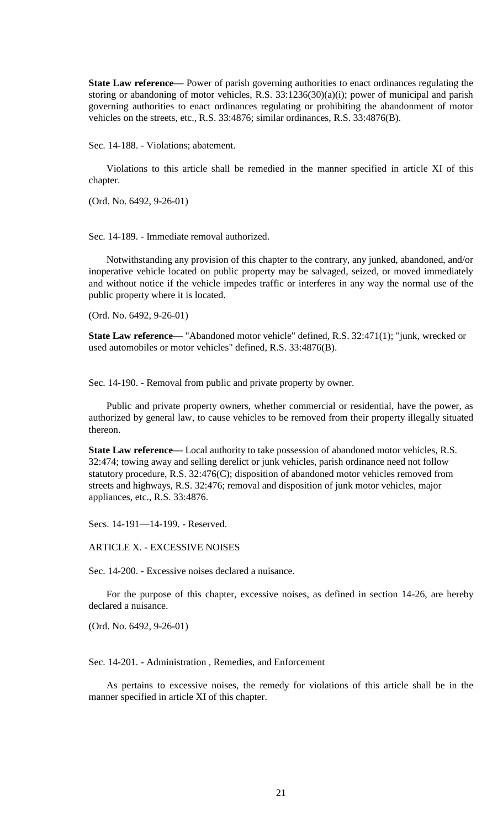**State Law reference—** Power of parish governing authorities to enact ordinances regulating the storing or abandoning of motor vehicles, R.S. 33:1236(30)(a)(i); power of municipal and parish governing authorities to enact ordinances regulating or prohibiting the abandonment of motor vehicles on the streets, etc., R.S. 33:4876; similar ordinances, R.S. 33:4876(B).

Sec. 14-188. - Violations; abatement.

Violations to this article shall be remedied in the manner specified in article XI of this chapter.

(Ord. No. 6492, 9-26-01)

Sec. 14-189. - Immediate removal authorized.

Notwithstanding any provision of this chapter to the contrary, any junked, abandoned, and/or inoperative vehicle located on public property may be salvaged, seized, or moved immediately and without notice if the vehicle impedes traffic or interferes in any way the normal use of the public property where it is located.

(Ord. No. 6492, 9-26-01)

**State Law reference—** "Abandoned motor vehicle" defined, R.S. 32:471(1); "junk, wrecked or used automobiles or motor vehicles" defined, R.S. 33:4876(B).

Sec. 14-190. - Removal from public and private property by owner.

Public and private property owners, whether commercial or residential, have the power, as authorized by general law, to cause vehicles to be removed from their property illegally situated thereon.

**State Law reference—** Local authority to take possession of abandoned motor vehicles, R.S. 32:474; towing away and selling derelict or junk vehicles, parish ordinance need not follow statutory procedure, R.S. 32:476(C); disposition of abandoned motor vehicles removed from streets and highways, R.S. 32:476; removal and disposition of junk motor vehicles, major appliances, etc., R.S. 33:4876.

Secs. 14-191—14-199. - Reserved.

ARTICLE X. - EXCESSIVE NOISES

Sec. 14-200. - Excessive noises declared a nuisance.

For the purpose of this chapter, excessive noises, as defined in section 14-26, are hereby declared a nuisance.

(Ord. No. 6492, 9-26-01)

Sec. 14-201. - Administration , Remedies, and Enforcement

As pertains to excessive noises, the remedy for violations of this article shall be in the manner specified in article XI of this chapter.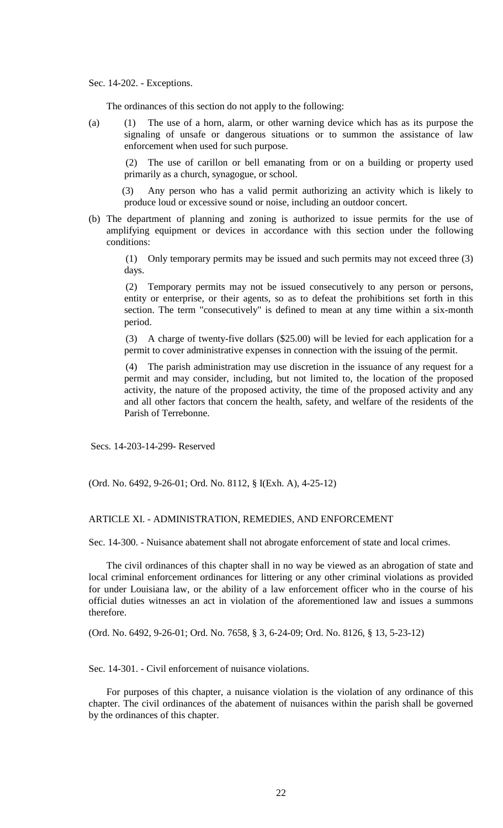Sec. 14-202. - Exceptions.

The ordinances of this section do not apply to the following:

(a) (1) The use of a horn, alarm, or other warning device which has as its purpose the signaling of unsafe or dangerous situations or to summon the assistance of law enforcement when used for such purpose.

(2) The use of carillon or bell emanating from or on a building or property used primarily as a church, synagogue, or school.

(3) Any person who has a valid permit authorizing an activity which is likely to produce loud or excessive sound or noise, including an outdoor concert.

(b) The department of planning and zoning is authorized to issue permits for the use of amplifying equipment or devices in accordance with this section under the following conditions:

(1) Only temporary permits may be issued and such permits may not exceed three (3) days.

(2) Temporary permits may not be issued consecutively to any person or persons, entity or enterprise, or their agents, so as to defeat the prohibitions set forth in this section. The term "consecutively" is defined to mean at any time within a six-month period.

(3) A charge of twenty-five dollars (\$25.00) will be levied for each application for a permit to cover administrative expenses in connection with the issuing of the permit.

(4) The parish administration may use discretion in the issuance of any request for a permit and may consider, including, but not limited to, the location of the proposed activity, the nature of the proposed activity, the time of the proposed activity and any and all other factors that concern the health, safety, and welfare of the residents of the Parish of Terrebonne.

Secs. 14-203-14-299- Reserved

(Ord. No. 6492, 9-26-01; Ord. No. 8112, § I(Exh. A), 4-25-12)

## ARTICLE XI. - ADMINISTRATION, REMEDIES, AND ENFORCEMENT

Sec. 14-300. - Nuisance abatement shall not abrogate enforcement of state and local crimes.

The civil ordinances of this chapter shall in no way be viewed as an abrogation of state and local criminal enforcement ordinances for littering or any other criminal violations as provided for under Louisiana law, or the ability of a law enforcement officer who in the course of his official duties witnesses an act in violation of the aforementioned law and issues a summons therefore.

(Ord. No. 6492, 9-26-01; Ord. No. 7658, § 3, 6-24-09; Ord. No. 8126, § 13, 5-23-12)

Sec. 14-301. - Civil enforcement of nuisance violations.

For purposes of this chapter, a nuisance violation is the violation of any ordinance of this chapter. The civil ordinances of the abatement of nuisances within the parish shall be governed by the ordinances of this chapter.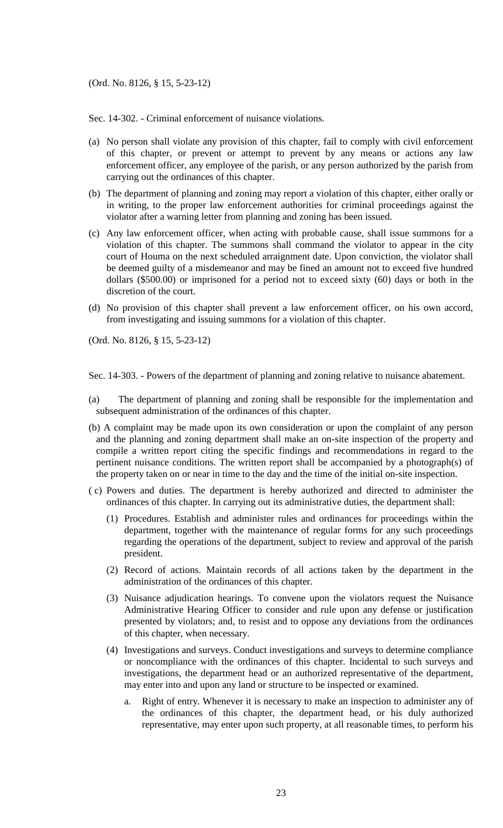Sec. 14-302. - Criminal enforcement of nuisance violations.

- (a) No person shall violate any provision of this chapter, fail to comply with civil enforcement of this chapter, or prevent or attempt to prevent by any means or actions any law enforcement officer, any employee of the parish, or any person authorized by the parish from carrying out the ordinances of this chapter.
- (b) The department of planning and zoning may report a violation of this chapter, either orally or in writing, to the proper law enforcement authorities for criminal proceedings against the violator after a warning letter from planning and zoning has been issued.
- (c) Any law enforcement officer, when acting with probable cause, shall issue summons for a violation of this chapter. The summons shall command the violator to appear in the city court of Houma on the next scheduled arraignment date. Upon conviction, the violator shall be deemed guilty of a misdemeanor and may be fined an amount not to exceed five hundred dollars (\$500.00) or imprisoned for a period not to exceed sixty (60) days or both in the discretion of the court.
- (d) No provision of this chapter shall prevent a law enforcement officer, on his own accord, from investigating and issuing summons for a violation of this chapter.

(Ord. No. 8126, § 15, 5-23-12)

Sec. 14-303. - Powers of the department of planning and zoning relative to nuisance abatement.

- (a) The department of planning and zoning shall be responsible for the implementation and subsequent administration of the ordinances of this chapter.
- (b) A complaint may be made upon its own consideration or upon the complaint of any person and the planning and zoning department shall make an on-site inspection of the property and compile a written report citing the specific findings and recommendations in regard to the pertinent nuisance conditions. The written report shall be accompanied by a photograph(s) of the property taken on or near in time to the day and the time of the initial on-site inspection.
- ( c) Powers and duties. The department is hereby authorized and directed to administer the ordinances of this chapter. In carrying out its administrative duties, the department shall:
	- (1) Procedures. Establish and administer rules and ordinances for proceedings within the department, together with the maintenance of regular forms for any such proceedings regarding the operations of the department, subject to review and approval of the parish president.
	- (2) Record of actions. Maintain records of all actions taken by the department in the administration of the ordinances of this chapter.
	- (3) Nuisance adjudication hearings. To convene upon the violators request the Nuisance Administrative Hearing Officer to consider and rule upon any defense or justification presented by violators; and, to resist and to oppose any deviations from the ordinances of this chapter, when necessary.
	- (4) Investigations and surveys. Conduct investigations and surveys to determine compliance or noncompliance with the ordinances of this chapter. Incidental to such surveys and investigations, the department head or an authorized representative of the department, may enter into and upon any land or structure to be inspected or examined.
		- a. Right of entry. Whenever it is necessary to make an inspection to administer any of the ordinances of this chapter, the department head, or his duly authorized representative, may enter upon such property, at all reasonable times, to perform his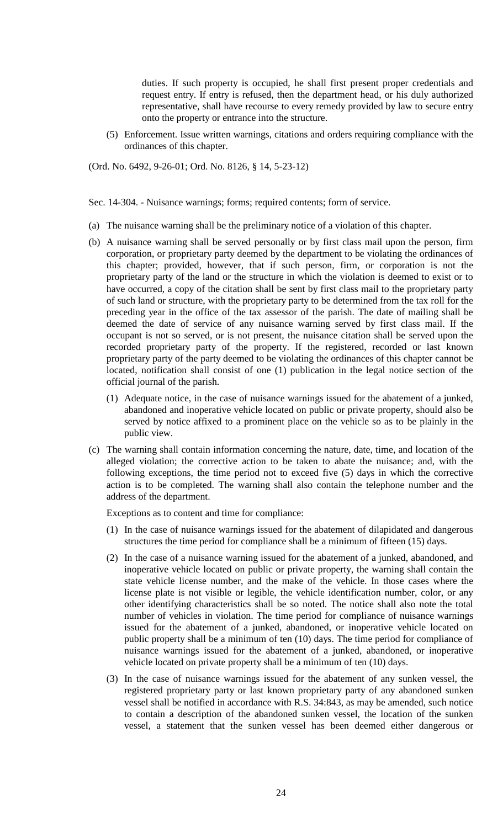duties. If such property is occupied, he shall first present proper credentials and request entry. If entry is refused, then the department head, or his duly authorized representative, shall have recourse to every remedy provided by law to secure entry onto the property or entrance into the structure.

(5) Enforcement. Issue written warnings, citations and orders requiring compliance with the ordinances of this chapter.

(Ord. No. 6492, 9-26-01; Ord. No. 8126, § 14, 5-23-12)

Sec. 14-304. - Nuisance warnings; forms; required contents; form of service.

- (a) The nuisance warning shall be the preliminary notice of a violation of this chapter.
- (b) A nuisance warning shall be served personally or by first class mail upon the person, firm corporation, or proprietary party deemed by the department to be violating the ordinances of this chapter; provided, however, that if such person, firm, or corporation is not the proprietary party of the land or the structure in which the violation is deemed to exist or to have occurred, a copy of the citation shall be sent by first class mail to the proprietary party of such land or structure, with the proprietary party to be determined from the tax roll for the preceding year in the office of the tax assessor of the parish. The date of mailing shall be deemed the date of service of any nuisance warning served by first class mail. If the occupant is not so served, or is not present, the nuisance citation shall be served upon the recorded proprietary party of the property. If the registered, recorded or last known proprietary party of the party deemed to be violating the ordinances of this chapter cannot be located, notification shall consist of one (1) publication in the legal notice section of the official journal of the parish.
	- (1) Adequate notice, in the case of nuisance warnings issued for the abatement of a junked, abandoned and inoperative vehicle located on public or private property, should also be served by notice affixed to a prominent place on the vehicle so as to be plainly in the public view.
- (c) The warning shall contain information concerning the nature, date, time, and location of the alleged violation; the corrective action to be taken to abate the nuisance; and, with the following exceptions, the time period not to exceed five (5) days in which the corrective action is to be completed. The warning shall also contain the telephone number and the address of the department.

Exceptions as to content and time for compliance:

- (1) In the case of nuisance warnings issued for the abatement of dilapidated and dangerous structures the time period for compliance shall be a minimum of fifteen (15) days.
- (2) In the case of a nuisance warning issued for the abatement of a junked, abandoned, and inoperative vehicle located on public or private property, the warning shall contain the state vehicle license number, and the make of the vehicle. In those cases where the license plate is not visible or legible, the vehicle identification number, color, or any other identifying characteristics shall be so noted. The notice shall also note the total number of vehicles in violation. The time period for compliance of nuisance warnings issued for the abatement of a junked, abandoned, or inoperative vehicle located on public property shall be a minimum of ten (10) days. The time period for compliance of nuisance warnings issued for the abatement of a junked, abandoned, or inoperative vehicle located on private property shall be a minimum of ten (10) days.
- (3) In the case of nuisance warnings issued for the abatement of any sunken vessel, the registered proprietary party or last known proprietary party of any abandoned sunken vessel shall be notified in accordance with R.S. 34:843, as may be amended, such notice to contain a description of the abandoned sunken vessel, the location of the sunken vessel, a statement that the sunken vessel has been deemed either dangerous or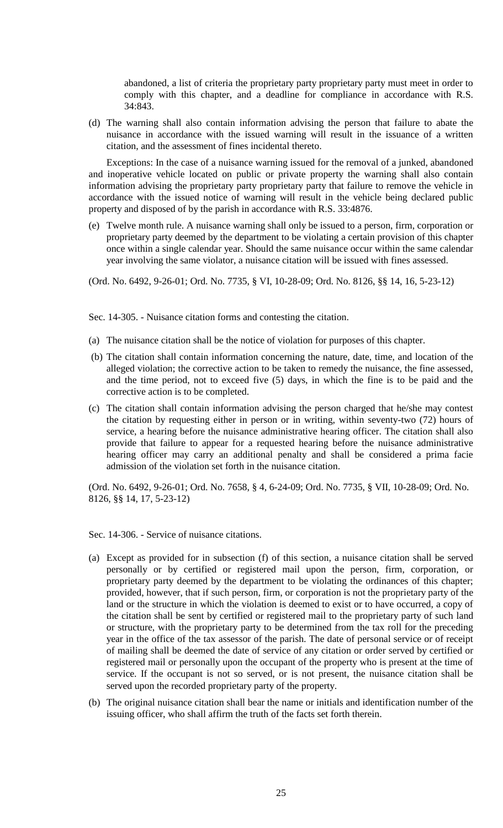abandoned, a list of criteria the proprietary party proprietary party must meet in order to comply with this chapter, and a deadline for compliance in accordance with R.S. 34:843.

(d) The warning shall also contain information advising the person that failure to abate the nuisance in accordance with the issued warning will result in the issuance of a written citation, and the assessment of fines incidental thereto.

Exceptions: In the case of a nuisance warning issued for the removal of a junked, abandoned and inoperative vehicle located on public or private property the warning shall also contain information advising the proprietary party proprietary party that failure to remove the vehicle in accordance with the issued notice of warning will result in the vehicle being declared public property and disposed of by the parish in accordance with R.S. 33:4876.

(e) Twelve month rule. A nuisance warning shall only be issued to a person, firm, corporation or proprietary party deemed by the department to be violating a certain provision of this chapter once within a single calendar year. Should the same nuisance occur within the same calendar year involving the same violator, a nuisance citation will be issued with fines assessed.

(Ord. No. 6492, 9-26-01; Ord. No. 7735, § VI, 10-28-09; Ord. No. 8126, §§ 14, 16, 5-23-12)

Sec. 14-305. - Nuisance citation forms and contesting the citation.

- (a) The nuisance citation shall be the notice of violation for purposes of this chapter.
- (b) The citation shall contain information concerning the nature, date, time, and location of the alleged violation; the corrective action to be taken to remedy the nuisance, the fine assessed, and the time period, not to exceed five (5) days, in which the fine is to be paid and the corrective action is to be completed.
- (c) The citation shall contain information advising the person charged that he/she may contest the citation by requesting either in person or in writing, within seventy-two (72) hours of service, a hearing before the nuisance administrative hearing officer. The citation shall also provide that failure to appear for a requested hearing before the nuisance administrative hearing officer may carry an additional penalty and shall be considered a prima facie admission of the violation set forth in the nuisance citation.

(Ord. No. 6492, 9-26-01; Ord. No. 7658, § 4, 6-24-09; Ord. No. 7735, § VII, 10-28-09; Ord. No. 8126, §§ 14, 17, 5-23-12)

Sec. 14-306. - Service of nuisance citations.

- (a) Except as provided for in subsection (f) of this section, a nuisance citation shall be served personally or by certified or registered mail upon the person, firm, corporation, or proprietary party deemed by the department to be violating the ordinances of this chapter; provided, however, that if such person, firm, or corporation is not the proprietary party of the land or the structure in which the violation is deemed to exist or to have occurred, a copy of the citation shall be sent by certified or registered mail to the proprietary party of such land or structure, with the proprietary party to be determined from the tax roll for the preceding year in the office of the tax assessor of the parish. The date of personal service or of receipt of mailing shall be deemed the date of service of any citation or order served by certified or registered mail or personally upon the occupant of the property who is present at the time of service. If the occupant is not so served, or is not present, the nuisance citation shall be served upon the recorded proprietary party of the property.
- (b) The original nuisance citation shall bear the name or initials and identification number of the issuing officer, who shall affirm the truth of the facts set forth therein.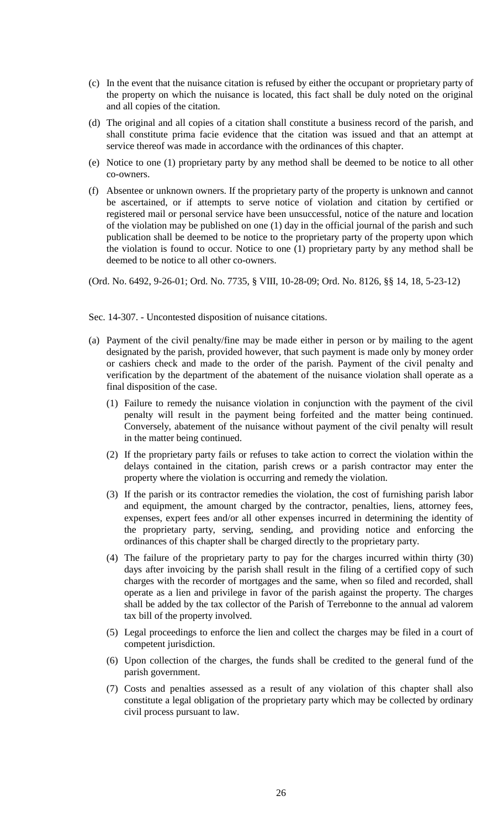- (c) In the event that the nuisance citation is refused by either the occupant or proprietary party of the property on which the nuisance is located, this fact shall be duly noted on the original and all copies of the citation.
- (d) The original and all copies of a citation shall constitute a business record of the parish, and shall constitute prima facie evidence that the citation was issued and that an attempt at service thereof was made in accordance with the ordinances of this chapter.
- (e) Notice to one (1) proprietary party by any method shall be deemed to be notice to all other co-owners.
- (f) Absentee or unknown owners. If the proprietary party of the property is unknown and cannot be ascertained, or if attempts to serve notice of violation and citation by certified or registered mail or personal service have been unsuccessful, notice of the nature and location of the violation may be published on one (1) day in the official journal of the parish and such publication shall be deemed to be notice to the proprietary party of the property upon which the violation is found to occur. Notice to one (1) proprietary party by any method shall be deemed to be notice to all other co-owners.

(Ord. No. 6492, 9-26-01; Ord. No. 7735, § VIII, 10-28-09; Ord. No. 8126, §§ 14, 18, 5-23-12)

Sec. 14-307. - Uncontested disposition of nuisance citations.

- (a) Payment of the civil penalty/fine may be made either in person or by mailing to the agent designated by the parish, provided however, that such payment is made only by money order or cashiers check and made to the order of the parish. Payment of the civil penalty and verification by the department of the abatement of the nuisance violation shall operate as a final disposition of the case.
	- (1) Failure to remedy the nuisance violation in conjunction with the payment of the civil penalty will result in the payment being forfeited and the matter being continued. Conversely, abatement of the nuisance without payment of the civil penalty will result in the matter being continued.
	- (2) If the proprietary party fails or refuses to take action to correct the violation within the delays contained in the citation, parish crews or a parish contractor may enter the property where the violation is occurring and remedy the violation.
	- (3) If the parish or its contractor remedies the violation, the cost of furnishing parish labor and equipment, the amount charged by the contractor, penalties, liens, attorney fees, expenses, expert fees and/or all other expenses incurred in determining the identity of the proprietary party, serving, sending, and providing notice and enforcing the ordinances of this chapter shall be charged directly to the proprietary party.
	- (4) The failure of the proprietary party to pay for the charges incurred within thirty (30) days after invoicing by the parish shall result in the filing of a certified copy of such charges with the recorder of mortgages and the same, when so filed and recorded, shall operate as a lien and privilege in favor of the parish against the property. The charges shall be added by the tax collector of the Parish of Terrebonne to the annual ad valorem tax bill of the property involved.
	- (5) Legal proceedings to enforce the lien and collect the charges may be filed in a court of competent jurisdiction.
	- (6) Upon collection of the charges, the funds shall be credited to the general fund of the parish government.
	- (7) Costs and penalties assessed as a result of any violation of this chapter shall also constitute a legal obligation of the proprietary party which may be collected by ordinary civil process pursuant to law.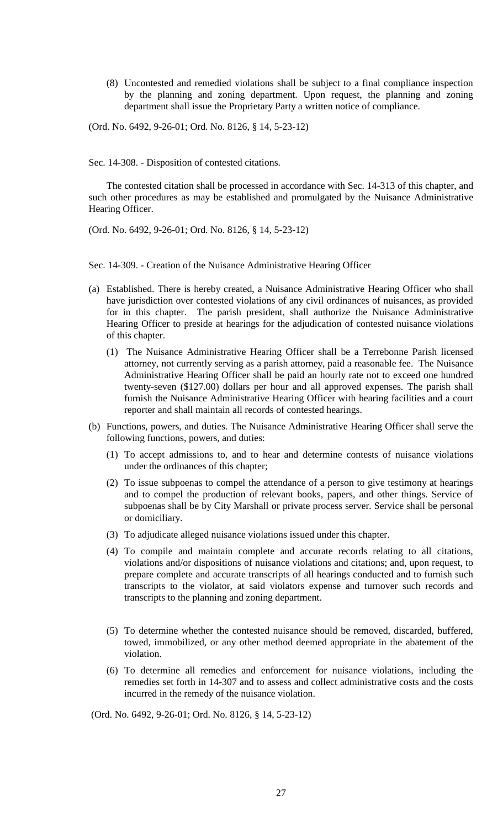(8) Uncontested and remedied violations shall be subject to a final compliance inspection by the planning and zoning department. Upon request, the planning and zoning department shall issue the Proprietary Party a written notice of compliance.

(Ord. No. 6492, 9-26-01; Ord. No. 8126, § 14, 5-23-12)

Sec. 14-308. - Disposition of contested citations.

The contested citation shall be processed in accordance with Sec. 14-313 of this chapter, and such other procedures as may be established and promulgated by the Nuisance Administrative Hearing Officer.

(Ord. No. 6492, 9-26-01; Ord. No. 8126, § 14, 5-23-12)

Sec. 14-309. - Creation of the Nuisance Administrative Hearing Officer

- (a) Established. There is hereby created, a Nuisance Administrative Hearing Officer who shall have jurisdiction over contested violations of any civil ordinances of nuisances, as provided for in this chapter. The parish president, shall authorize the Nuisance Administrative Hearing Officer to preside at hearings for the adjudication of contested nuisance violations of this chapter.
	- (1) The Nuisance Administrative Hearing Officer shall be a Terrebonne Parish licensed attorney, not currently serving as a parish attorney, paid a reasonable fee. The Nuisance Administrative Hearing Officer shall be paid an hourly rate not to exceed one hundred twenty-seven (\$127.00) dollars per hour and all approved expenses. The parish shall furnish the Nuisance Administrative Hearing Officer with hearing facilities and a court reporter and shall maintain all records of contested hearings.
- (b) Functions, powers, and duties. The Nuisance Administrative Hearing Officer shall serve the following functions, powers, and duties:
	- (1) To accept admissions to, and to hear and determine contests of nuisance violations under the ordinances of this chapter;
	- (2) To issue subpoenas to compel the attendance of a person to give testimony at hearings and to compel the production of relevant books, papers, and other things. Service of subpoenas shall be by City Marshall or private process server. Service shall be personal or domiciliary.
	- (3) To adjudicate alleged nuisance violations issued under this chapter.
	- (4) To compile and maintain complete and accurate records relating to all citations, violations and/or dispositions of nuisance violations and citations; and, upon request, to prepare complete and accurate transcripts of all hearings conducted and to furnish such transcripts to the violator, at said violators expense and turnover such records and transcripts to the planning and zoning department.
	- (5) To determine whether the contested nuisance should be removed, discarded, buffered, towed, immobilized, or any other method deemed appropriate in the abatement of the violation.
	- (6) To determine all remedies and enforcement for nuisance violations, including the remedies set forth in 14-307 and to assess and collect administrative costs and the costs incurred in the remedy of the nuisance violation.

(Ord. No. 6492, 9-26-01; Ord. No. 8126, § 14, 5-23-12)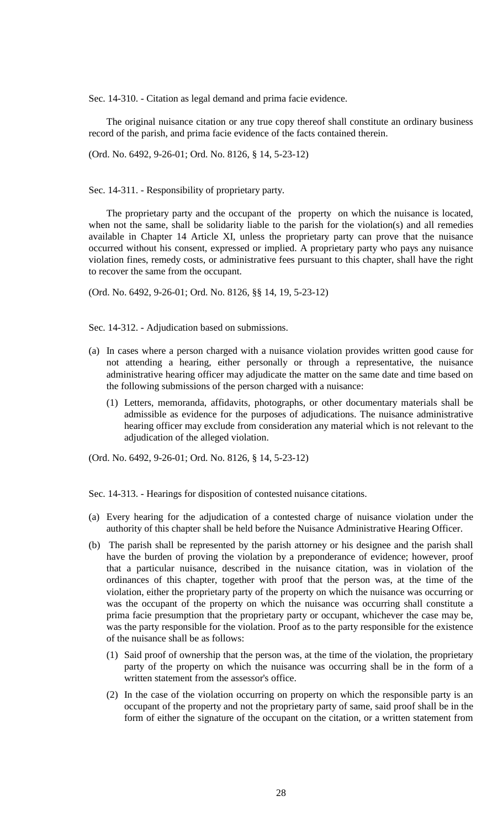Sec. 14-310. - Citation as legal demand and prima facie evidence.

The original nuisance citation or any true copy thereof shall constitute an ordinary business record of the parish, and prima facie evidence of the facts contained therein.

(Ord. No. 6492, 9-26-01; Ord. No. 8126, § 14, 5-23-12)

Sec. 14-311. - Responsibility of proprietary party.

The proprietary party and the occupant of the property on which the nuisance is located, when not the same, shall be solidarity liable to the parish for the violation(s) and all remedies available in Chapter 14 Article XI, unless the proprietary party can prove that the nuisance occurred without his consent, expressed or implied. A proprietary party who pays any nuisance violation fines, remedy costs, or administrative fees pursuant to this chapter, shall have the right to recover the same from the occupant.

(Ord. No. 6492, 9-26-01; Ord. No. 8126, §§ 14, 19, 5-23-12)

Sec. 14-312. - Adjudication based on submissions.

- (a) In cases where a person charged with a nuisance violation provides written good cause for not attending a hearing, either personally or through a representative, the nuisance administrative hearing officer may adjudicate the matter on the same date and time based on the following submissions of the person charged with a nuisance:
	- (1) Letters, memoranda, affidavits, photographs, or other documentary materials shall be admissible as evidence for the purposes of adjudications. The nuisance administrative hearing officer may exclude from consideration any material which is not relevant to the adjudication of the alleged violation.

(Ord. No. 6492, 9-26-01; Ord. No. 8126, § 14, 5-23-12)

Sec. 14-313. - Hearings for disposition of contested nuisance citations.

- (a) Every hearing for the adjudication of a contested charge of nuisance violation under the authority of this chapter shall be held before the Nuisance Administrative Hearing Officer.
- (b) The parish shall be represented by the parish attorney or his designee and the parish shall have the burden of proving the violation by a preponderance of evidence; however, proof that a particular nuisance, described in the nuisance citation, was in violation of the ordinances of this chapter, together with proof that the person was, at the time of the violation, either the proprietary party of the property on which the nuisance was occurring or was the occupant of the property on which the nuisance was occurring shall constitute a prima facie presumption that the proprietary party or occupant, whichever the case may be, was the party responsible for the violation. Proof as to the party responsible for the existence of the nuisance shall be as follows:
	- (1) Said proof of ownership that the person was, at the time of the violation, the proprietary party of the property on which the nuisance was occurring shall be in the form of a written statement from the assessor's office.
	- (2) In the case of the violation occurring on property on which the responsible party is an occupant of the property and not the proprietary party of same, said proof shall be in the form of either the signature of the occupant on the citation, or a written statement from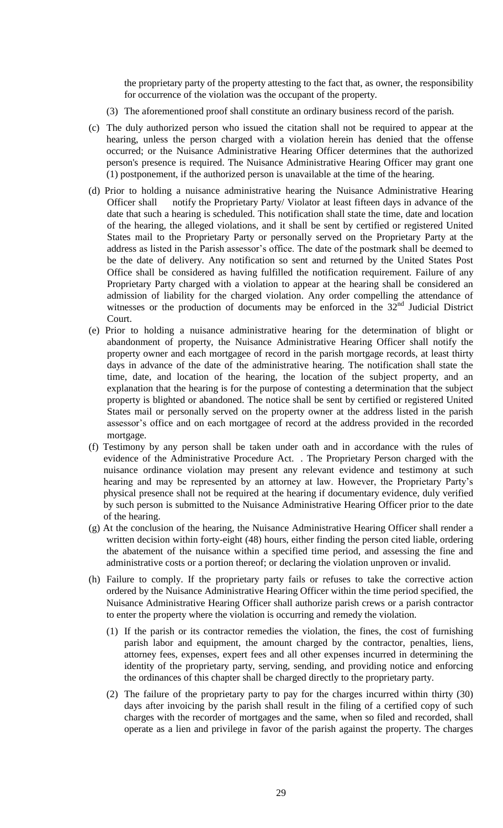the proprietary party of the property attesting to the fact that, as owner, the responsibility for occurrence of the violation was the occupant of the property.

- (3) The aforementioned proof shall constitute an ordinary business record of the parish.
- (c) The duly authorized person who issued the citation shall not be required to appear at the hearing, unless the person charged with a violation herein has denied that the offense occurred; or the Nuisance Administrative Hearing Officer determines that the authorized person's presence is required. The Nuisance Administrative Hearing Officer may grant one (1) postponement, if the authorized person is unavailable at the time of the hearing.
- (d) Prior to holding a nuisance administrative hearing the Nuisance Administrative Hearing Officer shall notify the Proprietary Party/ Violator at least fifteen days in advance of the date that such a hearing is scheduled. This notification shall state the time, date and location of the hearing, the alleged violations, and it shall be sent by certified or registered United States mail to the Proprietary Party or personally served on the Proprietary Party at the address as listed in the Parish assessor's office. The date of the postmark shall be deemed to be the date of delivery. Any notification so sent and returned by the United States Post Office shall be considered as having fulfilled the notification requirement. Failure of any Proprietary Party charged with a violation to appear at the hearing shall be considered an admission of liability for the charged violation. Any order compelling the attendance of witnesses or the production of documents may be enforced in the 32<sup>nd</sup> Judicial District Court.
- (e) Prior to holding a nuisance administrative hearing for the determination of blight or abandonment of property, the Nuisance Administrative Hearing Officer shall notify the property owner and each mortgagee of record in the parish mortgage records, at least thirty days in advance of the date of the administrative hearing. The notification shall state the time, date, and location of the hearing, the location of the subject property, and an explanation that the hearing is for the purpose of contesting a determination that the subject property is blighted or abandoned. The notice shall be sent by certified or registered United States mail or personally served on the property owner at the address listed in the parish assessor's office and on each mortgagee of record at the address provided in the recorded mortgage.
- (f) Testimony by any person shall be taken under oath and in accordance with the rules of evidence of the Administrative Procedure Act. . The Proprietary Person charged with the nuisance ordinance violation may present any relevant evidence and testimony at such hearing and may be represented by an attorney at law. However, the Proprietary Party's physical presence shall not be required at the hearing if documentary evidence, duly verified by such person is submitted to the Nuisance Administrative Hearing Officer prior to the date of the hearing.
- (g) At the conclusion of the hearing, the Nuisance Administrative Hearing Officer shall render a written decision within forty-eight (48) hours, either finding the person cited liable, ordering the abatement of the nuisance within a specified time period, and assessing the fine and administrative costs or a portion thereof; or declaring the violation unproven or invalid.
- (h) Failure to comply. If the proprietary party fails or refuses to take the corrective action ordered by the Nuisance Administrative Hearing Officer within the time period specified, the Nuisance Administrative Hearing Officer shall authorize parish crews or a parish contractor to enter the property where the violation is occurring and remedy the violation.
	- (1) If the parish or its contractor remedies the violation, the fines, the cost of furnishing parish labor and equipment, the amount charged by the contractor, penalties, liens, attorney fees, expenses, expert fees and all other expenses incurred in determining the identity of the proprietary party, serving, sending, and providing notice and enforcing the ordinances of this chapter shall be charged directly to the proprietary party.
	- (2) The failure of the proprietary party to pay for the charges incurred within thirty (30) days after invoicing by the parish shall result in the filing of a certified copy of such charges with the recorder of mortgages and the same, when so filed and recorded, shall operate as a lien and privilege in favor of the parish against the property. The charges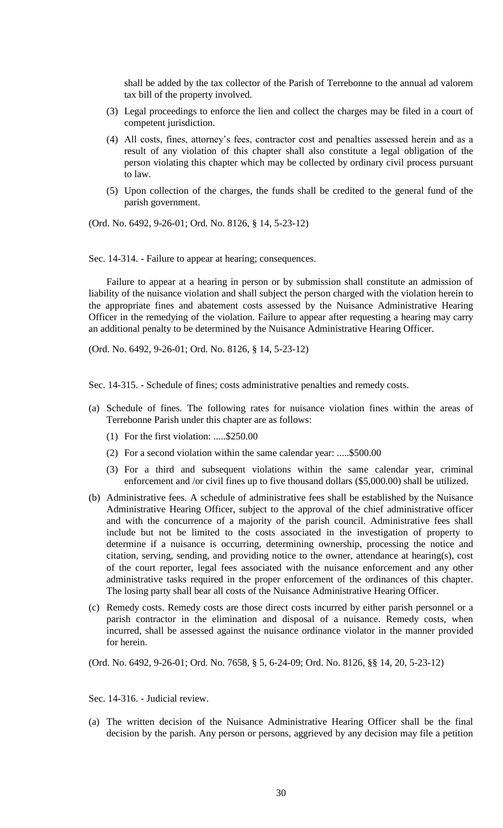shall be added by the tax collector of the Parish of Terrebonne to the annual ad valorem tax bill of the property involved.

- (3) Legal proceedings to enforce the lien and collect the charges may be filed in a court of competent jurisdiction.
- (4) All costs, fines, attorney's fees, contractor cost and penalties assessed herein and as a result of any violation of this chapter shall also constitute a legal obligation of the person violating this chapter which may be collected by ordinary civil process pursuant to law.
- (5) Upon collection of the charges, the funds shall be credited to the general fund of the parish government.

(Ord. No. 6492, 9-26-01; Ord. No. 8126, § 14, 5-23-12)

Sec. 14-314. - Failure to appear at hearing; consequences.

Failure to appear at a hearing in person or by submission shall constitute an admission of liability of the nuisance violation and shall subject the person charged with the violation herein to the appropriate fines and abatement costs assessed by the Nuisance Administrative Hearing Officer in the remedying of the violation. Failure to appear after requesting a hearing may carry an additional penalty to be determined by the Nuisance Administrative Hearing Officer.

(Ord. No. 6492, 9-26-01; Ord. No. 8126, § 14, 5-23-12)

Sec. 14-315. - Schedule of fines; costs administrative penalties and remedy costs.

- (a) Schedule of fines. The following rates for nuisance violation fines within the areas of Terrebonne Parish under this chapter are as follows:
	- (1) For the first violation: .....\$250.00
	- (2) For a second violation within the same calendar year: .....\$500.00
	- (3) For a third and subsequent violations within the same calendar year, criminal enforcement and /or civil fines up to five thousand dollars (\$5,000.00) shall be utilized.
- (b) Administrative fees. A schedule of administrative fees shall be established by the Nuisance Administrative Hearing Officer, subject to the approval of the chief administrative officer and with the concurrence of a majority of the parish council. Administrative fees shall include but not be limited to the costs associated in the investigation of property to determine if a nuisance is occurring, determining ownership, processing the notice and citation, serving, sending, and providing notice to the owner, attendance at hearing(s), cost of the court reporter, legal fees associated with the nuisance enforcement and any other administrative tasks required in the proper enforcement of the ordinances of this chapter. The losing party shall bear all costs of the Nuisance Administrative Hearing Officer.
- (c) Remedy costs. Remedy costs are those direct costs incurred by either parish personnel or a parish contractor in the elimination and disposal of a nuisance. Remedy costs, when incurred, shall be assessed against the nuisance ordinance violator in the manner provided for herein.

(Ord. No. 6492, 9-26-01; Ord. No. 7658, § 5, 6-24-09; Ord. No. 8126, §§ 14, 20, 5-23-12)

Sec. 14-316. - Judicial review.

(a) The written decision of the Nuisance Administrative Hearing Officer shall be the final decision by the parish. Any person or persons, aggrieved by any decision may file a petition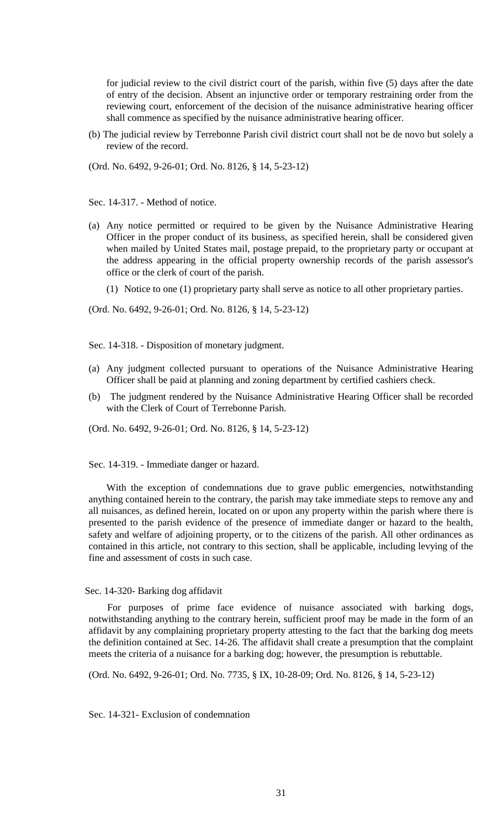for judicial review to the civil district court of the parish, within five (5) days after the date of entry of the decision. Absent an injunctive order or temporary restraining order from the reviewing court, enforcement of the decision of the nuisance administrative hearing officer shall commence as specified by the nuisance administrative hearing officer.

(b) The judicial review by Terrebonne Parish civil district court shall not be de novo but solely a review of the record.

(Ord. No. 6492, 9-26-01; Ord. No. 8126, § 14, 5-23-12)

Sec. 14-317. - Method of notice.

- (a) Any notice permitted or required to be given by the Nuisance Administrative Hearing Officer in the proper conduct of its business, as specified herein, shall be considered given when mailed by United States mail, postage prepaid, to the proprietary party or occupant at the address appearing in the official property ownership records of the parish assessor's office or the clerk of court of the parish.
	- (1) Notice to one (1) proprietary party shall serve as notice to all other proprietary parties.

(Ord. No. 6492, 9-26-01; Ord. No. 8126, § 14, 5-23-12)

Sec. 14-318. - Disposition of monetary judgment.

- (a) Any judgment collected pursuant to operations of the Nuisance Administrative Hearing Officer shall be paid at planning and zoning department by certified cashiers check.
- (b) The judgment rendered by the Nuisance Administrative Hearing Officer shall be recorded with the Clerk of Court of Terrebonne Parish.

(Ord. No. 6492, 9-26-01; Ord. No. 8126, § 14, 5-23-12)

Sec. 14-319. - Immediate danger or hazard.

With the exception of condemnations due to grave public emergencies, notwithstanding anything contained herein to the contrary, the parish may take immediate steps to remove any and all nuisances, as defined herein, located on or upon any property within the parish where there is presented to the parish evidence of the presence of immediate danger or hazard to the health, safety and welfare of adjoining property, or to the citizens of the parish. All other ordinances as contained in this article, not contrary to this section, shall be applicable, including levying of the fine and assessment of costs in such case.

#### Sec. 14-320- Barking dog affidavit

For purposes of prime face evidence of nuisance associated with barking dogs, notwithstanding anything to the contrary herein, sufficient proof may be made in the form of an affidavit by any complaining proprietary property attesting to the fact that the barking dog meets the definition contained at Sec. 14-26. The affidavit shall create a presumption that the complaint meets the criteria of a nuisance for a barking dog; however, the presumption is rebuttable.

(Ord. No. 6492, 9-26-01; Ord. No. 7735, § IX, 10-28-09; Ord. No. 8126, § 14, 5-23-12)

Sec. 14-321- Exclusion of condemnation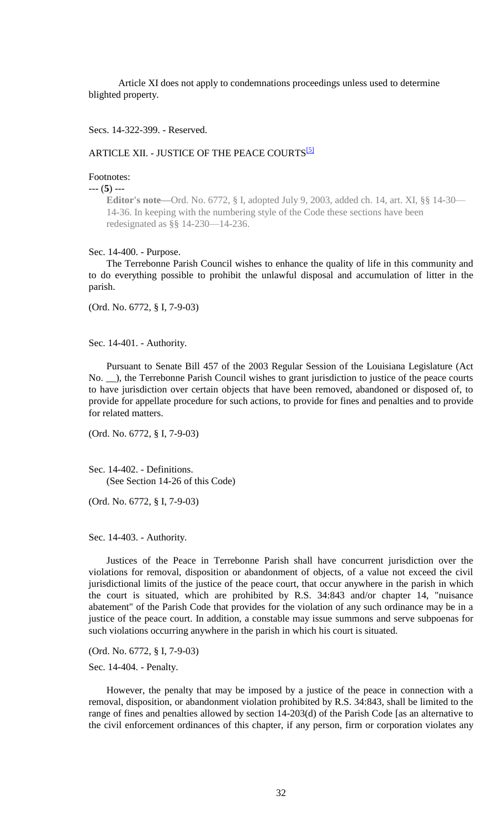Article XI does not apply to condemnations proceedings unless used to determine blighted property.

Secs. 14-322-399. - Reserved.

## ARTICLE XII. - JUSTICE OF THE PEACE COURTS<sup>[5]</sup>

## Footnotes:

#### --- (**5**) ---

**Editor's note—**Ord. No. 6772, § I, adopted July 9, 2003, added ch. 14, art. XI, §§ 14-30— 14-36. In keeping with the numbering style of the Code these sections have been redesignated as §§ 14-230—14-236.

#### Sec. 14-400. - Purpose.

The Terrebonne Parish Council wishes to enhance the quality of life in this community and to do everything possible to prohibit the unlawful disposal and accumulation of litter in the parish.

(Ord. No. 6772, § I, 7-9-03)

Sec. 14-401. - Authority.

Pursuant to Senate Bill 457 of the 2003 Regular Session of the Louisiana Legislature (Act No. \_\_), the Terrebonne Parish Council wishes to grant jurisdiction to justice of the peace courts to have jurisdiction over certain objects that have been removed, abandoned or disposed of, to provide for appellate procedure for such actions, to provide for fines and penalties and to provide for related matters.

(Ord. No. 6772, § I, 7-9-03)

Sec. 14-402. - Definitions. (See Section 14-26 of this Code)

(Ord. No. 6772, § I, 7-9-03)

Sec. 14-403. - Authority.

Justices of the Peace in Terrebonne Parish shall have concurrent jurisdiction over the violations for removal, disposition or abandonment of objects, of a value not exceed the civil jurisdictional limits of the justice of the peace court, that occur anywhere in the parish in which the court is situated, which are prohibited by R.S. 34:843 and/or chapter 14, "nuisance abatement" of the Parish Code that provides for the violation of any such ordinance may be in a justice of the peace court. In addition, a constable may issue summons and serve subpoenas for such violations occurring anywhere in the parish in which his court is situated.

(Ord. No. 6772, § I, 7-9-03)

Sec. 14-404. - Penalty.

However, the penalty that may be imposed by a justice of the peace in connection with a removal, disposition, or abandonment violation prohibited by R.S. 34:843, shall be limited to the range of fines and penalties allowed by section 14-203(d) of the Parish Code [as an alternative to the civil enforcement ordinances of this chapter, if any person, firm or corporation violates any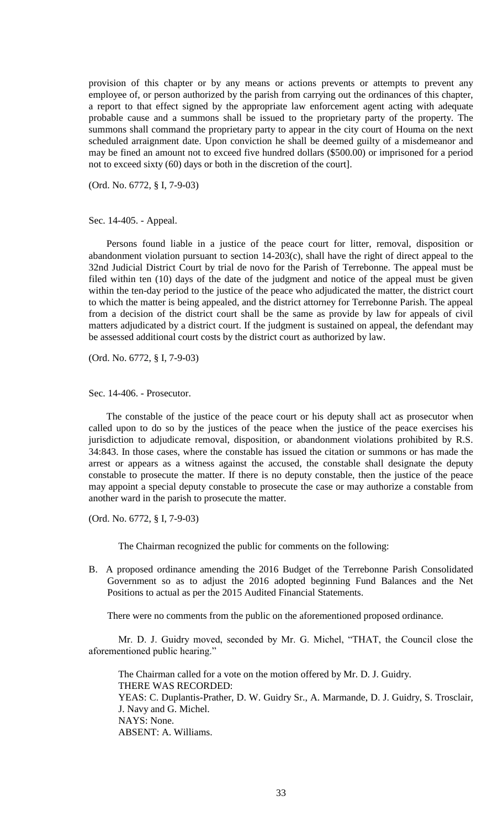provision of this chapter or by any means or actions prevents or attempts to prevent any employee of, or person authorized by the parish from carrying out the ordinances of this chapter, a report to that effect signed by the appropriate law enforcement agent acting with adequate probable cause and a summons shall be issued to the proprietary party of the property. The summons shall command the proprietary party to appear in the city court of Houma on the next scheduled arraignment date. Upon conviction he shall be deemed guilty of a misdemeanor and may be fined an amount not to exceed five hundred dollars (\$500.00) or imprisoned for a period not to exceed sixty (60) days or both in the discretion of the court].

(Ord. No. 6772, § I, 7-9-03)

Sec. 14-405. - Appeal.

Persons found liable in a justice of the peace court for litter, removal, disposition or abandonment violation pursuant to section 14-203(c), shall have the right of direct appeal to the 32nd Judicial District Court by trial de novo for the Parish of Terrebonne. The appeal must be filed within ten (10) days of the date of the judgment and notice of the appeal must be given within the ten-day period to the justice of the peace who adjudicated the matter, the district court to which the matter is being appealed, and the district attorney for Terrebonne Parish. The appeal from a decision of the district court shall be the same as provide by law for appeals of civil matters adjudicated by a district court. If the judgment is sustained on appeal, the defendant may be assessed additional court costs by the district court as authorized by law.

(Ord. No. 6772, § I, 7-9-03)

Sec. 14-406. - Prosecutor.

The constable of the justice of the peace court or his deputy shall act as prosecutor when called upon to do so by the justices of the peace when the justice of the peace exercises his jurisdiction to adjudicate removal, disposition, or abandonment violations prohibited by R.S. 34:843. In those cases, where the constable has issued the citation or summons or has made the arrest or appears as a witness against the accused, the constable shall designate the deputy constable to prosecute the matter. If there is no deputy constable, then the justice of the peace may appoint a special deputy constable to prosecute the case or may authorize a constable from another ward in the parish to prosecute the matter.

(Ord. No. 6772, § I, 7-9-03)

The Chairman recognized the public for comments on the following:

B. A proposed ordinance amending the 2016 Budget of the Terrebonne Parish Consolidated Government so as to adjust the 2016 adopted beginning Fund Balances and the Net Positions to actual as per the 2015 Audited Financial Statements.

There were no comments from the public on the aforementioned proposed ordinance.

Mr. D. J. Guidry moved, seconded by Mr. G. Michel, "THAT, the Council close the aforementioned public hearing."

The Chairman called for a vote on the motion offered by Mr. D. J. Guidry. THERE WAS RECORDED: YEAS: C. Duplantis-Prather, D. W. Guidry Sr., A. Marmande, D. J. Guidry, S. Trosclair, J. Navy and G. Michel. NAYS: None. ABSENT: A. Williams.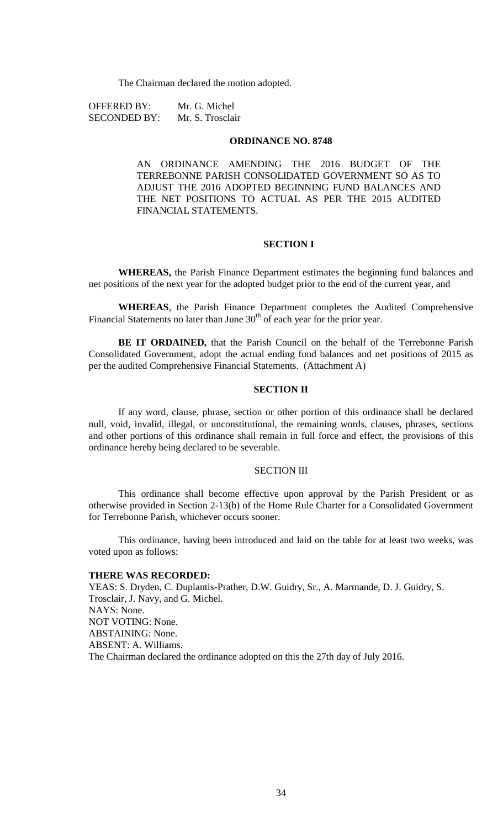The Chairman declared the motion adopted.

| <b>OFFERED BY:</b>  | Mr. G. Michel    |
|---------------------|------------------|
| <b>SECONDED BY:</b> | Mr. S. Trosclair |

#### **ORDINANCE NO. 8748**

AN ORDINANCE AMENDING THE 2016 BUDGET OF THE TERREBONNE PARISH CONSOLIDATED GOVERNMENT SO AS TO ADJUST THE 2016 ADOPTED BEGINNING FUND BALANCES AND THE NET POSITIONS TO ACTUAL AS PER THE 2015 AUDITED FINANCIAL STATEMENTS.

## **SECTION I**

**WHEREAS,** the Parish Finance Department estimates the beginning fund balances and net positions of the next year for the adopted budget prior to the end of the current year, and

**WHEREAS**, the Parish Finance Department completes the Audited Comprehensive Financial Statements no later than June  $30<sup>th</sup>$  of each year for the prior year.

**BE IT ORDAINED,** that the Parish Council on the behalf of the Terrebonne Parish Consolidated Government, adopt the actual ending fund balances and net positions of 2015 as per the audited Comprehensive Financial Statements. (Attachment A)

## **SECTION II**

If any word, clause, phrase, section or other portion of this ordinance shall be declared null, void, invalid, illegal, or unconstitutional, the remaining words, clauses, phrases, sections and other portions of this ordinance shall remain in full force and effect, the provisions of this ordinance hereby being declared to be severable.

### SECTION III

This ordinance shall become effective upon approval by the Parish President or as otherwise provided in Section 2-13(b) of the Home Rule Charter for a Consolidated Government for Terrebonne Parish, whichever occurs sooner.

This ordinance, having been introduced and laid on the table for at least two weeks, was voted upon as follows:

#### **THERE WAS RECORDED:**

YEAS: S. Dryden, C. Duplantis-Prather, D.W. Guidry, Sr., A. Marmande, D. J. Guidry, S. Trosclair, J. Navy, and G. Michel. NAYS: None. NOT VOTING: None. ABSTAINING: None. ABSENT: A. Williams. The Chairman declared the ordinance adopted on this the 27th day of July 2016.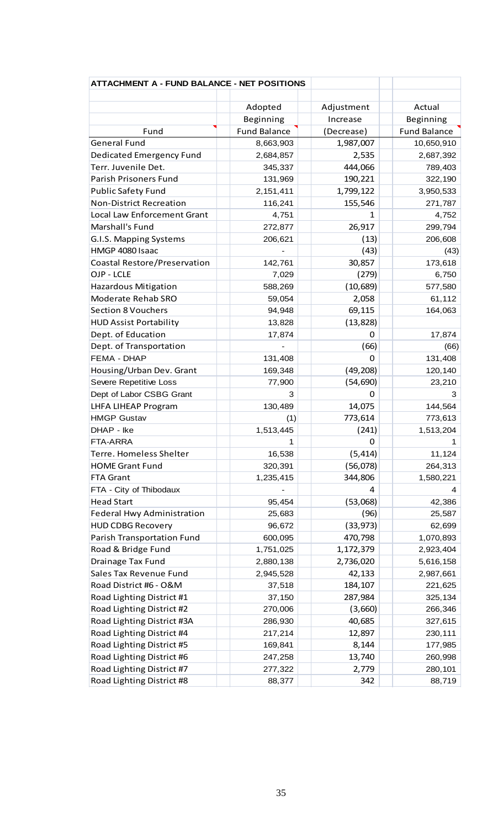| <b>ATTACHMENT A - FUND BALANCE - NET POSITIONS</b> |                     |                     |                     |
|----------------------------------------------------|---------------------|---------------------|---------------------|
|                                                    | Adopted             | Adjustment          | Actual              |
|                                                    | Beginning           | Increase            | Beginning           |
| Fund                                               | <b>Fund Balance</b> | (Decrease)          | <b>Fund Balance</b> |
| <b>General Fund</b>                                | 8,663,903           | 1,987,007           | 10,650,910          |
| <b>Dedicated Emergency Fund</b>                    | 2,684,857           | 2,535               | 2,687,392           |
| Terr. Juvenile Det.                                | 345,337             | 444,066             | 789,403             |
| Parish Prisoners Fund                              | 131,969             | 190,221             | 322,190             |
| <b>Public Safety Fund</b>                          | 2,151,411           | 1,799,122           | 3,950,533           |
| <b>Non-District Recreation</b>                     | 116,241             | 155,546             | 271,787             |
| Local Law Enforcement Grant                        | 4,751               | 1                   | 4,752               |
| Marshall's Fund                                    | 272,877             | 26,917              | 299,794             |
| G.I.S. Mapping Systems                             | 206,621             | (13)                | 206,608             |
| HMGP 4080 Isaac                                    |                     | (43)                | (43)                |
| Coastal Restore/Preservation                       | 142,761             | 30,857              | 173,618             |
| OJP - LCLE                                         | 7,029               | (279)               | 6,750               |
| <b>Hazardous Mitigation</b>                        | 588,269             | (10,689)            | 577,580             |
| Moderate Rehab SRO                                 | 59,054              | 2,058               | 61,112              |
| <b>Section 8 Vouchers</b>                          | 94,948              |                     | 164,063             |
| <b>HUD Assist Portability</b>                      | 13,828              | 69,115<br>(13, 828) |                     |
|                                                    |                     | 0                   |                     |
| Dept. of Education                                 | 17,874              |                     | 17,874              |
| Dept. of Transportation<br>FEMA - DHAP             |                     | (66)<br>0           | (66)                |
|                                                    | 131,408             |                     | 131,408             |
| Housing/Urban Dev. Grant                           | 169,348             | (49, 208)           | 120,140             |
| Severe Repetitive Loss                             | 77,900              | (54, 690)<br>0      | 23,210<br>3         |
| Dept of Labor CSBG Grant                           | 3                   | 14,075              | 144,564             |
| LHFA LIHEAP Program<br><b>HMGP Gustav</b>          | 130,489             |                     |                     |
| DHAP - Ike                                         | (1)                 | 773,614<br>(241)    | 773,613             |
| FTA-ARRA                                           | 1,513,445           | 0                   | 1,513,204           |
|                                                    | 1                   |                     |                     |
| Terre. Homeless Shelter                            | 16,538              | (5, 414)            | 11,124              |
| <b>HOME Grant Fund</b>                             | 320,391             | (56,078)            | 264,313             |
| FTA Grant                                          | 1,235,415           | 344,806             | 1,580,221           |
| FTA - City of Thibodaux                            |                     | 4                   | 4                   |
| <b>Head Start</b>                                  | 95,454              | (53,068)            | 42,386              |
| <b>Federal Hwy Administration</b>                  | 25,683              | (96)                | 25,587              |
| <b>HUD CDBG Recovery</b>                           | 96,672              | (33, 973)           | 62,699              |
| Parish Transportation Fund                         | 600,095             | 470,798             | 1,070,893           |
| Road & Bridge Fund                                 | 1,751,025           | 1,172,379           | 2,923,404           |
| Drainage Tax Fund                                  | 2,880,138           | 2,736,020           | 5,616,158           |
| Sales Tax Revenue Fund                             | 2,945,528           | 42,133              | 2,987,661           |
| Road District #6 - O&M                             | 37,518              | 184,107             | 221,625             |
| Road Lighting District #1                          | 37,150              | 287,984             | 325,134             |
| Road Lighting District #2                          | 270,006             | (3,660)             | 266,346             |
| Road Lighting District #3A                         | 286,930             | 40,685              | 327,615             |
| Road Lighting District #4                          | 217,214             | 12,897              | 230,111             |
| Road Lighting District #5                          | 169,841             | 8,144               | 177,985             |
| Road Lighting District #6                          | 247,258             | 13,740              | 260,998             |
| Road Lighting District #7                          | 277,322             | 2,779               | 280,101             |
| Road Lighting District #8                          | 88,377              | 342                 | 88,719              |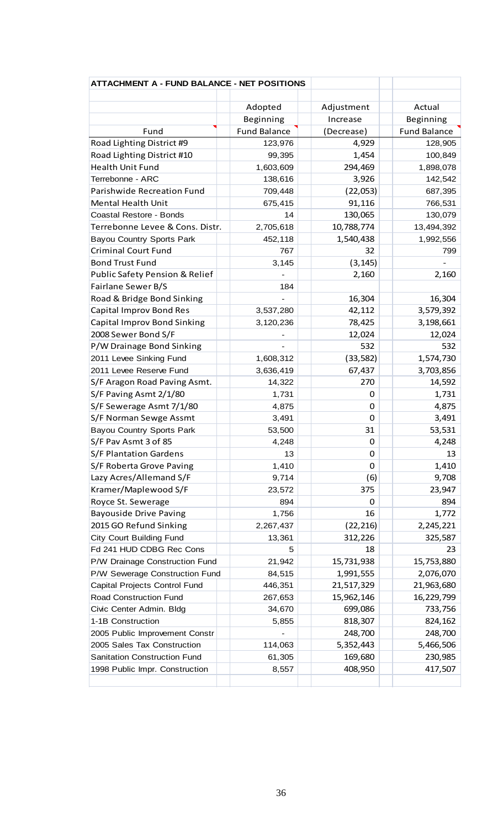| <b>ATTACHMENT A - FUND BALANCE - NET POSITIONS</b> |                     |            |                     |
|----------------------------------------------------|---------------------|------------|---------------------|
|                                                    |                     |            |                     |
|                                                    | Adopted             | Adjustment | Actual              |
|                                                    | Beginning           | Increase   | Beginning           |
| Fund                                               | <b>Fund Balance</b> | (Decrease) | <b>Fund Balance</b> |
| Road Lighting District #9                          | 123,976             | 4,929      | 128,905             |
| Road Lighting District #10                         | 99,395              | 1,454      | 100,849             |
| Health Unit Fund                                   | 1,603,609           | 294,469    | 1,898,078           |
| Terrebonne - ARC                                   | 138,616             | 3,926      | 142,542             |
| Parishwide Recreation Fund                         | 709,448             | (22,053)   | 687,395             |
| <b>Mental Health Unit</b>                          | 675,415             | 91,116     | 766,531             |
| Coastal Restore - Bonds                            | 14                  | 130,065    | 130,079             |
| Terrebonne Levee & Cons. Distr.                    | 2,705,618           | 10,788,774 | 13,494,392          |
| <b>Bayou Country Sports Park</b>                   | 452,118             | 1,540,438  | 1,992,556           |
| <b>Criminal Court Fund</b>                         | 767                 | 32         | 799                 |
| <b>Bond Trust Fund</b>                             | 3,145               | (3, 145)   |                     |
| Public Safety Pension & Relief                     |                     | 2,160      | 2,160               |
| Fairlane Sewer B/S                                 | 184                 |            |                     |
| Road & Bridge Bond Sinking                         |                     | 16,304     | 16,304              |
| <b>Capital Improv Bond Res</b>                     | 3,537,280           | 42,112     | 3,579,392           |
| Capital Improv Bond Sinking                        | 3,120,236           | 78,425     | 3,198,661           |
| 2008 Sewer Bond S/F                                |                     | 12,024     | 12,024              |
| P/W Drainage Bond Sinking                          |                     | 532        | 532                 |
| 2011 Levee Sinking Fund                            | 1,608,312           | (33, 582)  | 1,574,730           |
| 2011 Levee Reserve Fund                            | 3,636,419           | 67,437     | 3,703,856           |
| S/F Aragon Road Paving Asmt.                       | 14,322              | 270        | 14,592              |
| S/F Paving Asmt 2/1/80                             | 1,731               | $\Omega$   | 1,731               |
| S/F Sewerage Asmt 7/1/80                           | 4,875               | $\Omega$   | 4,875               |
| S/F Norman Sewge Assmt                             | 3,491               | 0          | 3,491               |
| <b>Bayou Country Sports Park</b>                   | 53,500              | 31         | 53,531              |
| S/F Pav Asmt 3 of 85                               | 4,248               | 0          | 4,248               |
| S/F Plantation Gardens                             | 13                  | 0          | 13                  |
| S/F Roberta Grove Paving                           | 1,410               | $\Omega$   | 1,410               |
| Lazy Acres/Allemand S/F                            | 9,714               | (6)        | 9,708               |
| Kramer/Maplewood S/F                               | 23,572              | 375        | 23,947              |
| Royce St. Sewerage                                 | 894                 | 0          | 894                 |
| <b>Bayouside Drive Paving</b>                      | 1,756               | 16         | 1,772               |
| 2015 GO Refund Sinking                             | 2,267,437           | (22, 216)  | 2,245,221           |
| City Court Building Fund                           | 13,361              | 312,226    | 325,587             |
| Fd 241 HUD CDBG Rec Cons                           | 5                   | 18         | 23                  |
| P/W Drainage Construction Fund                     | 21,942              | 15,731,938 | 15,753,880          |
| P/W Sewerage Construction Fund                     | 84,515              | 1,991,555  | 2,076,070           |
| Capital Projects Control Fund                      | 446,351             | 21,517,329 | 21,963,680          |
| Road Construction Fund                             | 267,653             | 15,962,146 | 16,229,799          |
| Civic Center Admin. Bldg                           | 34,670              | 699,086    | 733,756             |
| 1-1B Construction                                  | 5,855               | 818,307    | 824,162             |
| 2005 Public Improvement Constr                     |                     | 248,700    | 248,700             |
| 2005 Sales Tax Construction                        | 114,063             | 5,352,443  | 5,466,506           |
| Sanitation Construction Fund                       | 61,305              | 169,680    | 230,985             |
| 1998 Public Impr. Construction                     | 8,557               | 408,950    | 417,507             |
|                                                    |                     |            |                     |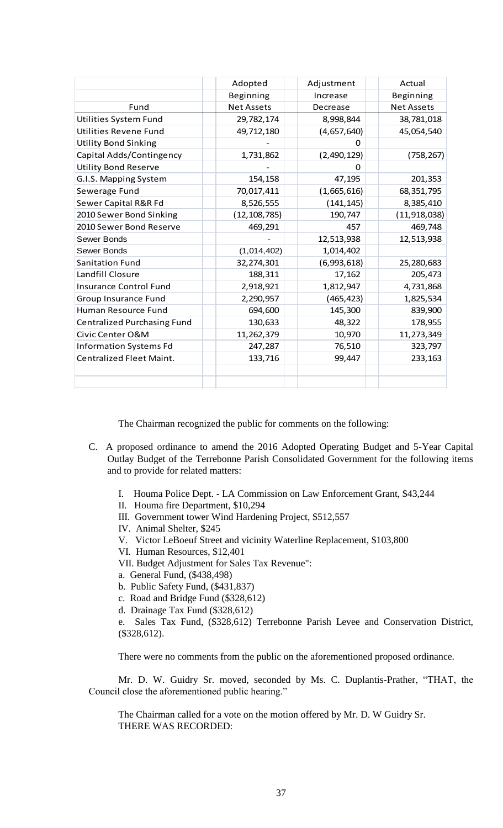|                                    | Adopted           | Adjustment  | Actual            |
|------------------------------------|-------------------|-------------|-------------------|
|                                    | Beginning         | Increase    | Beginning         |
| Fund                               | <b>Net Assets</b> | Decrease    | <b>Net Assets</b> |
| Utilities System Fund              | 29,782,174        | 8,998,844   | 38,781,018        |
| Utilities Revene Fund              | 49,712,180        | (4,657,640) | 45,054,540        |
| <b>Utility Bond Sinking</b>        |                   |             |                   |
| Capital Adds/Contingency           | 1,731,862         | (2,490,129) | (758, 267)        |
| <b>Utility Bond Reserve</b>        |                   | O           |                   |
| G.I.S. Mapping System              | 154,158           | 47,195      | 201,353           |
| Sewerage Fund                      | 70,017,411        | (1,665,616) | 68,351,795        |
| Sewer Capital R&R Fd               | 8,526,555         | (141, 145)  | 8,385,410         |
| 2010 Sewer Bond Sinking            | (12, 108, 785)    | 190,747     | (11, 918, 038)    |
| 2010 Sewer Bond Reserve            | 469,291           | 457         | 469,748           |
| Sewer Bonds                        |                   | 12,513,938  | 12,513,938        |
| Sewer Bonds                        | (1,014,402)       | 1,014,402   |                   |
| <b>Sanitation Fund</b>             | 32,274,301        | (6,993,618) | 25,280,683        |
| Landfill Closure                   | 188,311           | 17,162      | 205,473           |
| <b>Insurance Control Fund</b>      | 2,918,921         | 1,812,947   | 4,731,868         |
| Group Insurance Fund               | 2,290,957         | (465, 423)  | 1,825,534         |
| Human Resource Fund                | 694,600           | 145,300     | 839,900           |
| <b>Centralized Purchasing Fund</b> | 130,633           | 48,322      | 178,955           |
| Civic Center O&M                   | 11,262,379        | 10,970      | 11,273,349        |
| <b>Information Systems Fd</b>      | 247,287           | 76,510      | 323,797           |
| <b>Centralized Fleet Maint.</b>    | 133,716           | 99,447      | 233,163           |
|                                    |                   |             |                   |
|                                    |                   |             |                   |

The Chairman recognized the public for comments on the following:

- C. A proposed ordinance to amend the 2016 Adopted Operating Budget and 5-Year Capital Outlay Budget of the Terrebonne Parish Consolidated Government for the following items and to provide for related matters:
	- I. Houma Police Dept. LA Commission on Law Enforcement Grant, \$43,244
	- II. Houma fire Department, \$10,294
	- III. Government tower Wind Hardening Project, \$512,557
	- IV. Animal Shelter, \$245
	- V. Victor LeBoeuf Street and vicinity Waterline Replacement, \$103,800
	- VI. Human Resources, \$12,401
	- VII. Budget Adjustment for Sales Tax Revenue":
	- a. General Fund, (\$438,498)
	- b. Public Safety Fund, (\$431,837)
	- c. Road and Bridge Fund (\$328,612)
	- d. Drainage Tax Fund (\$328,612)

e. Sales Tax Fund, (\$328,612) Terrebonne Parish Levee and Conservation District, (\$328,612).

There were no comments from the public on the aforementioned proposed ordinance.

Mr. D. W. Guidry Sr. moved, seconded by Ms. C. Duplantis-Prather, "THAT, the Council close the aforementioned public hearing."

The Chairman called for a vote on the motion offered by Mr. D. W Guidry Sr. THERE WAS RECORDED: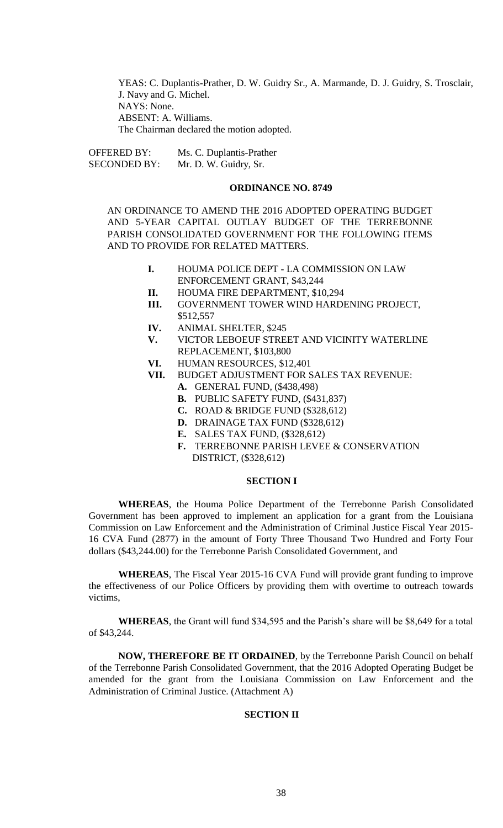YEAS: C. Duplantis-Prather, D. W. Guidry Sr., A. Marmande, D. J. Guidry, S. Trosclair, J. Navy and G. Michel. NAYS: None. ABSENT: A. Williams. The Chairman declared the motion adopted.

OFFERED BY: Ms. C. Duplantis-Prather SECONDED BY: Mr. D. W. Guidry, Sr.

### **ORDINANCE NO. 8749**

AN ORDINANCE TO AMEND THE 2016 ADOPTED OPERATING BUDGET AND 5-YEAR CAPITAL OUTLAY BUDGET OF THE TERREBONNE PARISH CONSOLIDATED GOVERNMENT FOR THE FOLLOWING ITEMS AND TO PROVIDE FOR RELATED MATTERS.

- **I.** HOUMA POLICE DEPT LA COMMISSION ON LAW ENFORCEMENT GRANT, \$43,244
- **II.** HOUMA FIRE DEPARTMENT, \$10,294
- **III.** GOVERNMENT TOWER WIND HARDENING PROJECT, \$512,557
- **IV.** ANIMAL SHELTER, \$245
- **V.** VICTOR LEBOEUF STREET AND VICINITY WATERLINE REPLACEMENT, \$103,800
- **VI.** HUMAN RESOURCES, \$12,401
- **VII.** BUDGET ADJUSTMENT FOR SALES TAX REVENUE: **A.** GENERAL FUND, (\$438,498)
	-
	- **B.** PUBLIC SAFETY FUND, (\$431,837) **C.** ROAD & BRIDGE FUND (\$328,612)
	- **D.** DRAINAGE TAX FUND (\$328,612)
	-
	- **E.** SALES TAX FUND, (\$328,612)
	- **F.** TERREBONNE PARISH LEVEE & CONSERVATION DISTRICT, (\$328,612)

## **SECTION I**

**WHEREAS**, the Houma Police Department of the Terrebonne Parish Consolidated Government has been approved to implement an application for a grant from the Louisiana Commission on Law Enforcement and the Administration of Criminal Justice Fiscal Year 2015- 16 CVA Fund (2877) in the amount of Forty Three Thousand Two Hundred and Forty Four dollars (\$43,244.00) for the Terrebonne Parish Consolidated Government, and

**WHEREAS**, The Fiscal Year 2015-16 CVA Fund will provide grant funding to improve the effectiveness of our Police Officers by providing them with overtime to outreach towards victims,

**WHEREAS**, the Grant will fund \$34,595 and the Parish's share will be \$8,649 for a total of \$43,244.

**NOW, THEREFORE BE IT ORDAINED**, by the Terrebonne Parish Council on behalf of the Terrebonne Parish Consolidated Government, that the 2016 Adopted Operating Budget be amended for the grant from the Louisiana Commission on Law Enforcement and the Administration of Criminal Justice. (Attachment A)

### **SECTION II**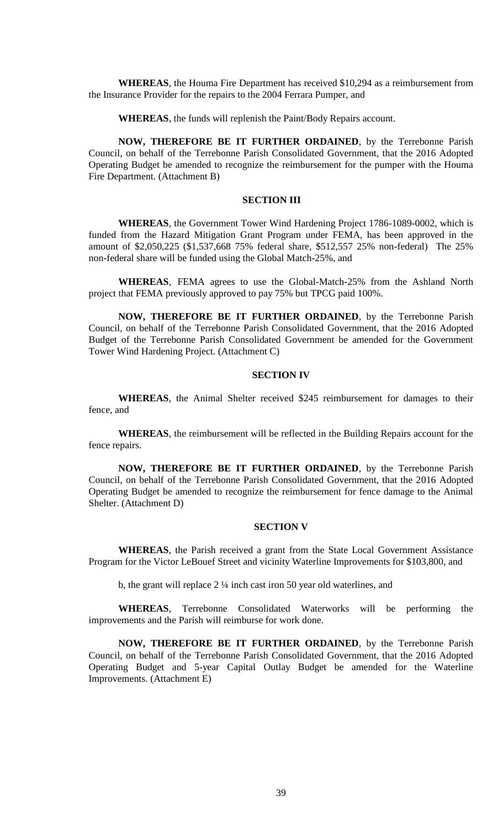**WHEREAS**, the Houma Fire Department has received \$10,294 as a reimbursement from the Insurance Provider for the repairs to the 2004 Ferrara Pumper, and

**WHEREAS**, the funds will replenish the Paint/Body Repairs account.

**NOW, THEREFORE BE IT FURTHER ORDAINED**, by the Terrebonne Parish Council, on behalf of the Terrebonne Parish Consolidated Government, that the 2016 Adopted Operating Budget be amended to recognize the reimbursement for the pumper with the Houma Fire Department. (Attachment B)

## **SECTION III**

**WHEREAS**, the Government Tower Wind Hardening Project 1786-1089-0002, which is funded from the Hazard Mitigation Grant Program under FEMA, has been approved in the amount of \$2,050,225 (\$1,537,668 75% federal share, \$512,557 25% non-federal) The 25% non-federal share will be funded using the Global Match-25%, and

**WHEREAS**, FEMA agrees to use the Global-Match-25% from the Ashland North project that FEMA previously approved to pay 75% but TPCG paid 100%.

**NOW, THEREFORE BE IT FURTHER ORDAINED**, by the Terrebonne Parish Council, on behalf of the Terrebonne Parish Consolidated Government, that the 2016 Adopted Budget of the Terrebonne Parish Consolidated Government be amended for the Government Tower Wind Hardening Project. (Attachment C)

### **SECTION IV**

**WHEREAS**, the Animal Shelter received \$245 reimbursement for damages to their fence, and

**WHEREAS**, the reimbursement will be reflected in the Building Repairs account for the fence repairs.

**NOW, THEREFORE BE IT FURTHER ORDAINED**, by the Terrebonne Parish Council, on behalf of the Terrebonne Parish Consolidated Government, that the 2016 Adopted Operating Budget be amended to recognize the reimbursement for fence damage to the Animal Shelter. (Attachment D)

### **SECTION V**

**WHEREAS**, the Parish received a grant from the State Local Government Assistance Program for the Victor LeBouef Street and vicinity Waterline Improvements for \$103,800, and

b, the grant will replace 2 ¼ inch cast iron 50 year old waterlines, and

**WHEREAS**, Terrebonne Consolidated Waterworks will be performing the improvements and the Parish will reimburse for work done.

**NOW, THEREFORE BE IT FURTHER ORDAINED**, by the Terrebonne Parish Council, on behalf of the Terrebonne Parish Consolidated Government, that the 2016 Adopted Operating Budget and 5-year Capital Outlay Budget be amended for the Waterline Improvements. (Attachment E)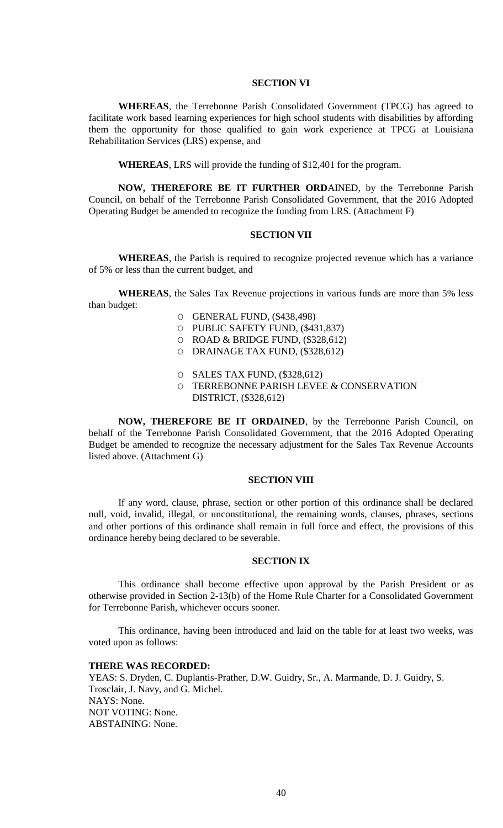### **SECTION VI**

**WHEREAS**, the Terrebonne Parish Consolidated Government (TPCG) has agreed to facilitate work based learning experiences for high school students with disabilities by affording them the opportunity for those qualified to gain work experience at TPCG at Louisiana Rehabilitation Services (LRS) expense, and

**WHEREAS**, LRS will provide the funding of \$12,401 for the program.

**NOW, THEREFORE BE IT FURTHER ORD**AINED, by the Terrebonne Parish Council, on behalf of the Terrebonne Parish Consolidated Government, that the 2016 Adopted Operating Budget be amended to recognize the funding from LRS. (Attachment F)

### **SECTION VII**

**WHEREAS**, the Parish is required to recognize projected revenue which has a variance of 5% or less than the current budget, and

**WHEREAS**, the Sales Tax Revenue projections in various funds are more than 5% less than budget:

- O GENERAL FUND, (\$438,498)
- O PUBLIC SAFETY FUND, (\$431,837)
- $O$  ROAD & BRIDGE FUND,  $(\$328,612)$
- O DRAINAGE TAX FUND, (\$328,612)
- O SALES TAX FUND, (\$328,612)
- O TERREBONNE PARISH LEVEE & CONSERVATION DISTRICT, (\$328,612)

**NOW, THEREFORE BE IT ORDAINED**, by the Terrebonne Parish Council, on behalf of the Terrebonne Parish Consolidated Government, that the 2016 Adopted Operating Budget be amended to recognize the necessary adjustment for the Sales Tax Revenue Accounts listed above. (Attachment G)

## **SECTION VIII**

If any word, clause, phrase, section or other portion of this ordinance shall be declared null, void, invalid, illegal, or unconstitutional, the remaining words, clauses, phrases, sections and other portions of this ordinance shall remain in full force and effect, the provisions of this ordinance hereby being declared to be severable.

### **SECTION IX**

This ordinance shall become effective upon approval by the Parish President or as otherwise provided in Section 2-13(b) of the Home Rule Charter for a Consolidated Government for Terrebonne Parish, whichever occurs sooner.

This ordinance, having been introduced and laid on the table for at least two weeks, was voted upon as follows:

## **THERE WAS RECORDED:**

YEAS: S. Dryden, C. Duplantis-Prather, D.W. Guidry, Sr., A. Marmande, D. J. Guidry, S. Trosclair, J. Navy, and G. Michel. NAYS: None. NOT VOTING: None. ABSTAINING: None.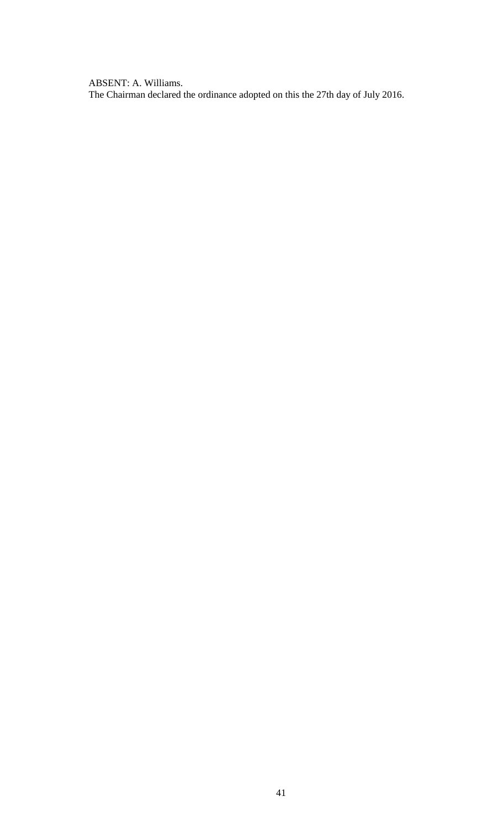ABSENT: A. Williams. The Chairman declared the ordinance adopted on this the 27th day of July 2016.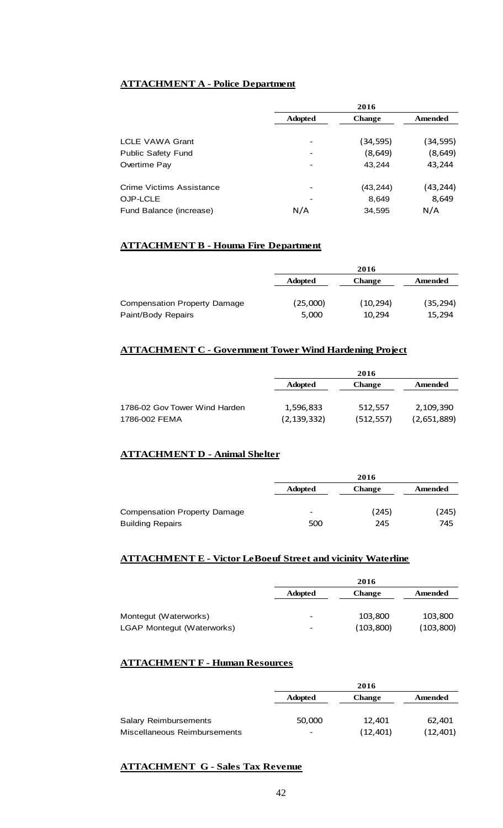# **ATTACHMENT A - Police Department**

|                           | 2016           |               |          |
|---------------------------|----------------|---------------|----------|
|                           | <b>Adopted</b> | <b>Change</b> | Amended  |
|                           |                |               |          |
| <b>LCLE VAWA Grant</b>    |                | (34,595)      | (34,595) |
| <b>Public Safety Fund</b> | -              | (8, 649)      | (8, 649) |
| Overtime Pay              |                | 43.244        | 43,244   |
| Crime Victims Assistance  |                | (43, 244)     | (43,244) |
| OJP-LCLE                  |                | 8,649         | 8,649    |
| Fund Balance (increase)   | N/A            | 34,595        | N/A      |

# **ATTACHMENT B - Houma Fire Department**

|                                     | 2016           |               |           |
|-------------------------------------|----------------|---------------|-----------|
|                                     | <b>Adopted</b> | <b>Change</b> | Amended   |
|                                     |                |               |           |
| <b>Compensation Property Damage</b> | (25,000)       | (10, 294)     | (35, 294) |
| Paint/Body Repairs                  | 5,000          | 10.294        | 15,294    |

## **ATTACHMENT C - Government Tower Wind Hardening Project**

|                               | 2016           |               |             |
|-------------------------------|----------------|---------------|-------------|
|                               | <b>Adopted</b> | <b>Change</b> | Amended     |
|                               |                |               |             |
| 1786-02 Gov Tower Wind Harden | 1,596,833      | 512,557       | 2,109,390   |
| 1786-002 FEMA                 | (2, 139, 332)  | (512, 557)    | (2,651,889) |

## **ATTACHMENT D - Animal Shelter**

|                                     | 2016           |               |         |
|-------------------------------------|----------------|---------------|---------|
|                                     | <b>Adopted</b> | <b>Change</b> | Amended |
| <b>Compensation Property Damage</b> | -              | (245)         | 245)    |
| <b>Building Repairs</b>             | 500            | 245           | 745     |

## **ATTACHMENT E - Victor LeBoeuf Street and vicinity Waterline**

|                            | 2016           |               |           |
|----------------------------|----------------|---------------|-----------|
|                            | <b>Adopted</b> | <b>Change</b> | Amended   |
|                            |                |               |           |
| Montegut (Waterworks)      | -              | 103,800       | 103,800   |
| LGAP Montegut (Waterworks) | -              | (103, 800)    | (103,800) |

## **ATTACHMENT F - Human Resources**

|                              | 2016           |               |          |
|------------------------------|----------------|---------------|----------|
|                              | <b>Adopted</b> | <b>Change</b> | Amended  |
|                              |                |               |          |
| <b>Salary Reimbursements</b> | 50,000         | 12.401        | 62,401   |
| Miscellaneous Reimbursements | -              | (12, 401)     | (12,401) |

# **ATTACHMENT G - Sales Tax Revenue**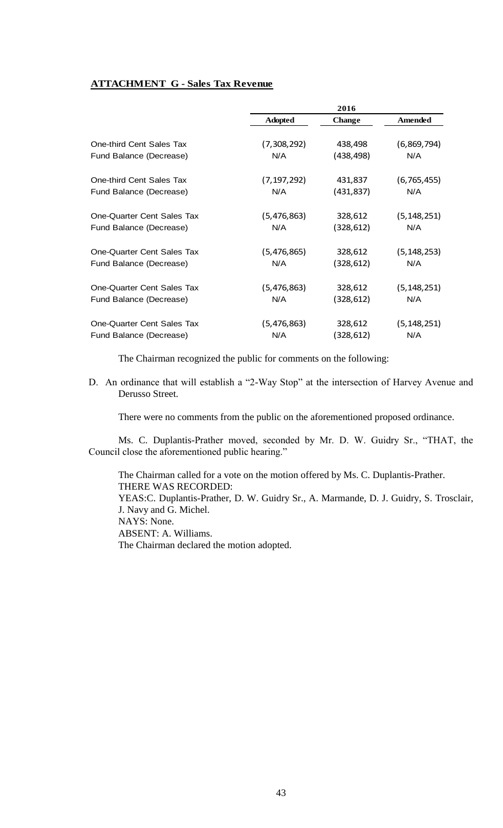# **ATTACHMENT G - Sales Tax Revenue**

|                            | 2016           |               |                |
|----------------------------|----------------|---------------|----------------|
|                            | <b>Adopted</b> | <b>Change</b> | <b>Amended</b> |
| One-third Cent Sales Tax   | (7,308,292)    | 438,498       | (6,869,794)    |
| Fund Balance (Decrease)    | N/A            | (438, 498)    | N/A            |
| One-third Cent Sales Tax   | (7, 197, 292)  | 431,837       | (6, 765, 455)  |
| Fund Balance (Decrease)    | N/A            | (431, 837)    | N/A            |
| One-Quarter Cent Sales Tax | (5,476,863)    | 328,612       | (5, 148, 251)  |
| Fund Balance (Decrease)    | N/A            | (328,612)     | N/A            |
| One-Quarter Cent Sales Tax | (5,476,865)    | 328,612       | (5, 148, 253)  |
| Fund Balance (Decrease)    | N/A            | (328, 612)    | N/A            |
| One-Quarter Cent Sales Tax | (5,476,863)    | 328,612       | (5, 148, 251)  |
| Fund Balance (Decrease)    | N/A            | (328,612)     | N/A            |
| One-Quarter Cent Sales Tax | (5,476,863)    | 328,612       | (5, 148, 251)  |
| Fund Balance (Decrease)    | N/A            | (328,612)     | N/A            |

The Chairman recognized the public for comments on the following:

D. An ordinance that will establish a "2-Way Stop" at the intersection of Harvey Avenue and Derusso Street.

There were no comments from the public on the aforementioned proposed ordinance.

Ms. C. Duplantis-Prather moved, seconded by Mr. D. W. Guidry Sr., "THAT, the Council close the aforementioned public hearing."

The Chairman called for a vote on the motion offered by Ms. C. Duplantis-Prather. THERE WAS RECORDED: YEAS:C. Duplantis-Prather, D. W. Guidry Sr., A. Marmande, D. J. Guidry, S. Trosclair, J. Navy and G. Michel. NAYS: None. ABSENT: A. Williams. The Chairman declared the motion adopted.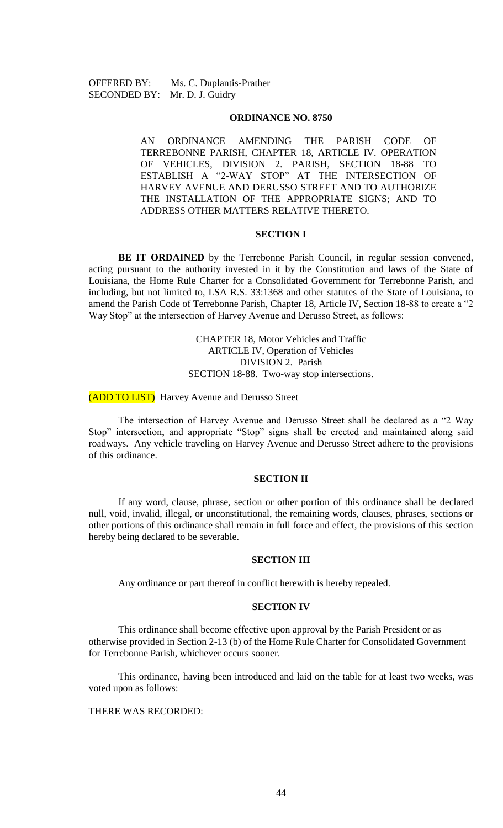OFFERED BY: Ms. C. Duplantis-Prather SECONDED BY: Mr. D. J. Guidry

### **ORDINANCE NO. 8750**

AN ORDINANCE AMENDING THE PARISH CODE OF TERREBONNE PARISH, CHAPTER 18, ARTICLE IV. OPERATION OF VEHICLES, DIVISION 2. PARISH, SECTION 18-88 TO ESTABLISH A "2-WAY STOP" AT THE INTERSECTION OF HARVEY AVENUE AND DERUSSO STREET AND TO AUTHORIZE THE INSTALLATION OF THE APPROPRIATE SIGNS; AND TO ADDRESS OTHER MATTERS RELATIVE THERETO.

#### **SECTION I**

**BE IT ORDAINED** by the Terrebonne Parish Council, in regular session convened, acting pursuant to the authority invested in it by the Constitution and laws of the State of Louisiana, the Home Rule Charter for a Consolidated Government for Terrebonne Parish, and including, but not limited to, LSA R.S. 33:1368 and other statutes of the State of Louisiana, to amend the Parish Code of Terrebonne Parish, Chapter 18, Article IV, Section 18-88 to create a "2 Way Stop" at the intersection of Harvey Avenue and Derusso Street, as follows:

> CHAPTER 18, Motor Vehicles and Traffic ARTICLE IV, Operation of Vehicles DIVISION 2. Parish SECTION 18-88. Two-way stop intersections.

(ADD TO LIST) Harvey Avenue and Derusso Street

The intersection of Harvey Avenue and Derusso Street shall be declared as a "2 Way Stop" intersection, and appropriate "Stop" signs shall be erected and maintained along said roadways. Any vehicle traveling on Harvey Avenue and Derusso Street adhere to the provisions of this ordinance.

## **SECTION II**

If any word, clause, phrase, section or other portion of this ordinance shall be declared null, void, invalid, illegal, or unconstitutional, the remaining words, clauses, phrases, sections or other portions of this ordinance shall remain in full force and effect, the provisions of this section hereby being declared to be severable.

### **SECTION III**

Any ordinance or part thereof in conflict herewith is hereby repealed.

### **SECTION IV**

This ordinance shall become effective upon approval by the Parish President or as otherwise provided in Section 2-13 (b) of the Home Rule Charter for Consolidated Government for Terrebonne Parish, whichever occurs sooner.

This ordinance, having been introduced and laid on the table for at least two weeks, was voted upon as follows:

### THERE WAS RECORDED: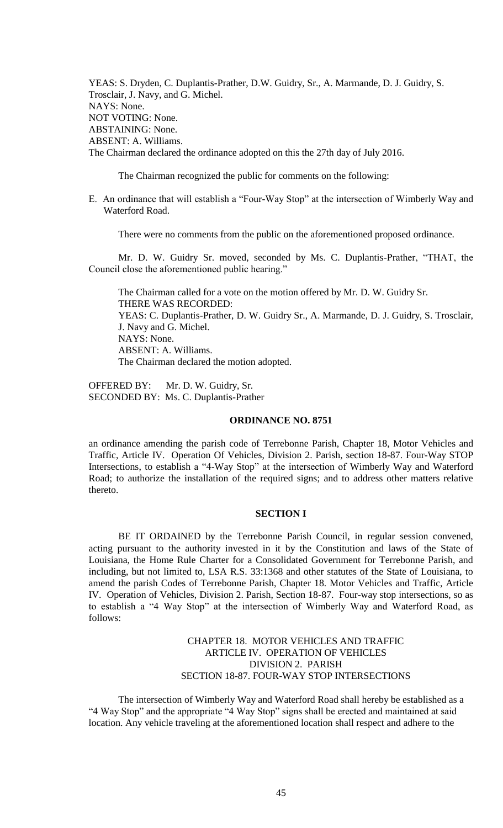YEAS: S. Dryden, C. Duplantis-Prather, D.W. Guidry, Sr., A. Marmande, D. J. Guidry, S. Trosclair, J. Navy, and G. Michel. NAYS: None. NOT VOTING: None. ABSTAINING: None. ABSENT: A. Williams. The Chairman declared the ordinance adopted on this the 27th day of July 2016.

The Chairman recognized the public for comments on the following:

E. An ordinance that will establish a "Four-Way Stop" at the intersection of Wimberly Way and Waterford Road.

There were no comments from the public on the aforementioned proposed ordinance.

Mr. D. W. Guidry Sr. moved, seconded by Ms. C. Duplantis-Prather, "THAT, the Council close the aforementioned public hearing."

The Chairman called for a vote on the motion offered by Mr. D. W. Guidry Sr. THERE WAS RECORDED: YEAS: C. Duplantis-Prather, D. W. Guidry Sr., A. Marmande, D. J. Guidry, S. Trosclair, J. Navy and G. Michel. NAYS: None. ABSENT: A. Williams. The Chairman declared the motion adopted.

OFFERED BY: Mr. D. W. Guidry, Sr. SECONDED BY: Ms. C. Duplantis-Prather

### **ORDINANCE NO. 8751**

an ordinance amending the parish code of Terrebonne Parish, Chapter 18, Motor Vehicles and Traffic, Article IV. Operation Of Vehicles, Division 2. Parish, section 18-87. Four-Way STOP Intersections, to establish a "4-Way Stop" at the intersection of Wimberly Way and Waterford Road; to authorize the installation of the required signs; and to address other matters relative thereto.

## **SECTION I**

BE IT ORDAINED by the Terrebonne Parish Council, in regular session convened, acting pursuant to the authority invested in it by the Constitution and laws of the State of Louisiana, the Home Rule Charter for a Consolidated Government for Terrebonne Parish, and including, but not limited to, LSA R.S. 33:1368 and other statutes of the State of Louisiana, to amend the parish Codes of Terrebonne Parish, Chapter 18. Motor Vehicles and Traffic, Article IV. Operation of Vehicles, Division 2. Parish, Section 18-87. Four-way stop intersections, so as to establish a "4 Way Stop" at the intersection of Wimberly Way and Waterford Road, as follows:

## CHAPTER 18. MOTOR VEHICLES AND TRAFFIC ARTICLE IV. OPERATION OF VEHICLES DIVISION 2. PARISH SECTION 18-87. FOUR-WAY STOP INTERSECTIONS

The intersection of Wimberly Way and Waterford Road shall hereby be established as a "4 Way Stop" and the appropriate "4 Way Stop" signs shall be erected and maintained at said location. Any vehicle traveling at the aforementioned location shall respect and adhere to the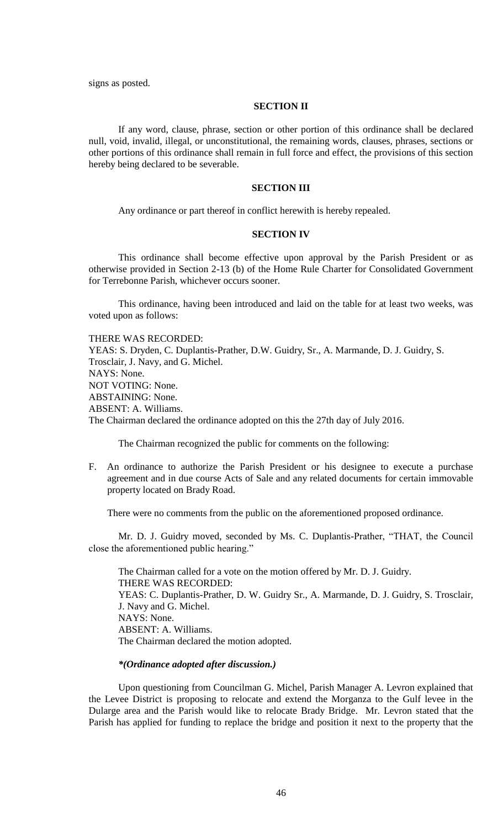signs as posted.

## **SECTION II**

If any word, clause, phrase, section or other portion of this ordinance shall be declared null, void, invalid, illegal, or unconstitutional, the remaining words, clauses, phrases, sections or other portions of this ordinance shall remain in full force and effect, the provisions of this section hereby being declared to be severable.

### **SECTION III**

Any ordinance or part thereof in conflict herewith is hereby repealed.

## **SECTION IV**

This ordinance shall become effective upon approval by the Parish President or as otherwise provided in Section 2-13 (b) of the Home Rule Charter for Consolidated Government for Terrebonne Parish, whichever occurs sooner.

This ordinance, having been introduced and laid on the table for at least two weeks, was voted upon as follows:

#### THERE WAS RECORDED:

YEAS: S. Dryden, C. Duplantis-Prather, D.W. Guidry, Sr., A. Marmande, D. J. Guidry, S. Trosclair, J. Navy, and G. Michel. NAYS: None. NOT VOTING: None. ABSTAINING: None. ABSENT: A. Williams. The Chairman declared the ordinance adopted on this the 27th day of July 2016.

The Chairman recognized the public for comments on the following:

F. An ordinance to authorize the Parish President or his designee to execute a purchase agreement and in due course Acts of Sale and any related documents for certain immovable property located on Brady Road.

There were no comments from the public on the aforementioned proposed ordinance.

Mr. D. J. Guidry moved, seconded by Ms. C. Duplantis-Prather, "THAT, the Council close the aforementioned public hearing."

The Chairman called for a vote on the motion offered by Mr. D. J. Guidry. THERE WAS RECORDED: YEAS: C. Duplantis-Prather, D. W. Guidry Sr., A. Marmande, D. J. Guidry, S. Trosclair, J. Navy and G. Michel. NAYS: None. ABSENT: A. Williams. The Chairman declared the motion adopted.

## *\*(Ordinance adopted after discussion.)*

Upon questioning from Councilman G. Michel, Parish Manager A. Levron explained that the Levee District is proposing to relocate and extend the Morganza to the Gulf levee in the Dularge area and the Parish would like to relocate Brady Bridge. Mr. Levron stated that the Parish has applied for funding to replace the bridge and position it next to the property that the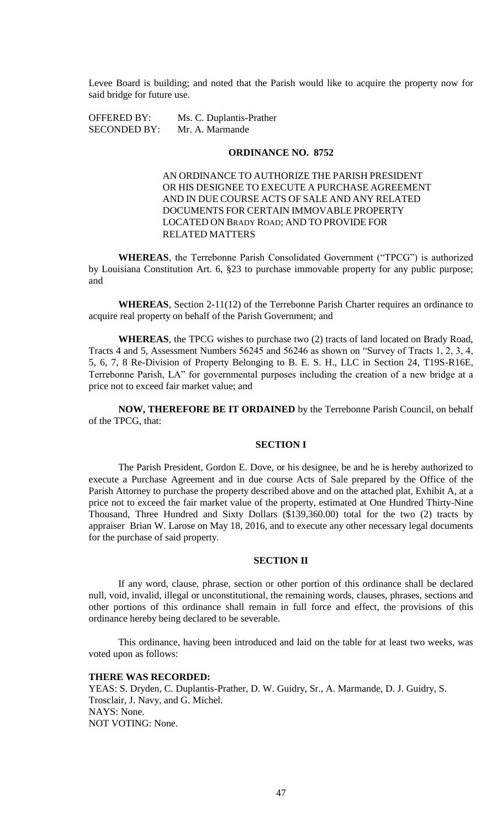Levee Board is building; and noted that the Parish would like to acquire the property now for said bridge for future use.

OFFERED BY: Ms. C. Duplantis-Prather SECONDED BY: Mr. A. Marmande

## **ORDINANCE NO. 8752**

AN ORDINANCE TO AUTHORIZE THE PARISH PRESIDENT OR HIS DESIGNEE TO EXECUTE A PURCHASE AGREEMENT AND IN DUE COURSE ACTS OF SALE AND ANY RELATED DOCUMENTS FOR CERTAIN IMMOVABLE PROPERTY LOCATED ON BRADY ROAD; AND TO PROVIDE FOR RELATED MATTERS

**WHEREAS**, the Terrebonne Parish Consolidated Government ("TPCG") is authorized by Louisiana Constitution Art. 6, §23 to purchase immovable property for any public purpose; and

**WHEREAS**, Section 2-11(12) of the Terrebonne Parish Charter requires an ordinance to acquire real property on behalf of the Parish Government; and

**WHEREAS**, the TPCG wishes to purchase two (2) tracts of land located on Brady Road, Tracts 4 and 5, Assessment Numbers 56245 and 56246 as shown on "Survey of Tracts 1, 2, 3, 4, 5, 6, 7, 8 Re-Division of Property Belonging to B. E. S. H., LLC in Section 24, T19S-R16E, Terrebonne Parish, LA" for governmental purposes including the creation of a new bridge at a price not to exceed fair market value; and

**NOW, THEREFORE BE IT ORDAINED** by the Terrebonne Parish Council, on behalf of the TPCG, that:

## **SECTION I**

The Parish President, Gordon E. Dove, or his designee, be and he is hereby authorized to execute a Purchase Agreement and in due course Acts of Sale prepared by the Office of the Parish Attorney to purchase the property described above and on the attached plat, Exhibit A, at a price not to exceed the fair market value of the property, estimated at One Hundred Thirty-Nine Thousand, Three Hundred and Sixty Dollars (\$139,360.00) total for the two (2) tracts by appraiser Brian W. Larose on May 18, 2016, and to execute any other necessary legal documents for the purchase of said property.

### **SECTION II**

If any word, clause, phrase, section or other portion of this ordinance shall be declared null, void, invalid, illegal or unconstitutional, the remaining words, clauses, phrases, sections and other portions of this ordinance shall remain in full force and effect, the provisions of this ordinance hereby being declared to be severable.

This ordinance, having been introduced and laid on the table for at least two weeks, was voted upon as follows:

#### **THERE WAS RECORDED:**

YEAS: S. Dryden, C. Duplantis-Prather, D. W. Guidry, Sr., A. Marmande, D. J. Guidry, S. Trosclair, J. Navy, and G. Michel. NAYS: None. NOT VOTING: None.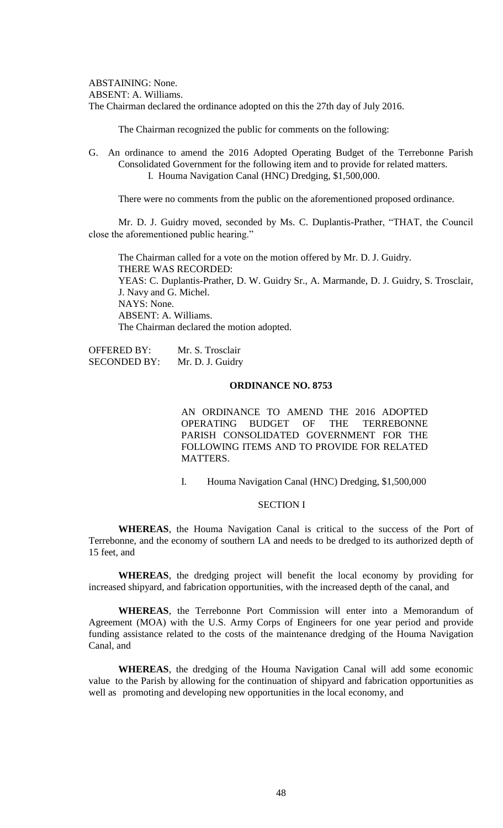ABSTAINING: None. ABSENT: A. Williams. The Chairman declared the ordinance adopted on this the 27th day of July 2016.

The Chairman recognized the public for comments on the following:

G. An ordinance to amend the 2016 Adopted Operating Budget of the Terrebonne Parish Consolidated Government for the following item and to provide for related matters. I. Houma Navigation Canal (HNC) Dredging, \$1,500,000.

There were no comments from the public on the aforementioned proposed ordinance.

Mr. D. J. Guidry moved, seconded by Ms. C. Duplantis-Prather, "THAT, the Council close the aforementioned public hearing."

The Chairman called for a vote on the motion offered by Mr. D. J. Guidry. THERE WAS RECORDED: YEAS: C. Duplantis-Prather, D. W. Guidry Sr., A. Marmande, D. J. Guidry, S. Trosclair, J. Navy and G. Michel. NAYS: None. ABSENT: A. Williams. The Chairman declared the motion adopted.

| <b>OFFERED BY:</b>  | Mr. S. Trosclair |
|---------------------|------------------|
| <b>SECONDED BY:</b> | Mr. D. J. Guidry |

## **ORDINANCE NO. 8753**

AN ORDINANCE TO AMEND THE 2016 ADOPTED OPERATING BUDGET OF THE TERREBONNE PARISH CONSOLIDATED GOVERNMENT FOR THE FOLLOWING ITEMS AND TO PROVIDE FOR RELATED MATTERS.

I. Houma Navigation Canal (HNC) Dredging, \$1,500,000

#### SECTION I

**WHEREAS**, the Houma Navigation Canal is critical to the success of the Port of Terrebonne, and the economy of southern LA and needs to be dredged to its authorized depth of 15 feet, and

**WHEREAS**, the dredging project will benefit the local economy by providing for increased shipyard, and fabrication opportunities, with the increased depth of the canal, and

**WHEREAS**, the Terrebonne Port Commission will enter into a Memorandum of Agreement (MOA) with the U.S. Army Corps of Engineers for one year period and provide funding assistance related to the costs of the maintenance dredging of the Houma Navigation Canal, and

**WHEREAS**, the dredging of the Houma Navigation Canal will add some economic value to the Parish by allowing for the continuation of shipyard and fabrication opportunities as well as promoting and developing new opportunities in the local economy, and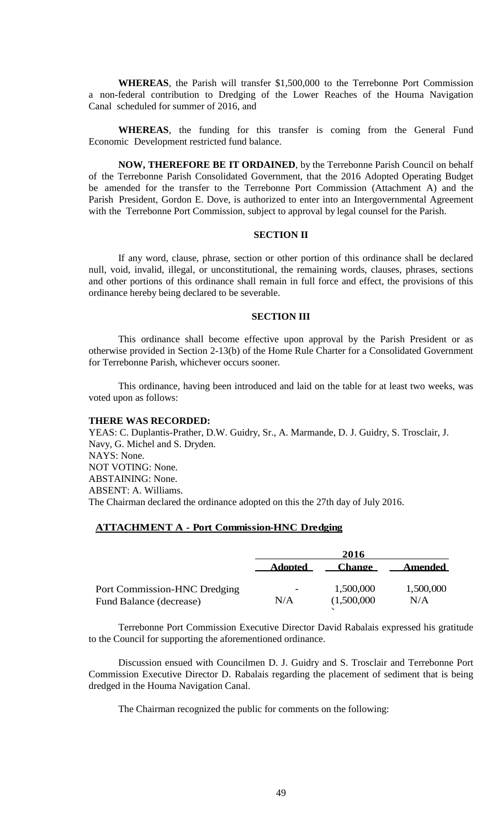**WHEREAS**, the Parish will transfer \$1,500,000 to the Terrebonne Port Commission a non-federal contribution to Dredging of the Lower Reaches of the Houma Navigation Canal scheduled for summer of 2016, and

**WHEREAS**, the funding for this transfer is coming from the General Fund Economic Development restricted fund balance.

**NOW, THEREFORE BE IT ORDAINED**, by the Terrebonne Parish Council on behalf of the Terrebonne Parish Consolidated Government, that the 2016 Adopted Operating Budget be amended for the transfer to the Terrebonne Port Commission (Attachment A) and the Parish President, Gordon E. Dove, is authorized to enter into an Intergovernmental Agreement with the Terrebonne Port Commission, subject to approval by legal counsel for the Parish.

### **SECTION II**

If any word, clause, phrase, section or other portion of this ordinance shall be declared null, void, invalid, illegal, or unconstitutional, the remaining words, clauses, phrases, sections and other portions of this ordinance shall remain in full force and effect, the provisions of this ordinance hereby being declared to be severable.

### **SECTION III**

This ordinance shall become effective upon approval by the Parish President or as otherwise provided in Section 2-13(b) of the Home Rule Charter for a Consolidated Government for Terrebonne Parish, whichever occurs sooner.

This ordinance, having been introduced and laid on the table for at least two weeks, was voted upon as follows:

## **THERE WAS RECORDED:**

YEAS: C. Duplantis-Prather, D.W. Guidry, Sr., A. Marmande, D. J. Guidry, S. Trosclair, J. Navy, G. Michel and S. Dryden. NAYS: None. NOT VOTING: None. ABSTAINING: None. ABSENT: A. Williams. The Chairman declared the ordinance adopted on this the 27th day of July 2016.

### **ATTACHMENT A - Port Commission-HNC Dredging**

|                                                         |                                 | 2016                     |                  |
|---------------------------------------------------------|---------------------------------|--------------------------|------------------|
|                                                         | <b>Adopted</b>                  | <b>Change</b>            | <b>Amended</b>   |
| Port Commission-HNC Dredging<br>Fund Balance (decrease) | $\overline{\phantom{a}}$<br>N/A | 1,500,000<br>(1,500,000) | 1,500,000<br>N/A |

Terrebonne Port Commission Executive Director David Rabalais expressed his gratitude to the Council for supporting the aforementioned ordinance.

Discussion ensued with Councilmen D. J. Guidry and S. Trosclair and Terrebonne Port Commission Executive Director D. Rabalais regarding the placement of sediment that is being dredged in the Houma Navigation Canal.

The Chairman recognized the public for comments on the following: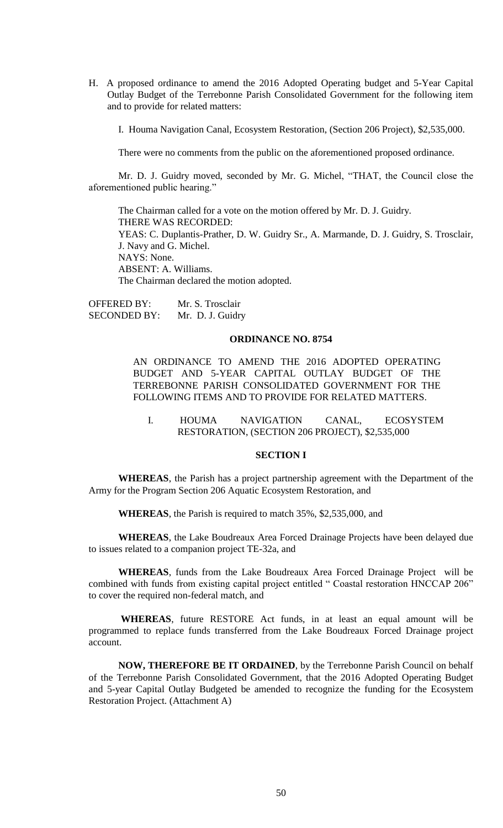H. A proposed ordinance to amend the 2016 Adopted Operating budget and 5-Year Capital Outlay Budget of the Terrebonne Parish Consolidated Government for the following item and to provide for related matters:

I. Houma Navigation Canal, Ecosystem Restoration, (Section 206 Project), \$2,535,000.

There were no comments from the public on the aforementioned proposed ordinance.

Mr. D. J. Guidry moved, seconded by Mr. G. Michel, "THAT, the Council close the aforementioned public hearing."

The Chairman called for a vote on the motion offered by Mr. D. J. Guidry. THERE WAS RECORDED: YEAS: C. Duplantis-Prather, D. W. Guidry Sr., A. Marmande, D. J. Guidry, S. Trosclair, J. Navy and G. Michel. NAYS: None. ABSENT: A. Williams. The Chairman declared the motion adopted.

OFFERED BY: Mr. S. Trosclair SECONDED BY: Mr. D. J. Guidry

#### **ORDINANCE NO. 8754**

AN ORDINANCE TO AMEND THE 2016 ADOPTED OPERATING BUDGET AND 5-YEAR CAPITAL OUTLAY BUDGET OF THE TERREBONNE PARISH CONSOLIDATED GOVERNMENT FOR THE FOLLOWING ITEMS AND TO PROVIDE FOR RELATED MATTERS.

I. HOUMA NAVIGATION CANAL, ECOSYSTEM RESTORATION, (SECTION 206 PROJECT), \$2,535,000

### **SECTION I**

**WHEREAS**, the Parish has a project partnership agreement with the Department of the Army for the Program Section 206 Aquatic Ecosystem Restoration, and

**WHEREAS**, the Parish is required to match 35%, \$2,535,000, and

**WHEREAS**, the Lake Boudreaux Area Forced Drainage Projects have been delayed due to issues related to a companion project TE-32a, and

**WHEREAS**, funds from the Lake Boudreaux Area Forced Drainage Project will be combined with funds from existing capital project entitled " Coastal restoration HNCCAP 206" to cover the required non-federal match, and

**WHEREAS**, future RESTORE Act funds, in at least an equal amount will be programmed to replace funds transferred from the Lake Boudreaux Forced Drainage project account.

**NOW, THEREFORE BE IT ORDAINED**, by the Terrebonne Parish Council on behalf of the Terrebonne Parish Consolidated Government, that the 2016 Adopted Operating Budget and 5-year Capital Outlay Budgeted be amended to recognize the funding for the Ecosystem Restoration Project. (Attachment A)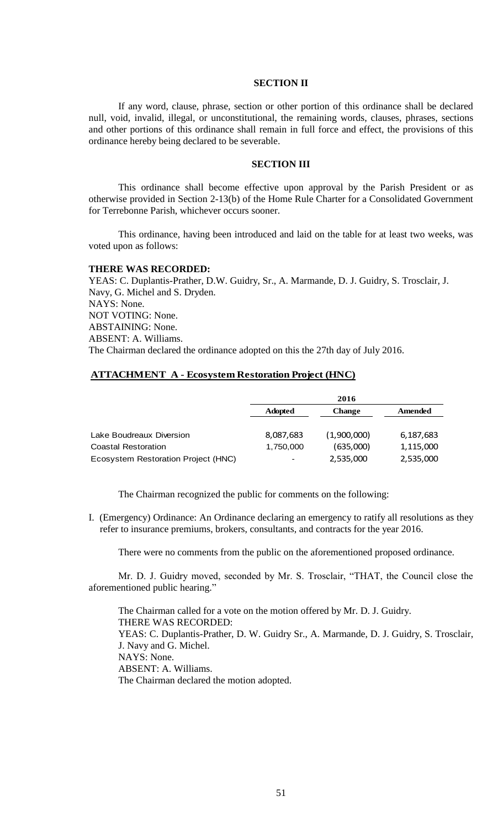### **SECTION II**

If any word, clause, phrase, section or other portion of this ordinance shall be declared null, void, invalid, illegal, or unconstitutional, the remaining words, clauses, phrases, sections and other portions of this ordinance shall remain in full force and effect, the provisions of this ordinance hereby being declared to be severable.

## **SECTION III**

This ordinance shall become effective upon approval by the Parish President or as otherwise provided in Section 2-13(b) of the Home Rule Charter for a Consolidated Government for Terrebonne Parish, whichever occurs sooner.

This ordinance, having been introduced and laid on the table for at least two weeks, was voted upon as follows:

### **THERE WAS RECORDED:**

YEAS: C. Duplantis-Prather, D.W. Guidry, Sr., A. Marmande, D. J. Guidry, S. Trosclair, J. Navy, G. Michel and S. Dryden. NAYS: None. NOT VOTING: None. ABSTAINING: None. ABSENT: A. Williams. The Chairman declared the ordinance adopted on this the 27th day of July 2016.

## **ATTACHMENT A - Ecosystem Restoration Project (HNC)**

|                                     | 2016           |               |           |
|-------------------------------------|----------------|---------------|-----------|
|                                     | <b>Adopted</b> | <b>Change</b> | Amended   |
|                                     |                |               |           |
| Lake Boudreaux Diversion            | 8,087,683      | (1,900,000)   | 6,187,683 |
| Coastal Restoration                 | 1,750,000      | (635,000)     | 1,115,000 |
| Ecosystem Restoration Project (HNC) | -              | 2,535,000     | 2,535,000 |

The Chairman recognized the public for comments on the following:

I. (Emergency) Ordinance: An Ordinance declaring an emergency to ratify all resolutions as they refer to insurance premiums, brokers, consultants, and contracts for the year 2016.

There were no comments from the public on the aforementioned proposed ordinance.

Mr. D. J. Guidry moved, seconded by Mr. S. Trosclair, "THAT, the Council close the aforementioned public hearing."

The Chairman called for a vote on the motion offered by Mr. D. J. Guidry. THERE WAS RECORDED: YEAS: C. Duplantis-Prather, D. W. Guidry Sr., A. Marmande, D. J. Guidry, S. Trosclair, J. Navy and G. Michel. NAYS: None. ABSENT: A. Williams. The Chairman declared the motion adopted.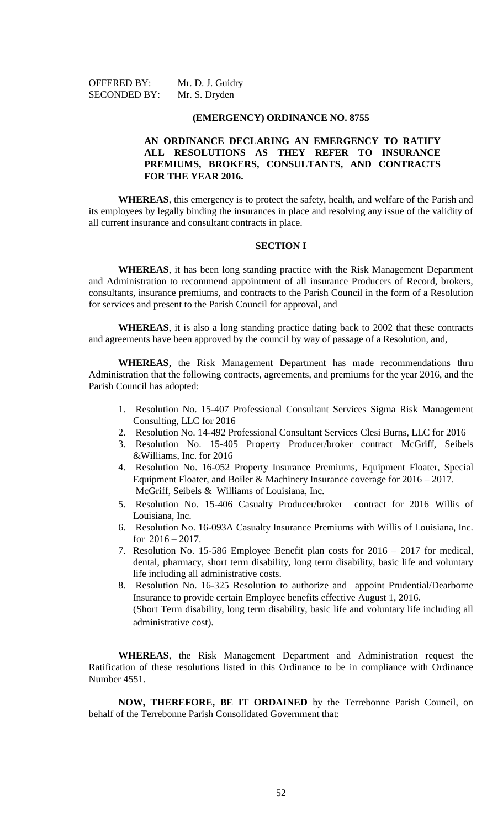| <b>OFFERED BY:</b>  | Mr. D. J. Guidry |
|---------------------|------------------|
| <b>SECONDED BY:</b> | Mr. S. Dryden    |

#### **(EMERGENCY) ORDINANCE NO. 8755**

## **AN ORDINANCE DECLARING AN EMERGENCY TO RATIFY ALL RESOLUTIONS AS THEY REFER TO INSURANCE PREMIUMS, BROKERS, CONSULTANTS, AND CONTRACTS FOR THE YEAR 2016.**

**WHEREAS**, this emergency is to protect the safety, health, and welfare of the Parish and its employees by legally binding the insurances in place and resolving any issue of the validity of all current insurance and consultant contracts in place.

#### **SECTION I**

**WHEREAS**, it has been long standing practice with the Risk Management Department and Administration to recommend appointment of all insurance Producers of Record, brokers, consultants, insurance premiums, and contracts to the Parish Council in the form of a Resolution for services and present to the Parish Council for approval, and

**WHEREAS**, it is also a long standing practice dating back to 2002 that these contracts and agreements have been approved by the council by way of passage of a Resolution, and,

**WHEREAS**, the Risk Management Department has made recommendations thru Administration that the following contracts, agreements, and premiums for the year 2016, and the Parish Council has adopted:

- 1. Resolution No. 15-407 Professional Consultant Services Sigma Risk Management Consulting, LLC for 2016
- 2. Resolution No. 14-492 Professional Consultant Services Clesi Burns, LLC for 2016
- 3. Resolution No. 15-405 Property Producer/broker contract McGriff, Seibels &Williams, Inc. for 2016
- 4. Resolution No. 16-052 Property Insurance Premiums, Equipment Floater, Special Equipment Floater, and Boiler & Machinery Insurance coverage for 2016 – 2017. McGriff, Seibels & Williams of Louisiana, Inc.
- 5. Resolution No. 15-406 Casualty Producer/broker contract for 2016 Willis of Louisiana, Inc.
- 6. Resolution No. 16-093A Casualty Insurance Premiums with Willis of Louisiana, Inc. for 2016 – 2017.
- 7. Resolution No. 15-586 Employee Benefit plan costs for 2016 2017 for medical, dental, pharmacy, short term disability, long term disability, basic life and voluntary life including all administrative costs.
- 8. Resolution No. 16-325 Resolution to authorize and appoint Prudential/Dearborne Insurance to provide certain Employee benefits effective August 1, 2016. (Short Term disability, long term disability, basic life and voluntary life including all administrative cost).

**WHEREAS**, the Risk Management Department and Administration request the Ratification of these resolutions listed in this Ordinance to be in compliance with Ordinance Number 4551.

**NOW, THEREFORE, BE IT ORDAINED** by the Terrebonne Parish Council, on behalf of the Terrebonne Parish Consolidated Government that: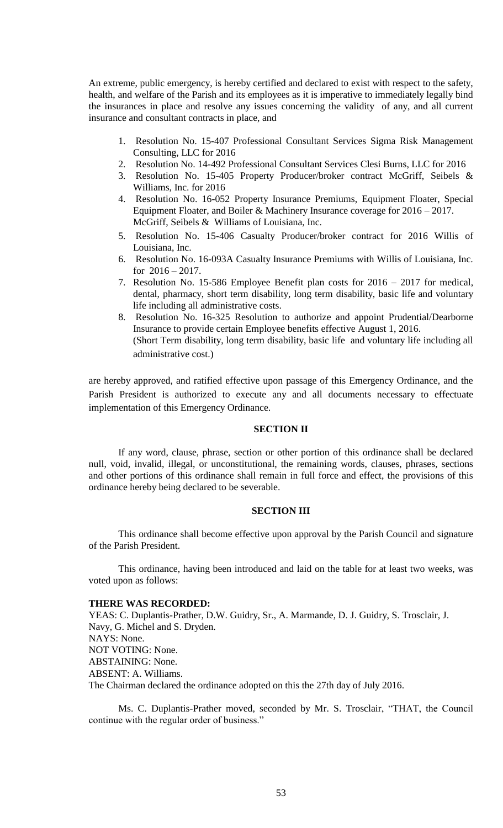An extreme, public emergency, is hereby certified and declared to exist with respect to the safety, health, and welfare of the Parish and its employees as it is imperative to immediately legally bind the insurances in place and resolve any issues concerning the validity of any, and all current insurance and consultant contracts in place, and

- 1. Resolution No. 15-407 Professional Consultant Services Sigma Risk Management Consulting, LLC for 2016
- 2. Resolution No. 14-492 Professional Consultant Services Clesi Burns, LLC for 2016
- 3. Resolution No. 15-405 Property Producer/broker contract McGriff, Seibels & Williams, Inc. for 2016
- 4. Resolution No. 16-052 Property Insurance Premiums, Equipment Floater, Special Equipment Floater, and Boiler & Machinery Insurance coverage for 2016 – 2017. McGriff, Seibels & Williams of Louisiana, Inc.
- 5. Resolution No. 15-406 Casualty Producer/broker contract for 2016 Willis of Louisiana, Inc.
- 6. Resolution No. 16-093A Casualty Insurance Premiums with Willis of Louisiana, Inc. for  $2016 - 2017$ .
- 7. Resolution No. 15-586 Employee Benefit plan costs for 2016 2017 for medical, dental, pharmacy, short term disability, long term disability, basic life and voluntary life including all administrative costs.
- 8. Resolution No. 16-325 Resolution to authorize and appoint Prudential/Dearborne Insurance to provide certain Employee benefits effective August 1, 2016. (Short Term disability, long term disability, basic life and voluntary life including all administrative cost.)

are hereby approved, and ratified effective upon passage of this Emergency Ordinance, and the Parish President is authorized to execute any and all documents necessary to effectuate implementation of this Emergency Ordinance.

## **SECTION II**

If any word, clause, phrase, section or other portion of this ordinance shall be declared null, void, invalid, illegal, or unconstitutional, the remaining words, clauses, phrases, sections and other portions of this ordinance shall remain in full force and effect, the provisions of this ordinance hereby being declared to be severable.

### **SECTION III**

This ordinance shall become effective upon approval by the Parish Council and signature of the Parish President.

This ordinance, having been introduced and laid on the table for at least two weeks, was voted upon as follows:

#### **THERE WAS RECORDED:**

YEAS: C. Duplantis-Prather, D.W. Guidry, Sr., A. Marmande, D. J. Guidry, S. Trosclair, J. Navy, G. Michel and S. Dryden. NAYS: None. NOT VOTING: None. ABSTAINING: None. ABSENT: A. Williams. The Chairman declared the ordinance adopted on this the 27th day of July 2016.

Ms. C. Duplantis-Prather moved, seconded by Mr. S. Trosclair, "THAT, the Council continue with the regular order of business."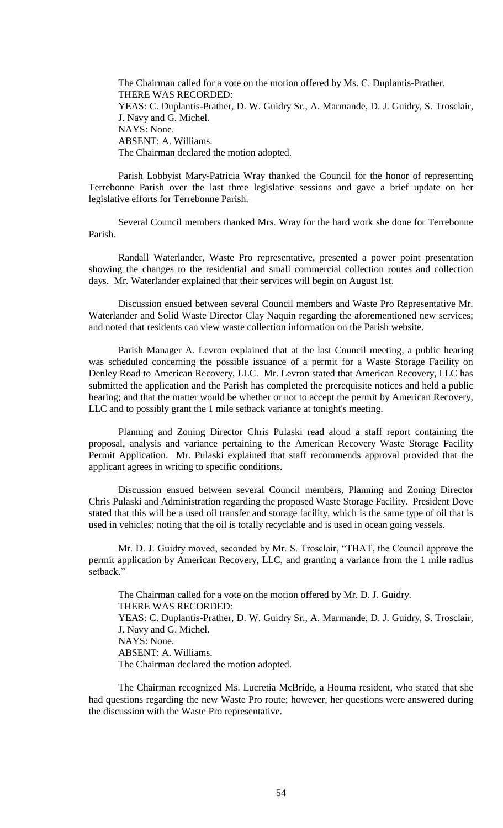The Chairman called for a vote on the motion offered by Ms. C. Duplantis-Prather. THERE WAS RECORDED: YEAS: C. Duplantis-Prather, D. W. Guidry Sr., A. Marmande, D. J. Guidry, S. Trosclair, J. Navy and G. Michel. NAYS: None. ABSENT: A. Williams. The Chairman declared the motion adopted.

Parish Lobbyist Mary-Patricia Wray thanked the Council for the honor of representing Terrebonne Parish over the last three legislative sessions and gave a brief update on her legislative efforts for Terrebonne Parish.

Several Council members thanked Mrs. Wray for the hard work she done for Terrebonne Parish.

Randall Waterlander, Waste Pro representative, presented a power point presentation showing the changes to the residential and small commercial collection routes and collection days. Mr. Waterlander explained that their services will begin on August 1st.

Discussion ensued between several Council members and Waste Pro Representative Mr. Waterlander and Solid Waste Director Clay Naquin regarding the aforementioned new services; and noted that residents can view waste collection information on the Parish website.

Parish Manager A. Levron explained that at the last Council meeting, a public hearing was scheduled concerning the possible issuance of a permit for a Waste Storage Facility on Denley Road to American Recovery, LLC. Mr. Levron stated that American Recovery, LLC has submitted the application and the Parish has completed the prerequisite notices and held a public hearing; and that the matter would be whether or not to accept the permit by American Recovery, LLC and to possibly grant the 1 mile setback variance at tonight's meeting.

Planning and Zoning Director Chris Pulaski read aloud a staff report containing the proposal, analysis and variance pertaining to the American Recovery Waste Storage Facility Permit Application. Mr. Pulaski explained that staff recommends approval provided that the applicant agrees in writing to specific conditions.

Discussion ensued between several Council members, Planning and Zoning Director Chris Pulaski and Administration regarding the proposed Waste Storage Facility. President Dove stated that this will be a used oil transfer and storage facility, which is the same type of oil that is used in vehicles; noting that the oil is totally recyclable and is used in ocean going vessels.

Mr. D. J. Guidry moved, seconded by Mr. S. Trosclair, "THAT, the Council approve the permit application by American Recovery, LLC, and granting a variance from the 1 mile radius setback<sup>"</sup>

The Chairman called for a vote on the motion offered by Mr. D. J. Guidry. THERE WAS RECORDED: YEAS: C. Duplantis-Prather, D. W. Guidry Sr., A. Marmande, D. J. Guidry, S. Trosclair, J. Navy and G. Michel. NAYS: None. ABSENT: A. Williams. The Chairman declared the motion adopted.

The Chairman recognized Ms. Lucretia McBride, a Houma resident, who stated that she had questions regarding the new Waste Pro route; however, her questions were answered during the discussion with the Waste Pro representative.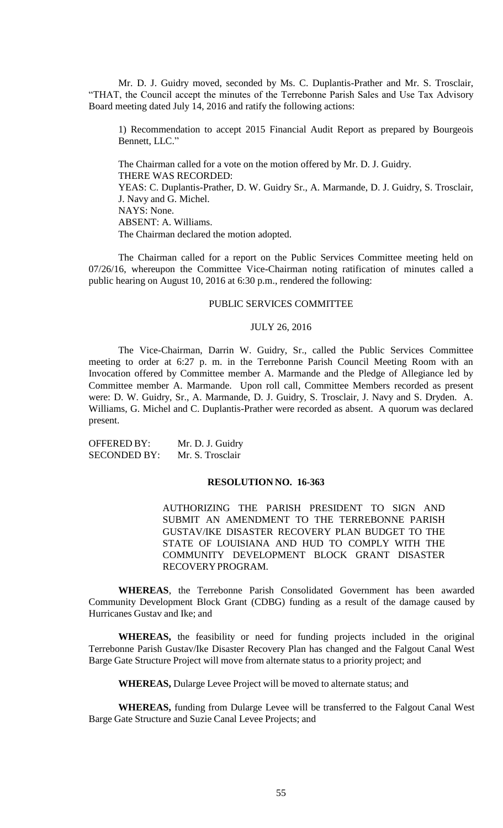Mr. D. J. Guidry moved, seconded by Ms. C. Duplantis-Prather and Mr. S. Trosclair, "THAT, the Council accept the minutes of the Terrebonne Parish Sales and Use Tax Advisory Board meeting dated July 14, 2016 and ratify the following actions:

1) Recommendation to accept 2015 Financial Audit Report as prepared by Bourgeois Bennett, LLC."

The Chairman called for a vote on the motion offered by Mr. D. J. Guidry. THERE WAS RECORDED: YEAS: C. Duplantis-Prather, D. W. Guidry Sr., A. Marmande, D. J. Guidry, S. Trosclair, J. Navy and G. Michel. NAYS: None. ABSENT: A. Williams. The Chairman declared the motion adopted.

The Chairman called for a report on the Public Services Committee meeting held on 07/26/16, whereupon the Committee Vice-Chairman noting ratification of minutes called a public hearing on August 10, 2016 at 6:30 p.m., rendered the following:

### PUBLIC SERVICES COMMITTEE

#### JULY 26, 2016

The Vice-Chairman, Darrin W. Guidry, Sr., called the Public Services Committee meeting to order at 6:27 p. m. in the Terrebonne Parish Council Meeting Room with an Invocation offered by Committee member A. Marmande and the Pledge of Allegiance led by Committee member A. Marmande. Upon roll call, Committee Members recorded as present were: D. W. Guidry, Sr., A. Marmande, D. J. Guidry, S. Trosclair, J. Navy and S. Dryden. A. Williams, G. Michel and C. Duplantis-Prather were recorded as absent. A quorum was declared present.

OFFERED BY: Mr. D. J. Guidry SECONDED BY: Mr. S. Trosclair

#### **RESOLUTION NO. 16-363**

AUTHORIZING THE PARISH PRESIDENT TO SIGN AND SUBMIT AN AMENDMENT TO THE TERREBONNE PARISH GUSTAV/IKE DISASTER RECOVERY PLAN BUDGET TO THE STATE OF LOUISIANA AND HUD TO COMPLY WITH THE COMMUNITY DEVELOPMENT BLOCK GRANT DISASTER RECOVERYPROGRAM.

**WHEREAS**, the Terrebonne Parish Consolidated Government has been awarded Community Development Block Grant (CDBG) funding as a result of the damage caused by Hurricanes Gustav and Ike; and

**WHEREAS,** the feasibility or need for funding projects included in the original Terrebonne Parish Gustav/Ike Disaster Recovery Plan has changed and the Falgout Canal West Barge Gate Structure Project will move from alternate status to a priority project; and

**WHEREAS,** Dularge Levee Project will be moved to alternate status; and

**WHEREAS,** funding from Dularge Levee will be transferred to the Falgout Canal West Barge Gate Structure and Suzie Canal Levee Projects; and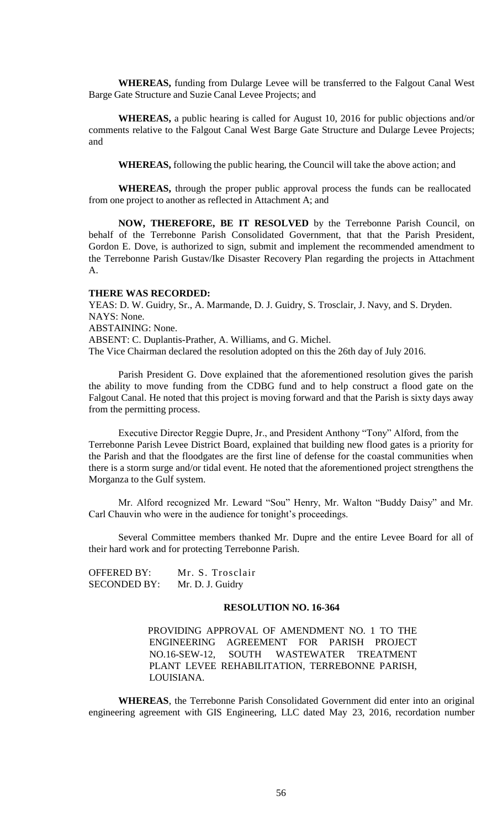**WHEREAS,** funding from Dularge Levee will be transferred to the Falgout Canal West Barge Gate Structure and Suzie Canal Levee Projects; and

**WHEREAS,** a public hearing is called for August 10, 2016 for public objections and/or comments relative to the Falgout Canal West Barge Gate Structure and Dularge Levee Projects; and

**WHEREAS,** following the public hearing, the Council will take the above action; and

**WHEREAS,** through the proper public approval process the funds can be reallocated from one project to another as reflected in Attachment A; and

**NOW, THEREFORE, BE IT RESOLVED** by the Terrebonne Parish Council, on behalf of the Terrebonne Parish Consolidated Government, that that the Parish President, Gordon E. Dove, is authorized to sign, submit and implement the recommended amendment to the Terrebonne Parish Gustav/Ike Disaster Recovery Plan regarding the projects in Attachment A.

### **THERE WAS RECORDED:**

YEAS: D. W. Guidry, Sr., A. Marmande, D. J. Guidry, S. Trosclair, J. Navy, and S. Dryden. NAYS: None. ABSTAINING: None.

ABSENT: C. Duplantis-Prather, A. Williams, and G. Michel.

The Vice Chairman declared the resolution adopted on this the 26th day of July 2016.

Parish President G. Dove explained that the aforementioned resolution gives the parish the ability to move funding from the CDBG fund and to help construct a flood gate on the Falgout Canal. He noted that this project is moving forward and that the Parish is sixty days away from the permitting process.

Executive Director Reggie Dupre, Jr., and President Anthony "Tony" Alford, from the Terrebonne Parish Levee District Board, explained that building new flood gates is a priority for the Parish and that the floodgates are the first line of defense for the coastal communities when there is a storm surge and/or tidal event. He noted that the aforementioned project strengthens the Morganza to the Gulf system.

Mr. Alford recognized Mr. Leward "Sou" Henry, Mr. Walton "Buddy Daisy" and Mr. Carl Chauvin who were in the audience for tonight's proceedings.

Several Committee members thanked Mr. Dupre and the entire Levee Board for all of their hard work and for protecting Terrebonne Parish.

OFFERED BY: Mr. S. Trosclair SECONDED BY: Mr. D. J. Guidry

### **RESOLUTION NO. 16-364**

PROVIDING APPROVAL OF AMENDMENT NO. 1 TO THE ENGINEERING AGREEMENT FOR PARISH PROJECT NO.16-SEW-12, SOUTH WASTEWATER TREATMENT PLANT LEVEE REHABILITATION, TERREBONNE PARISH, LOUISIANA.

**WHEREAS**, the Terrebonne Parish Consolidated Government did enter into an original engineering agreement with GIS Engineering, LLC dated May 23, 2016, recordation number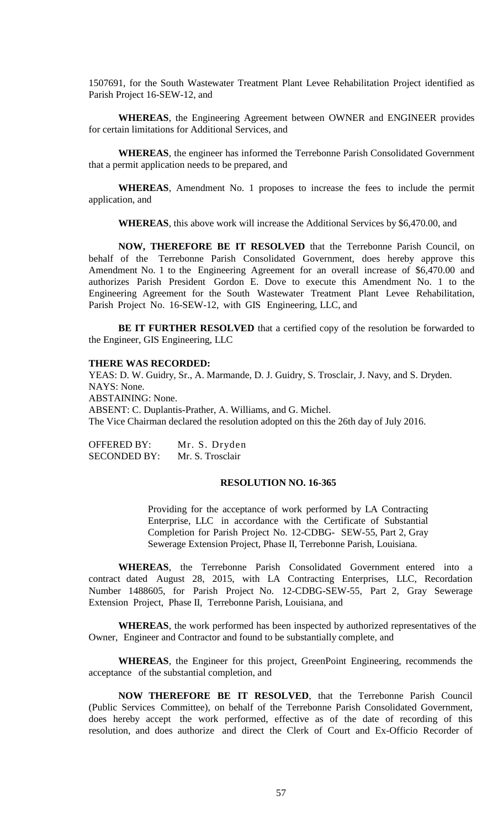1507691, for the South Wastewater Treatment Plant Levee Rehabilitation Project identified as Parish Project 16-SEW-12, and

**WHEREAS**, the Engineering Agreement between OWNER and ENGINEER provides for certain limitations for Additional Services, and

**WHEREAS**, the engineer has informed the Terrebonne Parish Consolidated Government that a permit application needs to be prepared, and

**WHEREAS**, Amendment No. 1 proposes to increase the fees to include the permit application, and

**WHEREAS**, this above work will increase the Additional Services by \$6,470.00, and

**NOW, THEREFORE BE IT RESOLVED** that the Terrebonne Parish Council, on behalf of the Terrebonne Parish Consolidated Government, does hereby approve this Amendment No. 1 to the Engineering Agreement for an overall increase of \$6,470.00 and authorizes Parish President Gordon E. Dove to execute this Amendment No. 1 to the Engineering Agreement for the South Wastewater Treatment Plant Levee Rehabilitation, Parish Project No. 16-SEW-12, with GIS Engineering, LLC, and

**BE IT FURTHER RESOLVED** that a certified copy of the resolution be forwarded to the Engineer, GIS Engineering, LLC

## **THERE WAS RECORDED:**

YEAS: D. W. Guidry, Sr., A. Marmande, D. J. Guidry, S. Trosclair, J. Navy, and S. Dryden. NAYS: None. ABSTAINING: None. ABSENT: C. Duplantis-Prather, A. Williams, and G. Michel. The Vice Chairman declared the resolution adopted on this the 26th day of July 2016.

OFFERED BY: Mr. S. Dryden SECONDED BY: Mr. S. Trosclair

### **RESOLUTION NO. 16-365**

Providing for the acceptance of work performed by LA Contracting Enterprise, LLC in accordance with the Certificate of Substantial Completion for Parish Project No. 12-CDBG- SEW-55, Part 2, Gray Sewerage Extension Project, Phase II, Terrebonne Parish, Louisiana.

**WHEREAS**, the Terrebonne Parish Consolidated Government entered into a contract dated August 28, 2015, with LA Contracting Enterprises, LLC, Recordation Number 1488605, for Parish Project No. 12-CDBG-SEW-55, Part 2, Gray Sewerage Extension Project, Phase II, Terrebonne Parish, Louisiana, and

**WHEREAS**, the work performed has been inspected by authorized representatives of the Owner, Engineer and Contractor and found to be substantially complete, and

**WHEREAS**, the Engineer for this project, GreenPoint Engineering, recommends the acceptance of the substantial completion, and

**NOW THEREFORE BE IT RESOLVED**, that the Terrebonne Parish Council (Public Services Committee), on behalf of the Terrebonne Parish Consolidated Government, does hereby accept the work performed, effective as of the date of recording of this resolution, and does authorize and direct the Clerk of Court and Ex-Officio Recorder of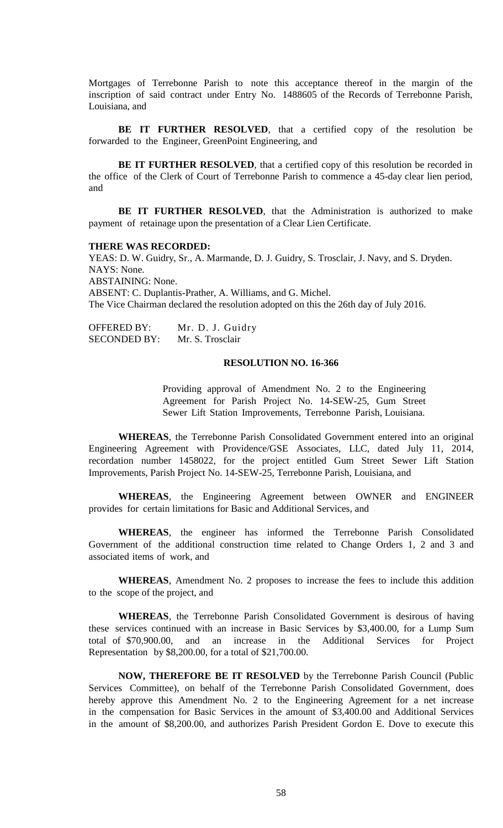Mortgages of Terrebonne Parish to note this acceptance thereof in the margin of the inscription of said contract under Entry No. 1488605 of the Records of Terrebonne Parish, Louisiana, and

**BE IT FURTHER RESOLVED**, that a certified copy of the resolution be forwarded to the Engineer, GreenPoint Engineering, and

**BE IT FURTHER RESOLVED**, that a certified copy of this resolution be recorded in the office of the Clerk of Court of Terrebonne Parish to commence a 45-day clear lien period, and

**BE IT FURTHER RESOLVED**, that the Administration is authorized to make payment of retainage upon the presentation of a Clear Lien Certificate.

### **THERE WAS RECORDED:**

YEAS: D. W. Guidry, Sr., A. Marmande, D. J. Guidry, S. Trosclair, J. Navy, and S. Dryden. NAYS: None. ABSTAINING: None. ABSENT: C. Duplantis-Prather, A. Williams, and G. Michel. The Vice Chairman declared the resolution adopted on this the 26th day of July 2016.

OFFERED BY: Mr. D. J. Guidry SECONDED BY: Mr. S. Trosclair

### **RESOLUTION NO. 16-366**

Providing approval of Amendment No. 2 to the Engineering Agreement for Parish Project No. 14-SEW-25, Gum Street Sewer Lift Station Improvements, Terrebonne Parish, Louisiana.

**WHEREAS**, the Terrebonne Parish Consolidated Government entered into an original Engineering Agreement with Providence/GSE Associates, LLC, dated July 11, 2014, recordation number 1458022, for the project entitled Gum Street Sewer Lift Station Improvements, Parish Project No. 14-SEW-25, Terrebonne Parish, Louisiana, and

**WHEREAS**, the Engineering Agreement between OWNER and ENGINEER provides for certain limitations for Basic and Additional Services, and

**WHEREAS**, the engineer has informed the Terrebonne Parish Consolidated Government of the additional construction time related to Change Orders 1, 2 and 3 and associated items of work, and

**WHEREAS**, Amendment No. 2 proposes to increase the fees to include this addition to the scope of the project, and

**WHEREAS**, the Terrebonne Parish Consolidated Government is desirous of having these services continued with an increase in Basic Services by \$3,400.00, for a Lump Sum total of \$70,900.00, and an increase in the Additional Services for Project Representation by \$8,200.00, for a total of \$21,700.00.

**NOW, THEREFORE BE IT RESOLVED** by the Terrebonne Parish Council (Public Services Committee), on behalf of the Terrebonne Parish Consolidated Government, does hereby approve this Amendment No. 2 to the Engineering Agreement for a net increase in the compensation for Basic Services in the amount of \$3,400.00 and Additional Services in the amount of \$8,200.00, and authorizes Parish President Gordon E. Dove to execute this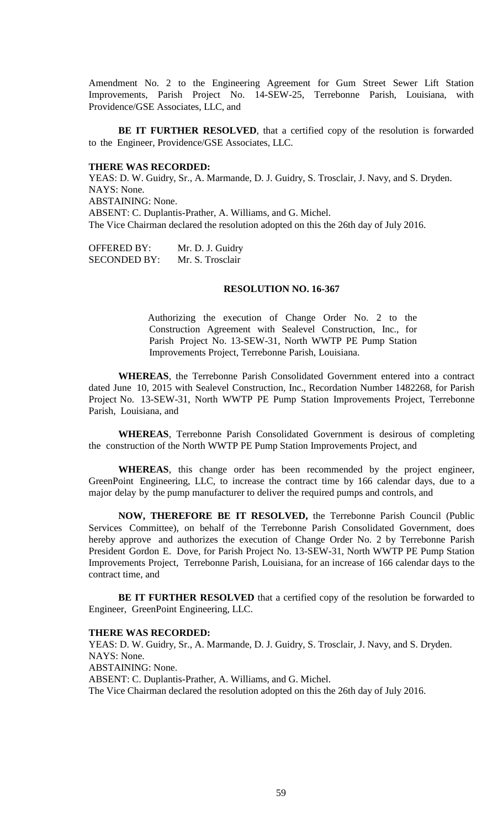Amendment No. 2 to the Engineering Agreement for Gum Street Sewer Lift Station Improvements, Parish Project No. 14-SEW-25, Terrebonne Parish, Louisiana, with Providence/GSE Associates, LLC, and

**BE IT FURTHER RESOLVED**, that a certified copy of the resolution is forwarded to the Engineer, Providence/GSE Associates, LLC.

### **THERE WAS RECORDED:**

YEAS: D. W. Guidry, Sr., A. Marmande, D. J. Guidry, S. Trosclair, J. Navy, and S. Dryden. NAYS: None. ABSTAINING: None. ABSENT: C. Duplantis-Prather, A. Williams, and G. Michel. The Vice Chairman declared the resolution adopted on this the 26th day of July 2016.

| <b>OFFERED BY:</b>  | Mr. D. J. Guidry |
|---------------------|------------------|
| <b>SECONDED BY:</b> | Mr. S. Trosclair |

### **RESOLUTION NO. 16-367**

Authorizing the execution of Change Order No. 2 to the Construction Agreement with Sealevel Construction, Inc., for Parish Project No. 13-SEW-31, North WWTP PE Pump Station Improvements Project, Terrebonne Parish, Louisiana.

**WHEREAS**, the Terrebonne Parish Consolidated Government entered into a contract dated June 10, 2015 with Sealevel Construction, Inc., Recordation Number 1482268, for Parish Project No. 13-SEW-31, North WWTP PE Pump Station Improvements Project, Terrebonne Parish, Louisiana, and

**WHEREAS**, Terrebonne Parish Consolidated Government is desirous of completing the construction of the North WWTP PE Pump Station Improvements Project, and

**WHEREAS**, this change order has been recommended by the project engineer, GreenPoint Engineering, LLC, to increase the contract time by 166 calendar days, due to a major delay by the pump manufacturer to deliver the required pumps and controls, and

**NOW, THEREFORE BE IT RESOLVED,** the Terrebonne Parish Council (Public Services Committee), on behalf of the Terrebonne Parish Consolidated Government, does hereby approve and authorizes the execution of Change Order No. 2 by Terrebonne Parish President Gordon E. Dove, for Parish Project No. 13-SEW-31, North WWTP PE Pump Station Improvements Project, Terrebonne Parish, Louisiana, for an increase of 166 calendar days to the contract time, and

**BE IT FURTHER RESOLVED** that a certified copy of the resolution be forwarded to Engineer, GreenPoint Engineering, LLC.

#### **THERE WAS RECORDED:**

YEAS: D. W. Guidry, Sr., A. Marmande, D. J. Guidry, S. Trosclair, J. Navy, and S. Dryden. NAYS: None. ABSTAINING: None. ABSENT: C. Duplantis-Prather, A. Williams, and G. Michel. The Vice Chairman declared the resolution adopted on this the 26th day of July 2016.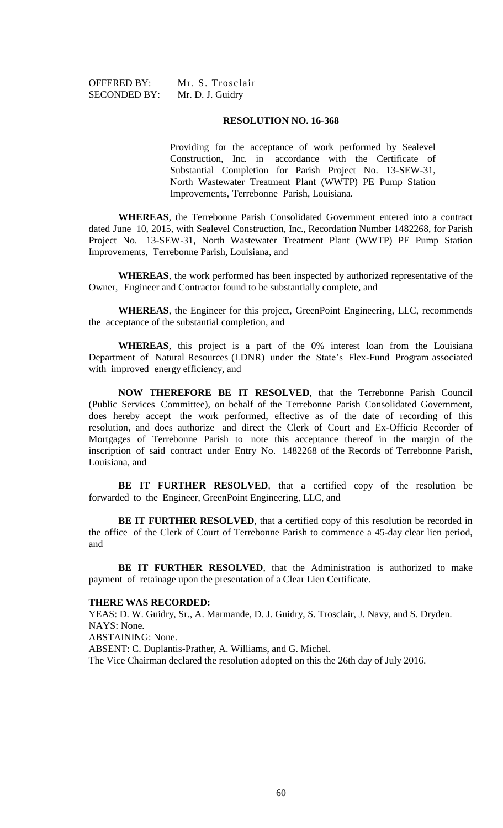OFFERED BY: Mr. S. Trosclair SECONDED BY: Mr. D. J. Guidry

#### **RESOLUTION NO. 16-368**

Providing for the acceptance of work performed by Sealevel Construction, Inc. in accordance with the Certificate of Substantial Completion for Parish Project No. 13-SEW-31, North Wastewater Treatment Plant (WWTP) PE Pump Station Improvements, Terrebonne Parish, Louisiana.

**WHEREAS**, the Terrebonne Parish Consolidated Government entered into a contract dated June 10, 2015, with Sealevel Construction, Inc., Recordation Number 1482268, for Parish Project No. 13-SEW-31, North Wastewater Treatment Plant (WWTP) PE Pump Station Improvements, Terrebonne Parish, Louisiana, and

**WHEREAS**, the work performed has been inspected by authorized representative of the Owner, Engineer and Contractor found to be substantially complete, and

**WHEREAS**, the Engineer for this project, GreenPoint Engineering, LLC, recommends the acceptance of the substantial completion, and

**WHEREAS**, this project is a part of the 0% interest loan from the Louisiana Department of Natural Resources (LDNR) under the State's Flex-Fund Program associated with improved energy efficiency, and

**NOW THEREFORE BE IT RESOLVED**, that the Terrebonne Parish Council (Public Services Committee), on behalf of the Terrebonne Parish Consolidated Government, does hereby accept the work performed, effective as of the date of recording of this resolution, and does authorize and direct the Clerk of Court and Ex-Officio Recorder of Mortgages of Terrebonne Parish to note this acceptance thereof in the margin of the inscription of said contract under Entry No. 1482268 of the Records of Terrebonne Parish, Louisiana, and

**BE IT FURTHER RESOLVED**, that a certified copy of the resolution be forwarded to the Engineer, GreenPoint Engineering, LLC, and

**BE IT FURTHER RESOLVED**, that a certified copy of this resolution be recorded in the office of the Clerk of Court of Terrebonne Parish to commence a 45-day clear lien period, and

**BE IT FURTHER RESOLVED**, that the Administration is authorized to make payment of retainage upon the presentation of a Clear Lien Certificate.

#### **THERE WAS RECORDED:**

YEAS: D. W. Guidry, Sr., A. Marmande, D. J. Guidry, S. Trosclair, J. Navy, and S. Dryden. NAYS: None.

ABSTAINING: None.

ABSENT: C. Duplantis-Prather, A. Williams, and G. Michel.

The Vice Chairman declared the resolution adopted on this the 26th day of July 2016.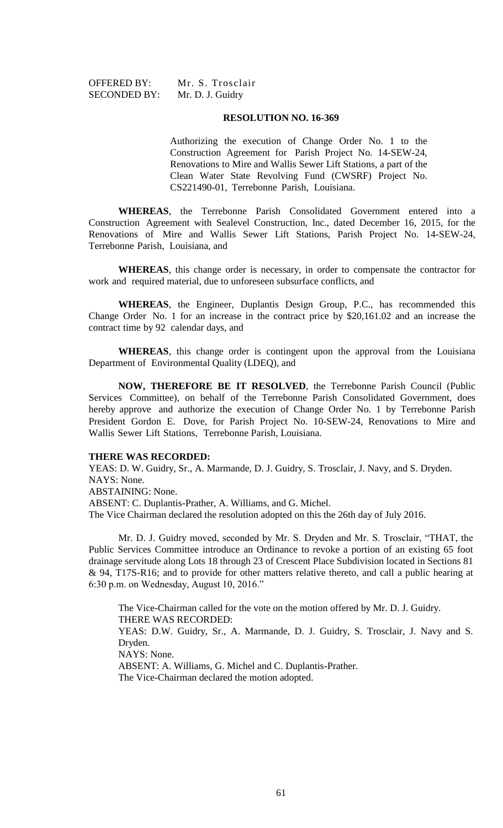OFFERED BY: Mr. S. Trosclair SECONDED BY: Mr. D. J. Guidry

### **RESOLUTION NO. 16-369**

Authorizing the execution of Change Order No. 1 to the Construction Agreement for Parish Project No. 14-SEW-24, Renovations to Mire and Wallis Sewer Lift Stations, a part of the Clean Water State Revolving Fund (CWSRF) Project No. CS221490-01, Terrebonne Parish, Louisiana.

**WHEREAS**, the Terrebonne Parish Consolidated Government entered into a Construction Agreement with Sealevel Construction, Inc., dated December 16, 2015, for the Renovations of Mire and Wallis Sewer Lift Stations, Parish Project No. 14-SEW-24, Terrebonne Parish, Louisiana, and

**WHEREAS**, this change order is necessary, in order to compensate the contractor for work and required material, due to unforeseen subsurface conflicts, and

**WHEREAS**, the Engineer, Duplantis Design Group, P.C., has recommended this Change Order No. 1 for an increase in the contract price by \$20,161.02 and an increase the contract time by 92 calendar days, and

**WHEREAS**, this change order is contingent upon the approval from the Louisiana Department of Environmental Quality (LDEQ), and

**NOW, THEREFORE BE IT RESOLVED**, the Terrebonne Parish Council (Public Services Committee), on behalf of the Terrebonne Parish Consolidated Government, does hereby approve and authorize the execution of Change Order No. 1 by Terrebonne Parish President Gordon E. Dove, for Parish Project No. 10-SEW-24, Renovations to Mire and Wallis Sewer Lift Stations, Terrebonne Parish, Louisiana.

### **THERE WAS RECORDED:**

YEAS: D. W. Guidry, Sr., A. Marmande, D. J. Guidry, S. Trosclair, J. Navy, and S. Dryden. NAYS: None.

ABSTAINING: None.

ABSENT: C. Duplantis-Prather, A. Williams, and G. Michel.

The Vice Chairman declared the resolution adopted on this the 26th day of July 2016.

Mr. D. J. Guidry moved, seconded by Mr. S. Dryden and Mr. S. Trosclair, "THAT, the Public Services Committee introduce an Ordinance to revoke a portion of an existing 65 foot drainage servitude along Lots 18 through 23 of Crescent Place Subdivision located in Sections 81 & 94, T17S-R16; and to provide for other matters relative thereto, and call a public hearing at 6:30 p.m. on Wednesday, August 10, 2016."

The Vice-Chairman called for the vote on the motion offered by Mr. D. J. Guidry. THERE WAS RECORDED: YEAS: D.W. Guidry, Sr., A. Marmande, D. J. Guidry, S. Trosclair, J. Navy and S. Dryden. NAYS: None. ABSENT: A. Williams, G. Michel and C. Duplantis-Prather. The Vice-Chairman declared the motion adopted.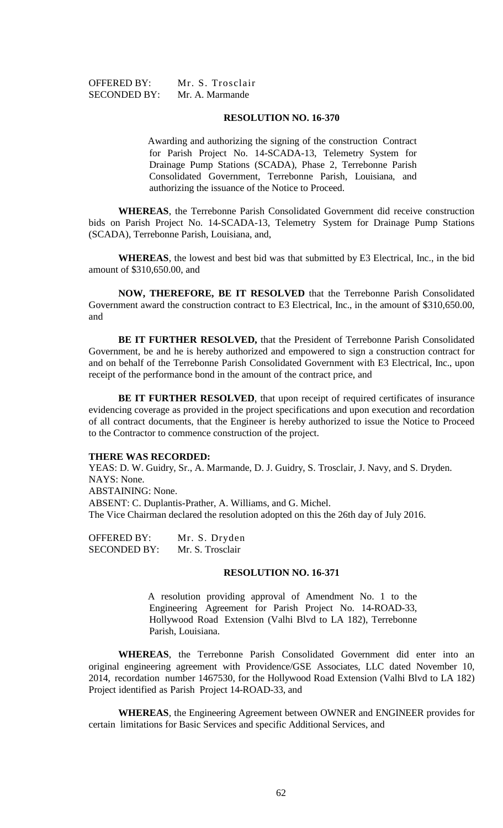### **RESOLUTION NO. 16-370**

Awarding and authorizing the signing of the construction Contract for Parish Project No. 14-SCADA-13, Telemetry System for Drainage Pump Stations (SCADA), Phase 2, Terrebonne Parish Consolidated Government, Terrebonne Parish, Louisiana, and authorizing the issuance of the Notice to Proceed.

**WHEREAS**, the Terrebonne Parish Consolidated Government did receive construction bids on Parish Project No. 14-SCADA-13, Telemetry System for Drainage Pump Stations (SCADA), Terrebonne Parish, Louisiana, and,

**WHEREAS**, the lowest and best bid was that submitted by E3 Electrical, Inc., in the bid amount of \$310,650.00, and

**NOW, THEREFORE, BE IT RESOLVED** that the Terrebonne Parish Consolidated Government award the construction contract to E3 Electrical, Inc., in the amount of \$310,650.00, and

**BE IT FURTHER RESOLVED,** that the President of Terrebonne Parish Consolidated Government, be and he is hereby authorized and empowered to sign a construction contract for and on behalf of the Terrebonne Parish Consolidated Government with E3 Electrical, Inc., upon receipt of the performance bond in the amount of the contract price, and

**BE IT FURTHER RESOLVED**, that upon receipt of required certificates of insurance evidencing coverage as provided in the project specifications and upon execution and recordation of all contract documents, that the Engineer is hereby authorized to issue the Notice to Proceed to the Contractor to commence construction of the project.

#### **THERE WAS RECORDED:**

YEAS: D. W. Guidry, Sr., A. Marmande, D. J. Guidry, S. Trosclair, J. Navy, and S. Dryden. NAYS: None. ABSTAINING: None. ABSENT: C. Duplantis-Prather, A. Williams, and G. Michel. The Vice Chairman declared the resolution adopted on this the 26th day of July 2016.

OFFERED BY: Mr. S. Dryden SECONDED BY: Mr. S. Trosclair

## **RESOLUTION NO. 16-371**

A resolution providing approval of Amendment No. 1 to the Engineering Agreement for Parish Project No. 14-ROAD-33, Hollywood Road Extension (Valhi Blvd to LA 182), Terrebonne Parish, Louisiana.

**WHEREAS**, the Terrebonne Parish Consolidated Government did enter into an original engineering agreement with Providence/GSE Associates, LLC dated November 10, 2014, recordation number 1467530, for the Hollywood Road Extension (Valhi Blvd to LA 182) Project identified as Parish Project 14-ROAD-33, and

**WHEREAS**, the Engineering Agreement between OWNER and ENGINEER provides for certain limitations for Basic Services and specific Additional Services, and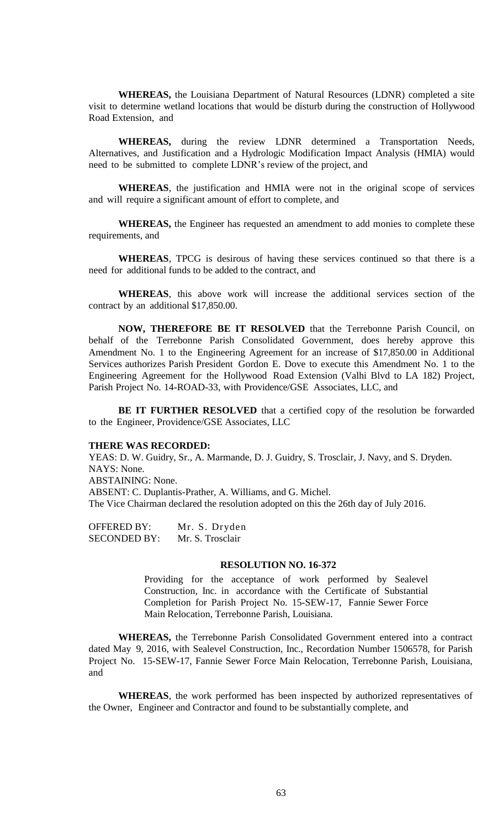**WHEREAS,** the Louisiana Department of Natural Resources (LDNR) completed a site visit to determine wetland locations that would be disturb during the construction of Hollywood Road Extension, and

**WHEREAS,** during the review LDNR determined a Transportation Needs, Alternatives, and Justification and a Hydrologic Modification Impact Analysis (HMIA) would need to be submitted to complete LDNR's review of the project, and

**WHEREAS**, the justification and HMIA were not in the original scope of services and will require a significant amount of effort to complete, and

**WHEREAS,** the Engineer has requested an amendment to add monies to complete these requirements, and

**WHEREAS**, TPCG is desirous of having these services continued so that there is a need for additional funds to be added to the contract, and

**WHEREAS**, this above work will increase the additional services section of the contract by an additional \$17,850.00.

**NOW, THEREFORE BE IT RESOLVED** that the Terrebonne Parish Council, on behalf of the Terrebonne Parish Consolidated Government, does hereby approve this Amendment No. 1 to the Engineering Agreement for an increase of \$17,850.00 in Additional Services authorizes Parish President Gordon E. Dove to execute this Amendment No. 1 to the Engineering Agreement for the Hollywood Road Extension (Valhi Blvd to LA 182) Project, Parish Project No. 14-ROAD-33, with Providence/GSE Associates, LLC, and

**BE IT FURTHER RESOLVED** that a certified copy of the resolution be forwarded to the Engineer, Providence/GSE Associates, LLC

### **THERE WAS RECORDED:**

YEAS: D. W. Guidry, Sr., A. Marmande, D. J. Guidry, S. Trosclair, J. Navy, and S. Dryden. NAYS: None. ABSTAINING: None. ABSENT: C. Duplantis-Prather, A. Williams, and G. Michel. The Vice Chairman declared the resolution adopted on this the 26th day of July 2016.

OFFERED BY: Mr. S. Dryden SECONDED BY: Mr. S. Trosclair

# **RESOLUTION NO. 16-372**

Providing for the acceptance of work performed by Sealevel Construction, Inc. in accordance with the Certificate of Substantial Completion for Parish Project No. 15-SEW-17, Fannie Sewer Force Main Relocation, Terrebonne Parish, Louisiana.

**WHEREAS,** the Terrebonne Parish Consolidated Government entered into a contract dated May 9, 2016, with Sealevel Construction, Inc., Recordation Number 1506578, for Parish Project No. 15-SEW-17, Fannie Sewer Force Main Relocation, Terrebonne Parish, Louisiana, and

**WHEREAS**, the work performed has been inspected by authorized representatives of the Owner, Engineer and Contractor and found to be substantially complete, and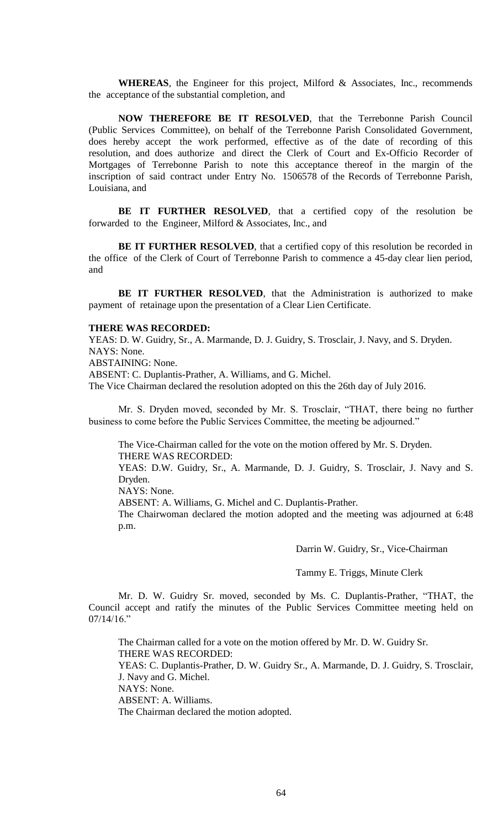**WHEREAS**, the Engineer for this project, Milford & Associates, Inc., recommends the acceptance of the substantial completion, and

**NOW THEREFORE BE IT RESOLVED**, that the Terrebonne Parish Council (Public Services Committee), on behalf of the Terrebonne Parish Consolidated Government, does hereby accept the work performed, effective as of the date of recording of this resolution, and does authorize and direct the Clerk of Court and Ex-Officio Recorder of Mortgages of Terrebonne Parish to note this acceptance thereof in the margin of the inscription of said contract under Entry No. 1506578 of the Records of Terrebonne Parish, Louisiana, and

**BE IT FURTHER RESOLVED**, that a certified copy of the resolution be forwarded to the Engineer, Milford & Associates, Inc., and

**BE IT FURTHER RESOLVED**, that a certified copy of this resolution be recorded in the office of the Clerk of Court of Terrebonne Parish to commence a 45-day clear lien period, and

**BE IT FURTHER RESOLVED**, that the Administration is authorized to make payment of retainage upon the presentation of a Clear Lien Certificate.

### **THERE WAS RECORDED:**

YEAS: D. W. Guidry, Sr., A. Marmande, D. J. Guidry, S. Trosclair, J. Navy, and S. Dryden. NAYS: None.

ABSTAINING: None.

ABSENT: C. Duplantis-Prather, A. Williams, and G. Michel.

The Vice Chairman declared the resolution adopted on this the 26th day of July 2016.

Mr. S. Dryden moved, seconded by Mr. S. Trosclair, "THAT, there being no further business to come before the Public Services Committee, the meeting be adjourned."

The Vice-Chairman called for the vote on the motion offered by Mr. S. Dryden. THERE WAS RECORDED:

YEAS: D.W. Guidry, Sr., A. Marmande, D. J. Guidry, S. Trosclair, J. Navy and S. Dryden.

NAYS: None.

ABSENT: A. Williams, G. Michel and C. Duplantis-Prather.

The Chairwoman declared the motion adopted and the meeting was adjourned at 6:48 p.m.

Darrin W. Guidry, Sr., Vice-Chairman

Tammy E. Triggs, Minute Clerk

Mr. D. W. Guidry Sr. moved, seconded by Ms. C. Duplantis-Prather, "THAT, the Council accept and ratify the minutes of the Public Services Committee meeting held on 07/14/16."

The Chairman called for a vote on the motion offered by Mr. D. W. Guidry Sr. THERE WAS RECORDED: YEAS: C. Duplantis-Prather, D. W. Guidry Sr., A. Marmande, D. J. Guidry, S. Trosclair, J. Navy and G. Michel. NAYS: None. ABSENT: A. Williams. The Chairman declared the motion adopted.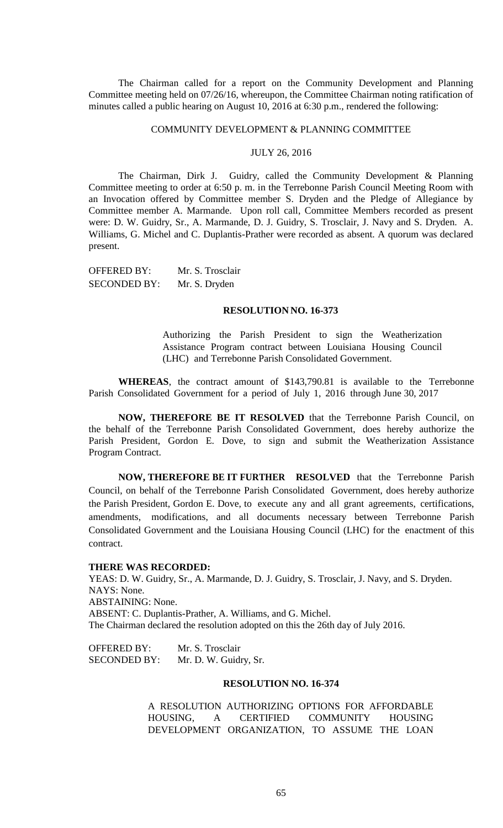The Chairman called for a report on the Community Development and Planning Committee meeting held on 07/26/16, whereupon, the Committee Chairman noting ratification of minutes called a public hearing on August 10, 2016 at 6:30 p.m., rendered the following:

## COMMUNITY DEVELOPMENT & PLANNING COMMITTEE

## JULY 26, 2016

The Chairman, Dirk J. Guidry, called the Community Development & Planning Committee meeting to order at 6:50 p. m. in the Terrebonne Parish Council Meeting Room with an Invocation offered by Committee member S. Dryden and the Pledge of Allegiance by Committee member A. Marmande. Upon roll call, Committee Members recorded as present were: D. W. Guidry, Sr., A. Marmande, D. J. Guidry, S. Trosclair, J. Navy and S. Dryden. A. Williams, G. Michel and C. Duplantis-Prather were recorded as absent. A quorum was declared present.

OFFERED BY: Mr. S. Trosclair SECONDED BY: Mr. S. Dryden

### **RESOLUTION NO. 16-373**

Authorizing the Parish President to sign the Weatherization Assistance Program contract between Louisiana Housing Council (LHC) and Terrebonne Parish Consolidated Government.

**WHEREAS**, the contract amount of \$143,790.81 is available to the Terrebonne Parish Consolidated Government for a period of July 1, 2016 through June 30, 2017

**NOW, THEREFORE BE IT RESOLVED** that the Terrebonne Parish Council, on the behalf of the Terrebonne Parish Consolidated Government, does hereby authorize the Parish President, Gordon E. Dove, to sign and submit the Weatherization Assistance Program Contract.

**NOW, THEREFORE BE IT FURTHER RESOLVED** that the Terrebonne Parish Council, on behalf of the Terrebonne Parish Consolidated Government, does hereby authorize the Parish President, Gordon E. Dove, to execute any and all grant agreements, certifications, amendments, modifications, and all documents necessary between Terrebonne Parish Consolidated Government and the Louisiana Housing Council (LHC) for the enactment of this contract.

### **THERE WAS RECORDED:**

YEAS: D. W. Guidry, Sr., A. Marmande, D. J. Guidry, S. Trosclair, J. Navy, and S. Dryden. NAYS: None. ABSTAINING: None. ABSENT: C. Duplantis-Prather, A. Williams, and G. Michel. The Chairman declared the resolution adopted on this the 26th day of July 2016.

OFFERED BY: Mr. S. Trosclair SECONDED BY: Mr. D. W. Guidry, Sr.

#### **RESOLUTION NO. 16-374**

A RESOLUTION AUTHORIZING OPTIONS FOR AFFORDABLE HOUSING, A CERTIFIED COMMUNITY HOUSING DEVELOPMENT ORGANIZATION, TO ASSUME THE LOAN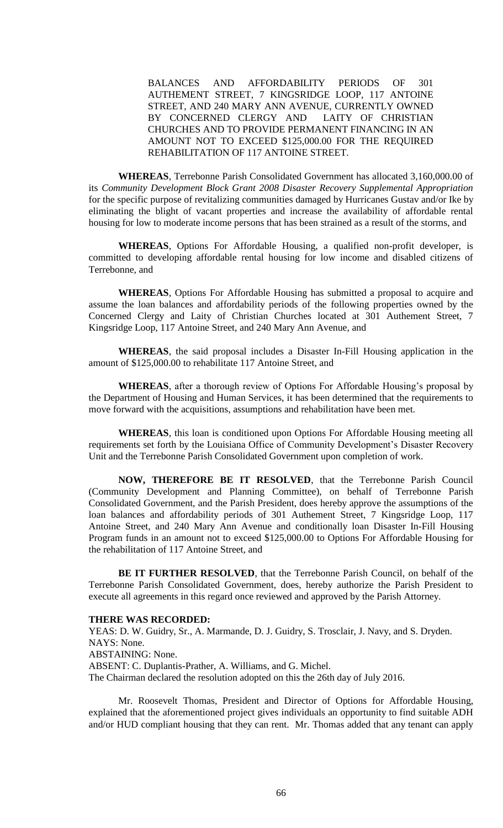BALANCES AND AFFORDABILITY PERIODS OF 301 AUTHEMENT STREET, 7 KINGSRIDGE LOOP, 117 ANTOINE STREET, AND 240 MARY ANN AVENUE, CURRENTLY OWNED BY CONCERNED CLERGY AND LAITY OF CHRISTIAN CHURCHES AND TO PROVIDE PERMANENT FINANCING IN AN AMOUNT NOT TO EXCEED \$125,000.00 FOR THE REQUIRED REHABILITATION OF 117 ANTOINE STREET.

**WHEREAS**, Terrebonne Parish Consolidated Government has allocated 3,160,000.00 of its *Community Development Block Grant 2008 Disaster Recovery Supplemental Appropriation* for the specific purpose of revitalizing communities damaged by Hurricanes Gustav and/or Ike by eliminating the blight of vacant properties and increase the availability of affordable rental housing for low to moderate income persons that has been strained as a result of the storms, and

**WHEREAS**, Options For Affordable Housing, a qualified non-profit developer, is committed to developing affordable rental housing for low income and disabled citizens of Terrebonne, and

**WHEREAS**, Options For Affordable Housing has submitted a proposal to acquire and assume the loan balances and affordability periods of the following properties owned by the Concerned Clergy and Laity of Christian Churches located at 301 Authement Street, 7 Kingsridge Loop, 117 Antoine Street, and 240 Mary Ann Avenue, and

**WHEREAS**, the said proposal includes a Disaster In-Fill Housing application in the amount of \$125,000.00 to rehabilitate 117 Antoine Street, and

**WHEREAS**, after a thorough review of Options For Affordable Housing's proposal by the Department of Housing and Human Services, it has been determined that the requirements to move forward with the acquisitions, assumptions and rehabilitation have been met.

**WHEREAS**, this loan is conditioned upon Options For Affordable Housing meeting all requirements set forth by the Louisiana Office of Community Development's Disaster Recovery Unit and the Terrebonne Parish Consolidated Government upon completion of work.

**NOW, THEREFORE BE IT RESOLVED**, that the Terrebonne Parish Council (Community Development and Planning Committee), on behalf of Terrebonne Parish Consolidated Government, and the Parish President, does hereby approve the assumptions of the loan balances and affordability periods of 301 Authement Street, 7 Kingsridge Loop, 117 Antoine Street, and 240 Mary Ann Avenue and conditionally loan Disaster In-Fill Housing Program funds in an amount not to exceed \$125,000.00 to Options For Affordable Housing for the rehabilitation of 117 Antoine Street, and

**BE IT FURTHER RESOLVED**, that the Terrebonne Parish Council, on behalf of the Terrebonne Parish Consolidated Government, does, hereby authorize the Parish President to execute all agreements in this regard once reviewed and approved by the Parish Attorney.

#### **THERE WAS RECORDED:**

YEAS: D. W. Guidry, Sr., A. Marmande, D. J. Guidry, S. Trosclair, J. Navy, and S. Dryden. NAYS: None. ABSTAINING: None. ABSENT: C. Duplantis-Prather, A. Williams, and G. Michel. The Chairman declared the resolution adopted on this the 26th day of July 2016.

Mr. Roosevelt Thomas, President and Director of Options for Affordable Housing, explained that the aforementioned project gives individuals an opportunity to find suitable ADH and/or HUD compliant housing that they can rent. Mr. Thomas added that any tenant can apply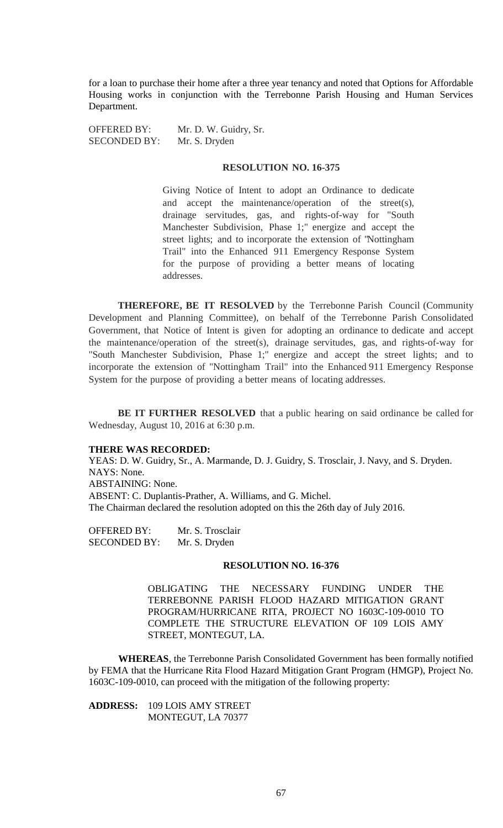for a loan to purchase their home after a three year tenancy and noted that Options for Affordable Housing works in conjunction with the Terrebonne Parish Housing and Human Services Department.

OFFERED BY: Mr. D. W. Guidry, Sr. SECONDED BY: Mr. S. Dryden

### **RESOLUTION NO. 16-375**

Giving Notice of Intent to adopt an Ordinance to dedicate and accept the maintenance/operation of the street(s), drainage servitudes, gas, and rights-of-way for "South Manchester Subdivision, Phase 1;" energize and accept the street lights; and to incorporate the extension of "Nottingham Trail" into the Enhanced 911 Emergency Response System for the purpose of providing a better means of locating addresses.

**THEREFORE, BE IT RESOLVED** by the Terrebonne Parish Council (Community Development and Planning Committee), on behalf of the Terrebonne Parish Consolidated Government, that Notice of Intent is given for adopting an ordinance to dedicate and accept the maintenance/operation of the street(s), drainage servitudes, gas, and rights-of-way for "South Manchester Subdivision, Phase 1;" energize and accept the street lights; and to incorporate the extension of "Nottingham Trail" into the Enhanced 911 Emergency Response System for the purpose of providing a better means of locating addresses.

**BE IT FURTHER RESOLVED** that a public hearing on said ordinance be called for Wednesday, August 10, 2016 at 6:30 p.m.

#### **THERE WAS RECORDED:**

YEAS: D. W. Guidry, Sr., A. Marmande, D. J. Guidry, S. Trosclair, J. Navy, and S. Dryden. NAYS: None.

ABSTAINING: None.

ABSENT: C. Duplantis-Prather, A. Williams, and G. Michel. The Chairman declared the resolution adopted on this the 26th day of July 2016.

OFFERED BY: Mr. S. Trosclair SECONDED BY: Mr. S. Dryden

### **RESOLUTION NO. 16-376**

OBLIGATING THE NECESSARY FUNDING UNDER THE TERREBONNE PARISH FLOOD HAZARD MITIGATION GRANT PROGRAM/HURRICANE RITA, PROJECT NO 1603C-109-0010 TO COMPLETE THE STRUCTURE ELEVATION OF 109 LOIS AMY STREET, MONTEGUT, LA.

**WHEREAS**, the Terrebonne Parish Consolidated Government has been formally notified by FEMA that the Hurricane Rita Flood Hazard Mitigation Grant Program (HMGP), Project No. 1603C-109-0010, can proceed with the mitigation of the following property:

**ADDRESS:** 109 LOIS AMY STREET MONTEGUT, LA 70377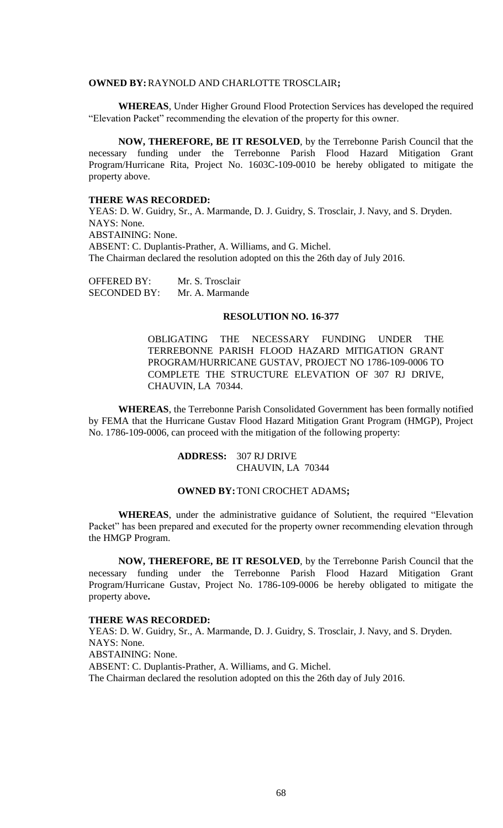### **OWNED BY:**RAYNOLD AND CHARLOTTE TROSCLAIR**;**

**WHEREAS**, Under Higher Ground Flood Protection Services has developed the required "Elevation Packet" recommending the elevation of the property for this owner.

**NOW, THEREFORE, BE IT RESOLVED**, by the Terrebonne Parish Council that the necessary funding under the Terrebonne Parish Flood Hazard Mitigation Grant Program/Hurricane Rita, Project No. 1603C-109-0010 be hereby obligated to mitigate the property above.

## **THERE WAS RECORDED:**

YEAS: D. W. Guidry, Sr., A. Marmande, D. J. Guidry, S. Trosclair, J. Navy, and S. Dryden. NAYS: None. ABSTAINING: None. ABSENT: C. Duplantis-Prather, A. Williams, and G. Michel. The Chairman declared the resolution adopted on this the 26th day of July 2016.

OFFERED BY: Mr. S. Trosclair SECONDED BY: Mr. A. Marmande

## **RESOLUTION NO. 16-377**

OBLIGATING THE NECESSARY FUNDING UNDER THE TERREBONNE PARISH FLOOD HAZARD MITIGATION GRANT PROGRAM/HURRICANE GUSTAV, PROJECT NO 1786-109-0006 TO COMPLETE THE STRUCTURE ELEVATION OF 307 RJ DRIVE, CHAUVIN, LA 70344.

**WHEREAS**, the Terrebonne Parish Consolidated Government has been formally notified by FEMA that the Hurricane Gustav Flood Hazard Mitigation Grant Program (HMGP), Project No. 1786-109-0006, can proceed with the mitigation of the following property:

## **ADDRESS:** 307 RJ DRIVE CHAUVIN, LA 70344

## **OWNED BY:**TONI CROCHET ADAMS**;**

**WHEREAS**, under the administrative guidance of Solutient, the required "Elevation Packet" has been prepared and executed for the property owner recommending elevation through the HMGP Program.

**NOW, THEREFORE, BE IT RESOLVED**, by the Terrebonne Parish Council that the necessary funding under the Terrebonne Parish Flood Hazard Mitigation Grant Program/Hurricane Gustav, Project No. 1786-109-0006 be hereby obligated to mitigate the property above**.**

#### **THERE WAS RECORDED:**

YEAS: D. W. Guidry, Sr., A. Marmande, D. J. Guidry, S. Trosclair, J. Navy, and S. Dryden. NAYS: None. ABSTAINING: None. ABSENT: C. Duplantis-Prather, A. Williams, and G. Michel. The Chairman declared the resolution adopted on this the 26th day of July 2016.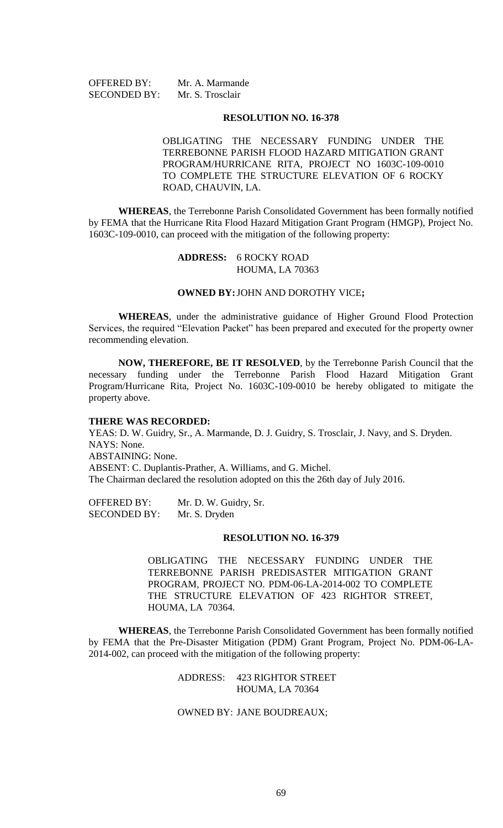OFFERED BY: Mr. A. Marmande SECONDED BY: Mr. S. Trosclair

### **RESOLUTION NO. 16-378**

OBLIGATING THE NECESSARY FUNDING UNDER THE TERREBONNE PARISH FLOOD HAZARD MITIGATION GRANT PROGRAM/HURRICANE RITA, PROJECT NO 1603C-109-0010 TO COMPLETE THE STRUCTURE ELEVATION OF 6 ROCKY ROAD, CHAUVIN, LA.

**WHEREAS**, the Terrebonne Parish Consolidated Government has been formally notified by FEMA that the Hurricane Rita Flood Hazard Mitigation Grant Program (HMGP), Project No. 1603C-109-0010, can proceed with the mitigation of the following property:

## **ADDRESS:** 6 ROCKY ROAD HOUMA, LA 70363

### **OWNED BY:**JOHN AND DOROTHY VICE**;**

**WHEREAS**, under the administrative guidance of Higher Ground Flood Protection Services, the required "Elevation Packet" has been prepared and executed for the property owner recommending elevation.

**NOW, THEREFORE, BE IT RESOLVED**, by the Terrebonne Parish Council that the necessary funding under the Terrebonne Parish Flood Hazard Mitigation Grant Program/Hurricane Rita, Project No. 1603C-109-0010 be hereby obligated to mitigate the property above.

## **THERE WAS RECORDED:**

YEAS: D. W. Guidry, Sr., A. Marmande, D. J. Guidry, S. Trosclair, J. Navy, and S. Dryden. NAYS: None. ABSTAINING: None. ABSENT: C. Duplantis-Prather, A. Williams, and G. Michel. The Chairman declared the resolution adopted on this the 26th day of July 2016.

OFFERED BY: Mr. D. W. Guidry, Sr.<br>SECONDED BY: Mr. S. Dryden SECONDED BY:

### **RESOLUTION NO. 16-379**

OBLIGATING THE NECESSARY FUNDING UNDER THE TERREBONNE PARISH PREDISASTER MITIGATION GRANT PROGRAM, PROJECT NO. PDM-06-LA-2014-002 TO COMPLETE THE STRUCTURE ELEVATION OF 423 RIGHTOR STREET, HOUMA, LA 70364.

**WHEREAS**, the Terrebonne Parish Consolidated Government has been formally notified by FEMA that the Pre-Disaster Mitigation (PDM) Grant Program, Project No. PDM-06-LA-2014-002, can proceed with the mitigation of the following property:

> ADDRESS: 423 RIGHTOR STREET HOUMA, LA 70364

## OWNED BY: JANE BOUDREAUX;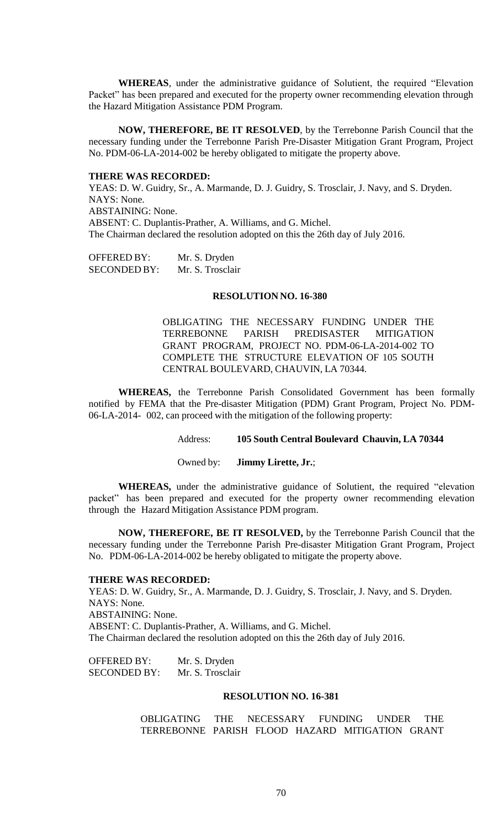**WHEREAS**, under the administrative guidance of Solutient, the required "Elevation Packet" has been prepared and executed for the property owner recommending elevation through the Hazard Mitigation Assistance PDM Program.

**NOW, THEREFORE, BE IT RESOLVED**, by the Terrebonne Parish Council that the necessary funding under the Terrebonne Parish Pre-Disaster Mitigation Grant Program, Project No. PDM-06-LA-2014-002 be hereby obligated to mitigate the property above.

#### **THERE WAS RECORDED:**

YEAS: D. W. Guidry, Sr., A. Marmande, D. J. Guidry, S. Trosclair, J. Navy, and S. Dryden. NAYS: None.

ABSTAINING: None.

ABSENT: C. Duplantis-Prather, A. Williams, and G. Michel.

The Chairman declared the resolution adopted on this the 26th day of July 2016.

OFFERED BY: Mr. S. Dryden SECONDED BY: Mr. S. Trosclair

### **RESOLUTION NO. 16-380**

OBLIGATING THE NECESSARY FUNDING UNDER THE TERREBONNE PARISH PREDISASTER MITIGATION GRANT PROGRAM, PROJECT NO. PDM-06-LA-2014-002 TO COMPLETE THE STRUCTURE ELEVATION OF 105 SOUTH CENTRAL BOULEVARD, CHAUVIN, LA 70344.

**WHEREAS,** the Terrebonne Parish Consolidated Government has been formally notified by FEMA that the Pre-disaster Mitigation (PDM) Grant Program, Project No. PDM-06-LA-2014- 002, can proceed with the mitigation of the following property:

### Address: **105 South Central Boulevard Chauvin, LA 70344**

Owned by: **Jimmy Lirette, Jr.**;

**WHEREAS,** under the administrative guidance of Solutient, the required "elevation packet" has been prepared and executed for the property owner recommending elevation through the Hazard Mitigation Assistance PDM program.

**NOW, THEREFORE, BE IT RESOLVED,** by the Terrebonne Parish Council that the necessary funding under the Terrebonne Parish Pre-disaster Mitigation Grant Program, Project No. PDM-06-LA-2014-002 be hereby obligated to mitigate the property above.

### **THERE WAS RECORDED:**

YEAS: D. W. Guidry, Sr., A. Marmande, D. J. Guidry, S. Trosclair, J. Navy, and S. Dryden. NAYS: None. ABSTAINING: None. ABSENT: C. Duplantis-Prather, A. Williams, and G. Michel. The Chairman declared the resolution adopted on this the 26th day of July 2016.

OFFERED BY: Mr. S. Dryden SECONDED BY: Mr. S. Trosclair

### **RESOLUTION NO. 16-381**

OBLIGATING THE NECESSARY FUNDING UNDER THE TERREBONNE PARISH FLOOD HAZARD MITIGATION GRANT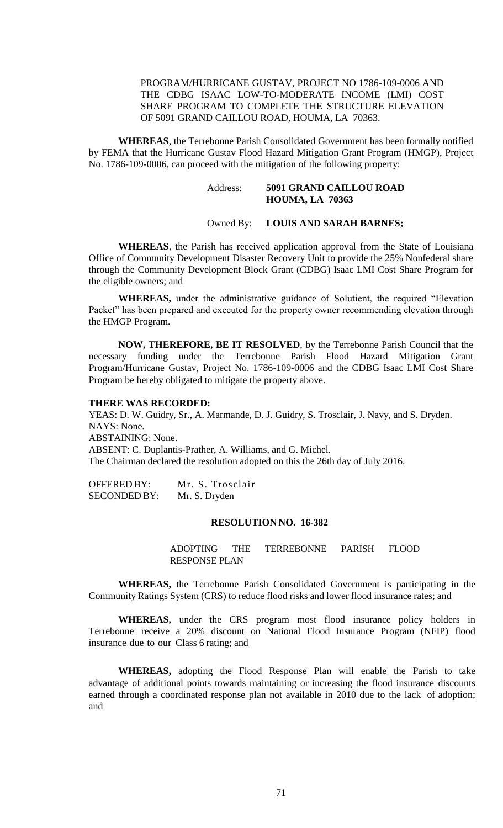# PROGRAM/HURRICANE GUSTAV, PROJECT NO 1786-109-0006 AND THE CDBG ISAAC LOW-TO-MODERATE INCOME (LMI) COST SHARE PROGRAM TO COMPLETE THE STRUCTURE ELEVATION OF 5091 GRAND CAILLOU ROAD, HOUMA, LA 70363.

**WHEREAS**, the Terrebonne Parish Consolidated Government has been formally notified by FEMA that the Hurricane Gustav Flood Hazard Mitigation Grant Program (HMGP), Project No. 1786-109-0006, can proceed with the mitigation of the following property:

# Address: **5091 GRAND CAILLOU ROAD HOUMA, LA 70363**

### Owned By: **LOUIS AND SARAH BARNES;**

**WHEREAS**, the Parish has received application approval from the State of Louisiana Office of Community Development Disaster Recovery Unit to provide the 25% Nonfederal share through the Community Development Block Grant (CDBG) Isaac LMI Cost Share Program for the eligible owners; and

**WHEREAS,** under the administrative guidance of Solutient, the required "Elevation Packet" has been prepared and executed for the property owner recommending elevation through the HMGP Program.

**NOW, THEREFORE, BE IT RESOLVED**, by the Terrebonne Parish Council that the necessary funding under the Terrebonne Parish Flood Hazard Mitigation Grant Program/Hurricane Gustav, Project No. 1786-109-0006 and the CDBG Isaac LMI Cost Share Program be hereby obligated to mitigate the property above.

### **THERE WAS RECORDED:**

YEAS: D. W. Guidry, Sr., A. Marmande, D. J. Guidry, S. Trosclair, J. Navy, and S. Dryden. NAYS: None. ABSTAINING: None. ABSENT: C. Duplantis-Prather, A. Williams, and G. Michel. The Chairman declared the resolution adopted on this the 26th day of July 2016.

OFFERED BY: Mr. S. Trosclair SECONDED BY: Mr. S. Dryden

## **RESOLUTION NO. 16-382**

ADOPTING THE TERREBONNE PARISH FLOOD RESPONSE PLAN

**WHEREAS,** the Terrebonne Parish Consolidated Government is participating in the Community Ratings System (CRS) to reduce flood risks and lower flood insurance rates; and

**WHEREAS,** under the CRS program most flood insurance policy holders in Terrebonne receive a 20% discount on National Flood Insurance Program (NFIP) flood insurance due to our Class 6 rating; and

**WHEREAS,** adopting the Flood Response Plan will enable the Parish to take advantage of additional points towards maintaining or increasing the flood insurance discounts earned through a coordinated response plan not available in 2010 due to the lack of adoption; and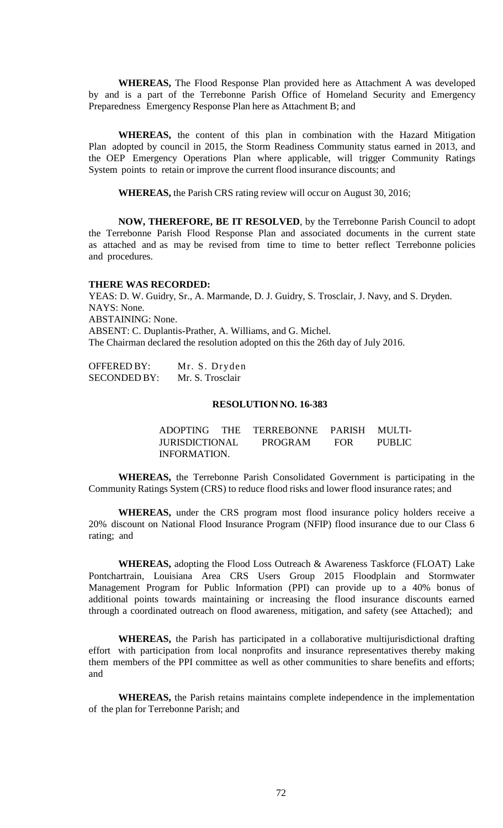**WHEREAS,** The Flood Response Plan provided here as Attachment A was developed by and is a part of the Terrebonne Parish Office of Homeland Security and Emergency Preparedness Emergency Response Plan here as Attachment B; and

**WHEREAS,** the content of this plan in combination with the Hazard Mitigation Plan adopted by council in 2015, the Storm Readiness Community status earned in 2013, and the OEP Emergency Operations Plan where applicable, will trigger Community Ratings System points to retain or improve the current flood insurance discounts; and

**WHEREAS,** the Parish CRS rating review will occur on August 30, 2016;

**NOW, THEREFORE, BE IT RESOLVED**, by the Terrebonne Parish Council to adopt the Terrebonne Parish Flood Response Plan and associated documents in the current state as attached and as may be revised from time to time to better reflect Terrebonne policies and procedures.

#### **THERE WAS RECORDED:**

YEAS: D. W. Guidry, Sr., A. Marmande, D. J. Guidry, S. Trosclair, J. Navy, and S. Dryden. NAYS: None. ABSTAINING: None. ABSENT: C. Duplantis-Prather, A. Williams, and G. Michel. The Chairman declared the resolution adopted on this the 26th day of July 2016.

| OFFERED BY:  | Mr. S. Dryden    |
|--------------|------------------|
| SECONDED BY: | Mr. S. Trosclair |

### **RESOLUTION NO. 16-383**

|                       | ADOPTING THE TERREBONNE PARISH MULTI- |            |               |
|-----------------------|---------------------------------------|------------|---------------|
| <b>JURISDICTIONAL</b> | PROGRAM                               | <b>FOR</b> | <b>PUBLIC</b> |
| INFORMATION.          |                                       |            |               |

**WHEREAS,** the Terrebonne Parish Consolidated Government is participating in the Community Ratings System (CRS) to reduce flood risks and lower flood insurance rates; and

**WHEREAS,** under the CRS program most flood insurance policy holders receive a 20% discount on National Flood Insurance Program (NFIP) flood insurance due to our Class 6 rating; and

**WHEREAS,** adopting the Flood Loss Outreach & Awareness Taskforce (FLOAT) Lake Pontchartrain, Louisiana Area CRS Users Group 2015 Floodplain and Stormwater Management Program for Public Information (PPI) can provide up to a 40% bonus of additional points towards maintaining or increasing the flood insurance discounts earned through a coordinated outreach on flood awareness, mitigation, and safety (see Attached); and

**WHEREAS,** the Parish has participated in a collaborative multijurisdictional drafting effort with participation from local nonprofits and insurance representatives thereby making them members of the PPI committee as well as other communities to share benefits and efforts; and

**WHEREAS,** the Parish retains maintains complete independence in the implementation of the plan for Terrebonne Parish; and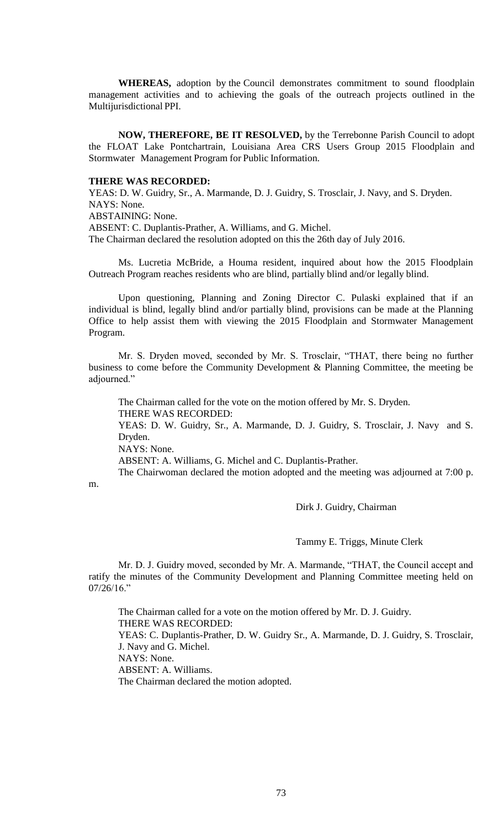**WHEREAS,** adoption by the Council demonstrates commitment to sound floodplain management activities and to achieving the goals of the outreach projects outlined in the Multijurisdictional PPI.

**NOW, THEREFORE, BE IT RESOLVED,** by the Terrebonne Parish Council to adopt the FLOAT Lake Pontchartrain, Louisiana Area CRS Users Group 2015 Floodplain and Stormwater Management Program for Public Information.

#### **THERE WAS RECORDED:**

YEAS: D. W. Guidry, Sr., A. Marmande, D. J. Guidry, S. Trosclair, J. Navy, and S. Dryden. NAYS: None. ABSTAINING: None.

ABSENT: C. Duplantis-Prather, A. Williams, and G. Michel.

The Chairman declared the resolution adopted on this the 26th day of July 2016.

Ms. Lucretia McBride, a Houma resident, inquired about how the 2015 Floodplain Outreach Program reaches residents who are blind, partially blind and/or legally blind.

Upon questioning, Planning and Zoning Director C. Pulaski explained that if an individual is blind, legally blind and/or partially blind, provisions can be made at the Planning Office to help assist them with viewing the 2015 Floodplain and Stormwater Management Program.

Mr. S. Dryden moved, seconded by Mr. S. Trosclair, "THAT, there being no further business to come before the Community Development & Planning Committee, the meeting be adjourned."

The Chairman called for the vote on the motion offered by Mr. S. Dryden. THERE WAS RECORDED:

YEAS: D. W. Guidry, Sr., A. Marmande, D. J. Guidry, S. Trosclair, J. Navy and S. Dryden.

NAYS: None.

ABSENT: A. Williams, G. Michel and C. Duplantis-Prather.

The Chairwoman declared the motion adopted and the meeting was adjourned at 7:00 p.

m.

Dirk J. Guidry, Chairman

Tammy E. Triggs, Minute Clerk

Mr. D. J. Guidry moved, seconded by Mr. A. Marmande, "THAT, the Council accept and ratify the minutes of the Community Development and Planning Committee meeting held on  $07/26/16$ ."

The Chairman called for a vote on the motion offered by Mr. D. J. Guidry. THERE WAS RECORDED: YEAS: C. Duplantis-Prather, D. W. Guidry Sr., A. Marmande, D. J. Guidry, S. Trosclair, J. Navy and G. Michel. NAYS: None. ABSENT: A. Williams. The Chairman declared the motion adopted.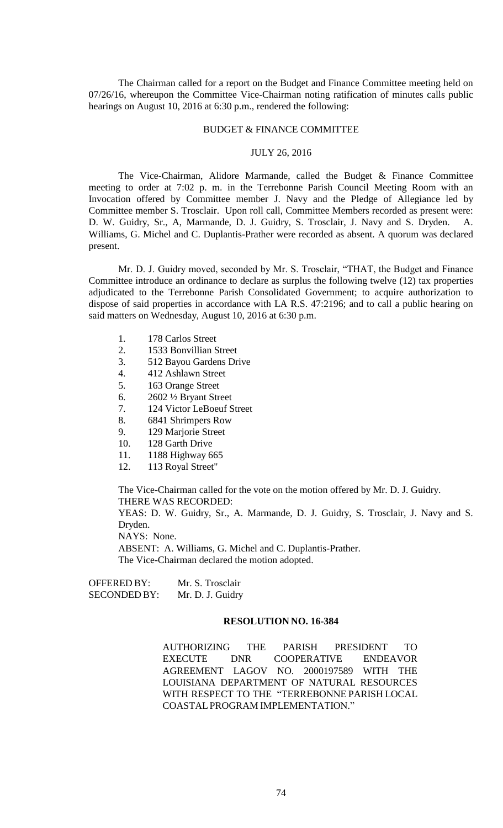The Chairman called for a report on the Budget and Finance Committee meeting held on 07/26/16, whereupon the Committee Vice-Chairman noting ratification of minutes calls public hearings on August 10, 2016 at 6:30 p.m., rendered the following:

#### BUDGET & FINANCE COMMITTEE

### JULY 26, 2016

The Vice-Chairman, Alidore Marmande, called the Budget & Finance Committee meeting to order at 7:02 p. m. in the Terrebonne Parish Council Meeting Room with an Invocation offered by Committee member J. Navy and the Pledge of Allegiance led by Committee member S. Trosclair. Upon roll call, Committee Members recorded as present were: D. W. Guidry, Sr., A, Marmande, D. J. Guidry, S. Trosclair, J. Navy and S. Dryden. A. Williams, G. Michel and C. Duplantis-Prather were recorded as absent. A quorum was declared present.

Mr. D. J. Guidry moved, seconded by Mr. S. Trosclair, "THAT, the Budget and Finance Committee introduce an ordinance to declare as surplus the following twelve (12) tax properties adjudicated to the Terrebonne Parish Consolidated Government; to acquire authorization to dispose of said properties in accordance with LA R.S. 47:2196; and to call a public hearing on said matters on Wednesday, August 10, 2016 at 6:30 p.m.

- 1. 178 Carlos Street
- 2. 1533 Bonvillian Street
- 3. 512 Bayou Gardens Drive
- 4. 412 Ashlawn Street
- 5. 163 Orange Street
- 6. 2602 ½ Bryant Street
- 7. 124 Victor LeBoeuf Street
- 8. 6841 Shrimpers Row
- 9. 129 Marjorie Street
- 10. 128 Garth Drive
- 11. 1188 Highway 665
- 12. 113 Royal Street"

The Vice-Chairman called for the vote on the motion offered by Mr. D. J. Guidry. THERE WAS RECORDED: YEAS: D. W. Guidry, Sr., A. Marmande, D. J. Guidry, S. Trosclair, J. Navy and S. Dryden. NAYS: None. ABSENT: A. Williams, G. Michel and C. Duplantis-Prather.

The Vice-Chairman declared the motion adopted.

OFFERED BY: Mr. S. Trosclair SECONDED BY: Mr. D. J. Guidry

#### **RESOLUTION NO. 16-384**

AUTHORIZING THE PARISH PRESIDENT TO EXECUTE DNR COOPERATIVE ENDEAVOR AGREEMENT LAGOV NO. 2000197589 WITH THE LOUISIANA DEPARTMENT OF NATURAL RESOURCES WITH RESPECT TO THE "TERREBONNE PARISH LOCAL COASTALPROGRAM IMPLEMENTATION."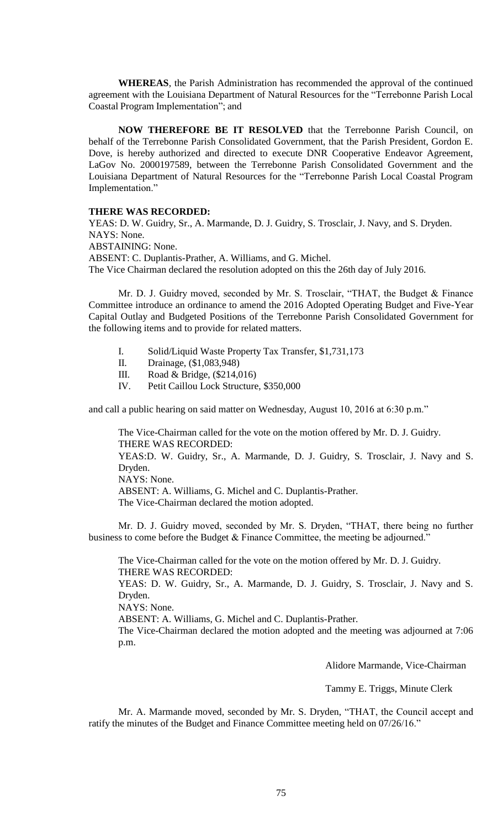**WHEREAS**, the Parish Administration has recommended the approval of the continued agreement with the Louisiana Department of Natural Resources for the "Terrebonne Parish Local Coastal Program Implementation"; and

**NOW THEREFORE BE IT RESOLVED** that the Terrebonne Parish Council, on behalf of the Terrebonne Parish Consolidated Government, that the Parish President, Gordon E. Dove, is hereby authorized and directed to execute DNR Cooperative Endeavor Agreement, LaGov No. 2000197589, between the Terrebonne Parish Consolidated Government and the Louisiana Department of Natural Resources for the "Terrebonne Parish Local Coastal Program Implementation."

#### **THERE WAS RECORDED:**

YEAS: D. W. Guidry, Sr., A. Marmande, D. J. Guidry, S. Trosclair, J. Navy, and S. Dryden. NAYS: None.

ABSTAINING: None.

ABSENT: C. Duplantis-Prather, A. Williams, and G. Michel.

The Vice Chairman declared the resolution adopted on this the 26th day of July 2016.

Mr. D. J. Guidry moved, seconded by Mr. S. Trosclair, "THAT, the Budget & Finance Committee introduce an ordinance to amend the 2016 Adopted Operating Budget and Five-Year Capital Outlay and Budgeted Positions of the Terrebonne Parish Consolidated Government for the following items and to provide for related matters.

- I. Solid/Liquid Waste Property Tax Transfer, \$1,731,173
- II. Drainage, (\$1,083,948)
- III. Road & Bridge, (\$214,016)
- IV. Petit Caillou Lock Structure, \$350,000

and call a public hearing on said matter on Wednesday, August 10, 2016 at 6:30 p.m."

The Vice-Chairman called for the vote on the motion offered by Mr. D. J. Guidry. THERE WAS RECORDED: YEAS:D. W. Guidry, Sr., A. Marmande, D. J. Guidry, S. Trosclair, J. Navy and S. Dryden. NAYS: None. ABSENT: A. Williams, G. Michel and C. Duplantis-Prather. The Vice-Chairman declared the motion adopted.

Mr. D. J. Guidry moved, seconded by Mr. S. Dryden, "THAT, there being no further business to come before the Budget & Finance Committee, the meeting be adjourned."

The Vice-Chairman called for the vote on the motion offered by Mr. D. J. Guidry. THERE WAS RECORDED: YEAS: D. W. Guidry, Sr., A. Marmande, D. J. Guidry, S. Trosclair, J. Navy and S. Dryden. NAYS: None. ABSENT: A. Williams, G. Michel and C. Duplantis-Prather. The Vice-Chairman declared the motion adopted and the meeting was adjourned at 7:06 p.m.

Alidore Marmande, Vice-Chairman

Tammy E. Triggs, Minute Clerk

Mr. A. Marmande moved, seconded by Mr. S. Dryden, "THAT, the Council accept and ratify the minutes of the Budget and Finance Committee meeting held on 07/26/16."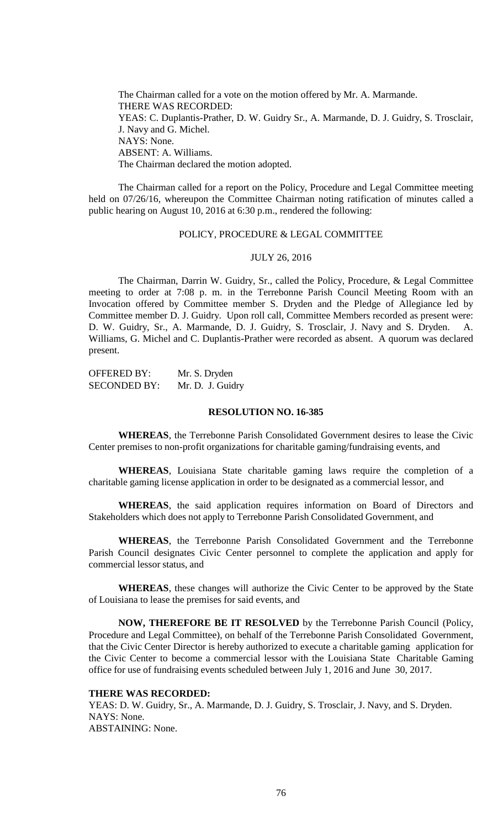The Chairman called for a vote on the motion offered by Mr. A. Marmande. THERE WAS RECORDED: YEAS: C. Duplantis-Prather, D. W. Guidry Sr., A. Marmande, D. J. Guidry, S. Trosclair, J. Navy and G. Michel. NAYS: None. ABSENT: A. Williams. The Chairman declared the motion adopted.

The Chairman called for a report on the Policy, Procedure and Legal Committee meeting held on 07/26/16, whereupon the Committee Chairman noting ratification of minutes called a public hearing on August 10, 2016 at 6:30 p.m., rendered the following:

### POLICY, PROCEDURE & LEGAL COMMITTEE

#### JULY 26, 2016

The Chairman, Darrin W. Guidry, Sr., called the Policy, Procedure, & Legal Committee meeting to order at 7:08 p. m. in the Terrebonne Parish Council Meeting Room with an Invocation offered by Committee member S. Dryden and the Pledge of Allegiance led by Committee member D. J. Guidry. Upon roll call, Committee Members recorded as present were: D. W. Guidry, Sr., A. Marmande, D. J. Guidry, S. Trosclair, J. Navy and S. Dryden. A. Williams, G. Michel and C. Duplantis-Prather were recorded as absent. A quorum was declared present.

OFFERED BY: Mr. S. Dryden SECONDED BY: Mr. D. J. Guidry

### **RESOLUTION NO. 16-385**

**WHEREAS**, the Terrebonne Parish Consolidated Government desires to lease the Civic Center premises to non-profit organizations for charitable gaming/fundraising events, and

**WHEREAS**, Louisiana State charitable gaming laws require the completion of a charitable gaming license application in order to be designated as a commercial lessor, and

**WHEREAS**, the said application requires information on Board of Directors and Stakeholders which does not apply to Terrebonne Parish Consolidated Government, and

**WHEREAS**, the Terrebonne Parish Consolidated Government and the Terrebonne Parish Council designates Civic Center personnel to complete the application and apply for commercial lessor status, and

**WHEREAS**, these changes will authorize the Civic Center to be approved by the State of Louisiana to lease the premises for said events, and

**NOW, THEREFORE BE IT RESOLVED** by the Terrebonne Parish Council (Policy, Procedure and Legal Committee), on behalf of the Terrebonne Parish Consolidated Government, that the Civic Center Director is hereby authorized to execute a charitable gaming application for the Civic Center to become a commercial lessor with the Louisiana State Charitable Gaming office for use of fundraising events scheduled between July 1, 2016 and June 30, 2017.

# **THERE WAS RECORDED:**

YEAS: D. W. Guidry, Sr., A. Marmande, D. J. Guidry, S. Trosclair, J. Navy, and S. Dryden. NAYS: None. ABSTAINING: None.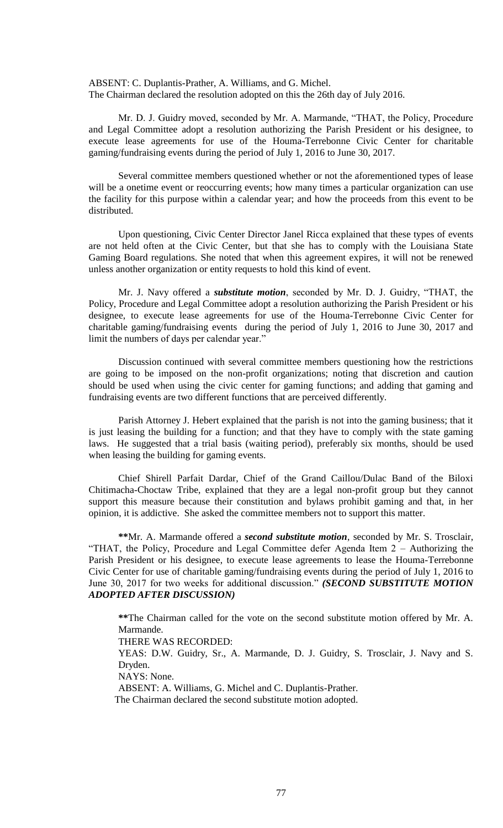ABSENT: C. Duplantis-Prather, A. Williams, and G. Michel. The Chairman declared the resolution adopted on this the 26th day of July 2016.

Mr. D. J. Guidry moved, seconded by Mr. A. Marmande, "THAT, the Policy, Procedure and Legal Committee adopt a resolution authorizing the Parish President or his designee, to execute lease agreements for use of the Houma-Terrebonne Civic Center for charitable gaming/fundraising events during the period of July 1, 2016 to June 30, 2017.

Several committee members questioned whether or not the aforementioned types of lease will be a onetime event or reoccurring events; how many times a particular organization can use the facility for this purpose within a calendar year; and how the proceeds from this event to be distributed.

Upon questioning, Civic Center Director Janel Ricca explained that these types of events are not held often at the Civic Center, but that she has to comply with the Louisiana State Gaming Board regulations. She noted that when this agreement expires, it will not be renewed unless another organization or entity requests to hold this kind of event.

Mr. J. Navy offered a *substitute motion*, seconded by Mr. D. J. Guidry, "THAT, the Policy, Procedure and Legal Committee adopt a resolution authorizing the Parish President or his designee, to execute lease agreements for use of the Houma-Terrebonne Civic Center for charitable gaming/fundraising events during the period of July 1, 2016 to June 30, 2017 and limit the numbers of days per calendar year."

Discussion continued with several committee members questioning how the restrictions are going to be imposed on the non-profit organizations; noting that discretion and caution should be used when using the civic center for gaming functions; and adding that gaming and fundraising events are two different functions that are perceived differently.

Parish Attorney J. Hebert explained that the parish is not into the gaming business; that it is just leasing the building for a function; and that they have to comply with the state gaming laws. He suggested that a trial basis (waiting period), preferably six months, should be used when leasing the building for gaming events.

Chief Shirell Parfait Dardar, Chief of the Grand Caillou/Dulac Band of the Biloxi Chitimacha-Choctaw Tribe, explained that they are a legal non-profit group but they cannot support this measure because their constitution and bylaws prohibit gaming and that, in her opinion, it is addictive. She asked the committee members not to support this matter.

**\*\***Mr. A. Marmande offered a *second substitute motion*, seconded by Mr. S. Trosclair, "THAT, the Policy, Procedure and Legal Committee defer Agenda Item 2 – Authorizing the Parish President or his designee, to execute lease agreements to lease the Houma-Terrebonne Civic Center for use of charitable gaming/fundraising events during the period of July 1, 2016 to June 30, 2017 for two weeks for additional discussion." *(SECOND SUBSTITUTE MOTION ADOPTED AFTER DISCUSSION)*

**\*\***The Chairman called for the vote on the second substitute motion offered by Mr. A. Marmande.

THERE WAS RECORDED:

YEAS: D.W. Guidry, Sr., A. Marmande, D. J. Guidry, S. Trosclair, J. Navy and S. Dryden.

NAYS: None.

ABSENT: A. Williams, G. Michel and C. Duplantis-Prather.

The Chairman declared the second substitute motion adopted.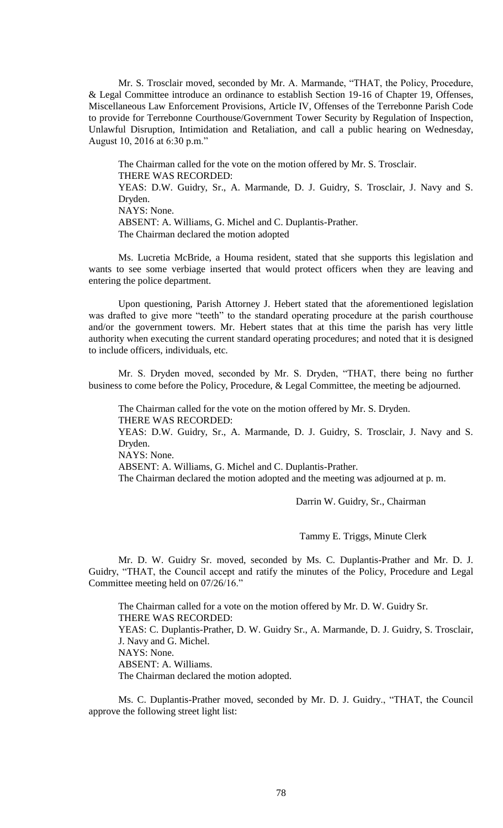Mr. S. Trosclair moved, seconded by Mr. A. Marmande, "THAT, the Policy, Procedure, & Legal Committee introduce an ordinance to establish Section 19-16 of Chapter 19, Offenses, Miscellaneous Law Enforcement Provisions, Article IV, Offenses of the Terrebonne Parish Code to provide for Terrebonne Courthouse/Government Tower Security by Regulation of Inspection, Unlawful Disruption, Intimidation and Retaliation, and call a public hearing on Wednesday, August 10, 2016 at 6:30 p.m."

The Chairman called for the vote on the motion offered by Mr. S. Trosclair. THERE WAS RECORDED: YEAS: D.W. Guidry, Sr., A. Marmande, D. J. Guidry, S. Trosclair, J. Navy and S. Dryden. NAYS: None. ABSENT: A. Williams, G. Michel and C. Duplantis-Prather. The Chairman declared the motion adopted

Ms. Lucretia McBride, a Houma resident, stated that she supports this legislation and wants to see some verbiage inserted that would protect officers when they are leaving and entering the police department.

Upon questioning, Parish Attorney J. Hebert stated that the aforementioned legislation was drafted to give more "teeth" to the standard operating procedure at the parish courthouse and/or the government towers. Mr. Hebert states that at this time the parish has very little authority when executing the current standard operating procedures; and noted that it is designed to include officers, individuals, etc.

Mr. S. Dryden moved, seconded by Mr. S. Dryden, "THAT, there being no further business to come before the Policy, Procedure, & Legal Committee, the meeting be adjourned.

The Chairman called for the vote on the motion offered by Mr. S. Dryden. THERE WAS RECORDED: YEAS: D.W. Guidry, Sr., A. Marmande, D. J. Guidry, S. Trosclair, J. Navy and S. Dryden. NAYS: None.

ABSENT: A. Williams, G. Michel and C. Duplantis-Prather.

The Chairman declared the motion adopted and the meeting was adjourned at p. m.

Darrin W. Guidry, Sr., Chairman

Tammy E. Triggs, Minute Clerk

Mr. D. W. Guidry Sr. moved, seconded by Ms. C. Duplantis-Prather and Mr. D. J. Guidry, "THAT, the Council accept and ratify the minutes of the Policy, Procedure and Legal Committee meeting held on 07/26/16."

The Chairman called for a vote on the motion offered by Mr. D. W. Guidry Sr. THERE WAS RECORDED: YEAS: C. Duplantis-Prather, D. W. Guidry Sr., A. Marmande, D. J. Guidry, S. Trosclair, J. Navy and G. Michel. NAYS: None. ABSENT: A. Williams. The Chairman declared the motion adopted.

Ms. C. Duplantis-Prather moved, seconded by Mr. D. J. Guidry., "THAT, the Council approve the following street light list: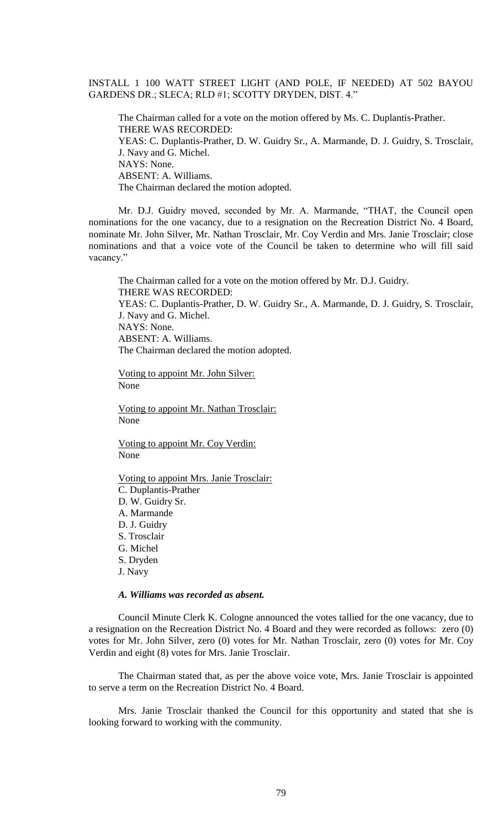INSTALL 1 100 WATT STREET LIGHT (AND POLE, IF NEEDED) AT 502 BAYOU GARDENS DR.; SLECA; RLD #1; SCOTTY DRYDEN, DIST. 4."

The Chairman called for a vote on the motion offered by Ms. C. Duplantis-Prather. THERE WAS RECORDED: YEAS: C. Duplantis-Prather, D. W. Guidry Sr., A. Marmande, D. J. Guidry, S. Trosclair, J. Navy and G. Michel. NAYS: None. ABSENT: A. Williams. The Chairman declared the motion adopted.

Mr. D.J. Guidry moved, seconded by Mr. A. Marmande, "THAT, the Council open nominations for the one vacancy, due to a resignation on the Recreation District No. 4 Board, nominate Mr. John Silver, Mr. Nathan Trosclair, Mr. Coy Verdin and Mrs. Janie Trosclair; close nominations and that a voice vote of the Council be taken to determine who will fill said vacancy."

The Chairman called for a vote on the motion offered by Mr. D.J. Guidry. THERE WAS RECORDED: YEAS: C. Duplantis-Prather, D. W. Guidry Sr., A. Marmande, D. J. Guidry, S. Trosclair, J. Navy and G. Michel. NAYS: None. ABSENT: A. Williams. The Chairman declared the motion adopted.

Voting to appoint Mr. John Silver:

None

Voting to appoint Mr. Nathan Trosclair: None

Voting to appoint Mr. Coy Verdin: None

Voting to appoint Mrs. Janie Trosclair: C. Duplantis-Prather D. W. Guidry Sr. A. Marmande D. J. Guidry S. Trosclair G. Michel S. Dryden J. Navy

# *A. Williams was recorded as absent.*

Council Minute Clerk K. Cologne announced the votes tallied for the one vacancy, due to a resignation on the Recreation District No. 4 Board and they were recorded as follows: zero (0) votes for Mr. John Silver, zero (0) votes for Mr. Nathan Trosclair, zero (0) votes for Mr. Coy Verdin and eight (8) votes for Mrs. Janie Trosclair.

The Chairman stated that, as per the above voice vote, Mrs. Janie Trosclair is appointed to serve a term on the Recreation District No. 4 Board.

Mrs. Janie Trosclair thanked the Council for this opportunity and stated that she is looking forward to working with the community.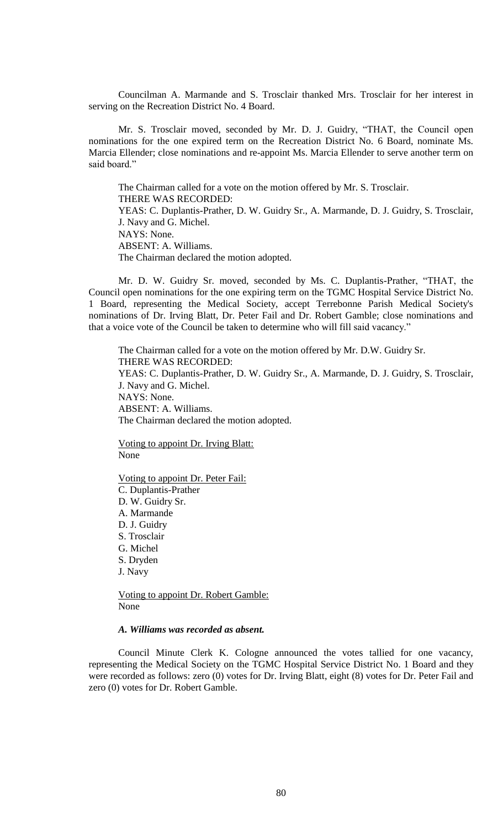Councilman A. Marmande and S. Trosclair thanked Mrs. Trosclair for her interest in serving on the Recreation District No. 4 Board.

Mr. S. Trosclair moved, seconded by Mr. D. J. Guidry, "THAT, the Council open nominations for the one expired term on the Recreation District No. 6 Board, nominate Ms. Marcia Ellender; close nominations and re-appoint Ms. Marcia Ellender to serve another term on said board."

The Chairman called for a vote on the motion offered by Mr. S. Trosclair. THERE WAS RECORDED: YEAS: C. Duplantis-Prather, D. W. Guidry Sr., A. Marmande, D. J. Guidry, S. Trosclair, J. Navy and G. Michel. NAYS: None. ABSENT: A. Williams. The Chairman declared the motion adopted.

Mr. D. W. Guidry Sr. moved, seconded by Ms. C. Duplantis-Prather, "THAT, the Council open nominations for the one expiring term on the TGMC Hospital Service District No. 1 Board, representing the Medical Society, accept Terrebonne Parish Medical Society's nominations of Dr. Irving Blatt, Dr. Peter Fail and Dr. Robert Gamble; close nominations and that a voice vote of the Council be taken to determine who will fill said vacancy."

The Chairman called for a vote on the motion offered by Mr. D.W. Guidry Sr. THERE WAS RECORDED: YEAS: C. Duplantis-Prather, D. W. Guidry Sr., A. Marmande, D. J. Guidry, S. Trosclair, J. Navy and G. Michel. NAYS: None. ABSENT: A. Williams. The Chairman declared the motion adopted.

Voting to appoint Dr. Irving Blatt: None

Voting to appoint Dr. Peter Fail: C. Duplantis-Prather D. W. Guidry Sr. A. Marmande D. J. Guidry S. Trosclair G. Michel S. Dryden J. Navy

Voting to appoint Dr. Robert Gamble: None

#### *A. Williams was recorded as absent.*

Council Minute Clerk K. Cologne announced the votes tallied for one vacancy, representing the Medical Society on the TGMC Hospital Service District No. 1 Board and they were recorded as follows: zero (0) votes for Dr. Irving Blatt, eight (8) votes for Dr. Peter Fail and zero (0) votes for Dr. Robert Gamble.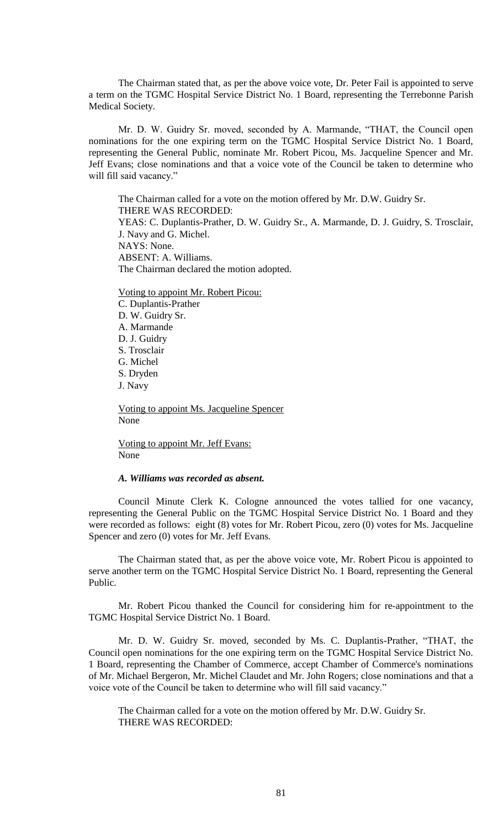The Chairman stated that, as per the above voice vote, Dr. Peter Fail is appointed to serve a term on the TGMC Hospital Service District No. 1 Board, representing the Terrebonne Parish Medical Society.

Mr. D. W. Guidry Sr. moved, seconded by A. Marmande, "THAT, the Council open nominations for the one expiring term on the TGMC Hospital Service District No. 1 Board, representing the General Public, nominate Mr. Robert Picou, Ms. Jacqueline Spencer and Mr. Jeff Evans; close nominations and that a voice vote of the Council be taken to determine who will fill said vacancy."

The Chairman called for a vote on the motion offered by Mr. D.W. Guidry Sr. THERE WAS RECORDED: YEAS: C. Duplantis-Prather, D. W. Guidry Sr., A. Marmande, D. J. Guidry, S. Trosclair, J. Navy and G. Michel. NAYS: None. ABSENT: A. Williams. The Chairman declared the motion adopted.

Voting to appoint Mr. Robert Picou: C. Duplantis-Prather D. W. Guidry Sr. A. Marmande D. J. Guidry S. Trosclair G. Michel S. Dryden J. Navy

Voting to appoint Ms. Jacqueline Spencer None

Voting to appoint Mr. Jeff Evans: None

### *A. Williams was recorded as absent.*

Council Minute Clerk K. Cologne announced the votes tallied for one vacancy, representing the General Public on the TGMC Hospital Service District No. 1 Board and they were recorded as follows: eight (8) votes for Mr. Robert Picou, zero (0) votes for Ms. Jacqueline Spencer and zero (0) votes for Mr. Jeff Evans.

The Chairman stated that, as per the above voice vote, Mr. Robert Picou is appointed to serve another term on the TGMC Hospital Service District No. 1 Board, representing the General Public.

Mr. Robert Picou thanked the Council for considering him for re-appointment to the TGMC Hospital Service District No. 1 Board.

Mr. D. W. Guidry Sr. moved, seconded by Ms. C. Duplantis-Prather, "THAT, the Council open nominations for the one expiring term on the TGMC Hospital Service District No. 1 Board, representing the Chamber of Commerce, accept Chamber of Commerce's nominations of Mr. Michael Bergeron, Mr. Michel Claudet and Mr. John Rogers; close nominations and that a voice vote of the Council be taken to determine who will fill said vacancy."

The Chairman called for a vote on the motion offered by Mr. D.W. Guidry Sr. THERE WAS RECORDED: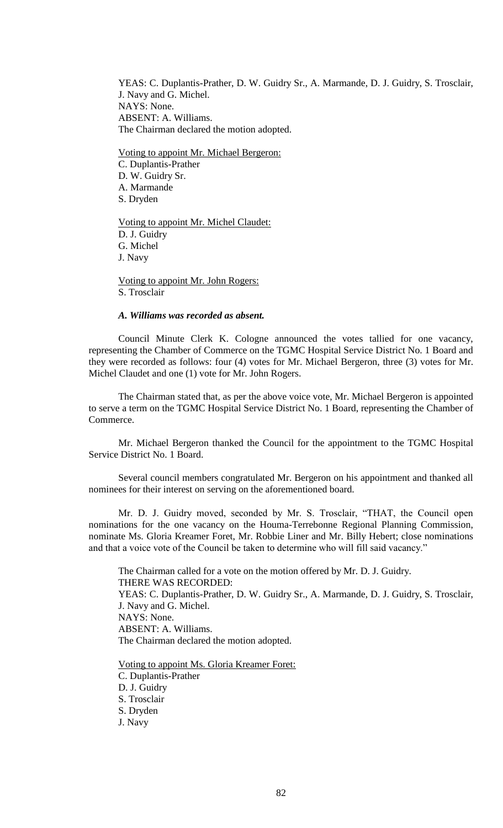YEAS: C. Duplantis-Prather, D. W. Guidry Sr., A. Marmande, D. J. Guidry, S. Trosclair, J. Navy and G. Michel. NAYS: None. ABSENT: A. Williams. The Chairman declared the motion adopted.

Voting to appoint Mr. Michael Bergeron: C. Duplantis-Prather D. W. Guidry Sr. A. Marmande S. Dryden

Voting to appoint Mr. Michel Claudet: D. J. Guidry G. Michel J. Navy

Voting to appoint Mr. John Rogers: S. Trosclair

### *A. Williams was recorded as absent.*

Council Minute Clerk K. Cologne announced the votes tallied for one vacancy, representing the Chamber of Commerce on the TGMC Hospital Service District No. 1 Board and they were recorded as follows: four (4) votes for Mr. Michael Bergeron, three (3) votes for Mr. Michel Claudet and one (1) vote for Mr. John Rogers.

The Chairman stated that, as per the above voice vote, Mr. Michael Bergeron is appointed to serve a term on the TGMC Hospital Service District No. 1 Board, representing the Chamber of Commerce.

Mr. Michael Bergeron thanked the Council for the appointment to the TGMC Hospital Service District No. 1 Board.

Several council members congratulated Mr. Bergeron on his appointment and thanked all nominees for their interest on serving on the aforementioned board.

Mr. D. J. Guidry moved, seconded by Mr. S. Trosclair, "THAT, the Council open nominations for the one vacancy on the Houma-Terrebonne Regional Planning Commission, nominate Ms. Gloria Kreamer Foret, Mr. Robbie Liner and Mr. Billy Hebert; close nominations and that a voice vote of the Council be taken to determine who will fill said vacancy."

The Chairman called for a vote on the motion offered by Mr. D. J. Guidry. THERE WAS RECORDED: YEAS: C. Duplantis-Prather, D. W. Guidry Sr., A. Marmande, D. J. Guidry, S. Trosclair, J. Navy and G. Michel. NAYS: None. ABSENT: A. Williams. The Chairman declared the motion adopted.

Voting to appoint Ms. Gloria Kreamer Foret: C. Duplantis-Prather D. J. Guidry S. Trosclair S. Dryden J. Navy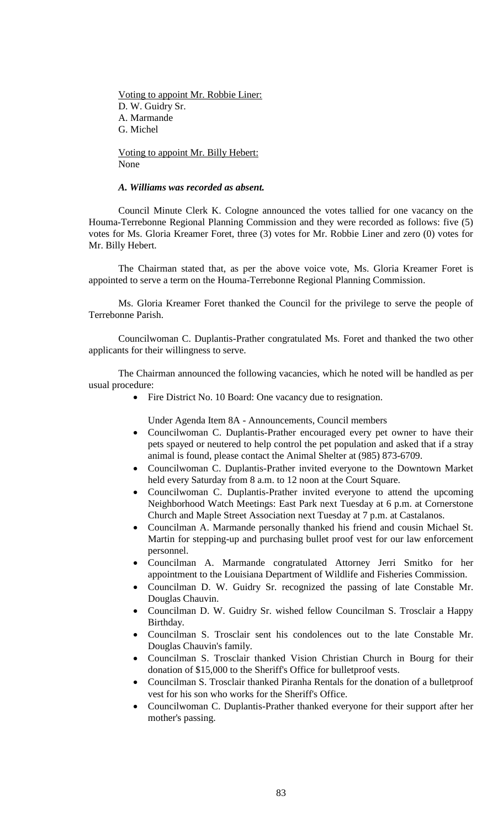Voting to appoint Mr. Robbie Liner: D. W. Guidry Sr. A. Marmande G. Michel

Voting to appoint Mr. Billy Hebert: None

## *A. Williams was recorded as absent.*

Council Minute Clerk K. Cologne announced the votes tallied for one vacancy on the Houma-Terrebonne Regional Planning Commission and they were recorded as follows: five (5) votes for Ms. Gloria Kreamer Foret, three (3) votes for Mr. Robbie Liner and zero (0) votes for Mr. Billy Hebert.

The Chairman stated that, as per the above voice vote, Ms. Gloria Kreamer Foret is appointed to serve a term on the Houma-Terrebonne Regional Planning Commission.

Ms. Gloria Kreamer Foret thanked the Council for the privilege to serve the people of Terrebonne Parish.

Councilwoman C. Duplantis-Prather congratulated Ms. Foret and thanked the two other applicants for their willingness to serve.

The Chairman announced the following vacancies, which he noted will be handled as per usual procedure:

• Fire District No. 10 Board: One vacancy due to resignation.

Under Agenda Item 8A - Announcements, Council members

- Councilwoman C. Duplantis-Prather encouraged every pet owner to have their pets spayed or neutered to help control the pet population and asked that if a stray animal is found, please contact the Animal Shelter at (985) 873-6709.
- Councilwoman C. Duplantis-Prather invited everyone to the Downtown Market held every Saturday from 8 a.m. to 12 noon at the Court Square.
- Councilwoman C. Duplantis-Prather invited everyone to attend the upcoming Neighborhood Watch Meetings: East Park next Tuesday at 6 p.m. at Cornerstone Church and Maple Street Association next Tuesday at 7 p.m. at Castalanos.
- Councilman A. Marmande personally thanked his friend and cousin Michael St. Martin for stepping-up and purchasing bullet proof vest for our law enforcement personnel.
- Councilman A. Marmande congratulated Attorney Jerri Smitko for her appointment to the Louisiana Department of Wildlife and Fisheries Commission.
- Councilman D. W. Guidry Sr. recognized the passing of late Constable Mr. Douglas Chauvin.
- Councilman D. W. Guidry Sr. wished fellow Councilman S. Trosclair a Happy Birthday.
- Councilman S. Trosclair sent his condolences out to the late Constable Mr. Douglas Chauvin's family.
- Councilman S. Trosclair thanked Vision Christian Church in Bourg for their donation of \$15,000 to the Sheriff's Office for bulletproof vests.
- Councilman S. Trosclair thanked Piranha Rentals for the donation of a bulletproof vest for his son who works for the Sheriff's Office.
- Councilwoman C. Duplantis-Prather thanked everyone for their support after her mother's passing.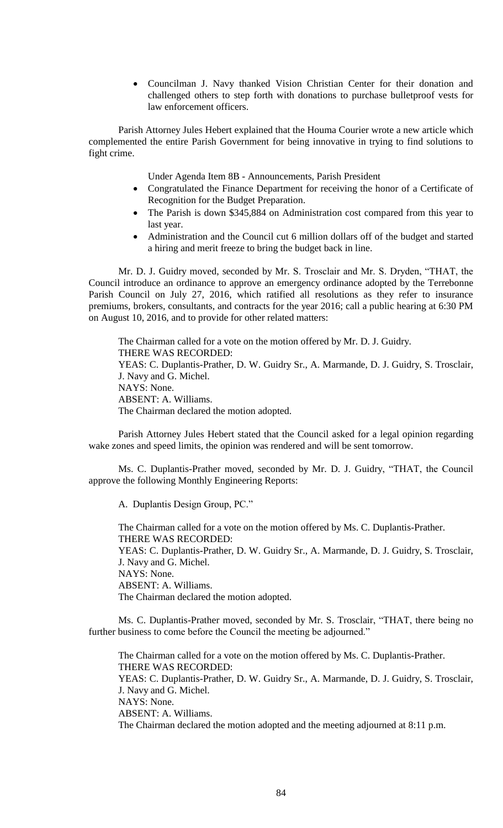Councilman J. Navy thanked Vision Christian Center for their donation and challenged others to step forth with donations to purchase bulletproof vests for law enforcement officers.

Parish Attorney Jules Hebert explained that the Houma Courier wrote a new article which complemented the entire Parish Government for being innovative in trying to find solutions to fight crime.

Under Agenda Item 8B - Announcements, Parish President

- Congratulated the Finance Department for receiving the honor of a Certificate of Recognition for the Budget Preparation.
- The Parish is down \$345,884 on Administration cost compared from this year to last year.
- Administration and the Council cut 6 million dollars off of the budget and started a hiring and merit freeze to bring the budget back in line.

Mr. D. J. Guidry moved, seconded by Mr. S. Trosclair and Mr. S. Dryden, "THAT, the Council introduce an ordinance to approve an emergency ordinance adopted by the Terrebonne Parish Council on July 27, 2016, which ratified all resolutions as they refer to insurance premiums, brokers, consultants, and contracts for the year 2016; call a public hearing at 6:30 PM on August 10, 2016, and to provide for other related matters:

The Chairman called for a vote on the motion offered by Mr. D. J. Guidry. THERE WAS RECORDED: YEAS: C. Duplantis-Prather, D. W. Guidry Sr., A. Marmande, D. J. Guidry, S. Trosclair, J. Navy and G. Michel. NAYS: None. ABSENT: A. Williams. The Chairman declared the motion adopted.

Parish Attorney Jules Hebert stated that the Council asked for a legal opinion regarding wake zones and speed limits, the opinion was rendered and will be sent tomorrow.

Ms. C. Duplantis-Prather moved, seconded by Mr. D. J. Guidry, "THAT, the Council approve the following Monthly Engineering Reports:

A. Duplantis Design Group, PC."

The Chairman called for a vote on the motion offered by Ms. C. Duplantis-Prather. THERE WAS RECORDED: YEAS: C. Duplantis-Prather, D. W. Guidry Sr., A. Marmande, D. J. Guidry, S. Trosclair, J. Navy and G. Michel. NAYS: None. ABSENT: A. Williams. The Chairman declared the motion adopted.

Ms. C. Duplantis-Prather moved, seconded by Mr. S. Trosclair, "THAT, there being no further business to come before the Council the meeting be adjourned."

The Chairman called for a vote on the motion offered by Ms. C. Duplantis-Prather. THERE WAS RECORDED: YEAS: C. Duplantis-Prather, D. W. Guidry Sr., A. Marmande, D. J. Guidry, S. Trosclair, J. Navy and G. Michel. NAYS: None. ABSENT: A. Williams. The Chairman declared the motion adopted and the meeting adjourned at 8:11 p.m.